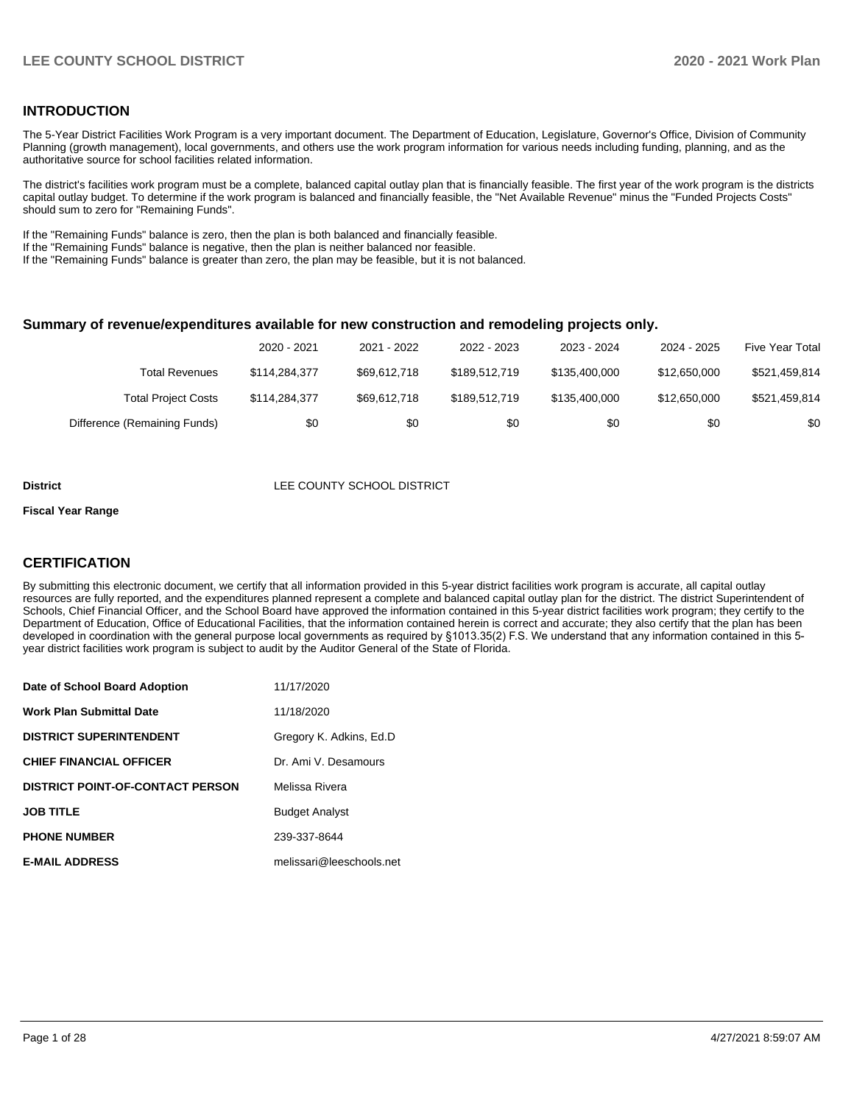### **INTRODUCTION**

The 5-Year District Facilities Work Program is a very important document. The Department of Education, Legislature, Governor's Office, Division of Community Planning (growth management), local governments, and others use the work program information for various needs including funding, planning, and as the authoritative source for school facilities related information.

The district's facilities work program must be a complete, balanced capital outlay plan that is financially feasible. The first year of the work program is the districts capital outlay budget. To determine if the work program is balanced and financially feasible, the "Net Available Revenue" minus the "Funded Projects Costs" should sum to zero for "Remaining Funds".

If the "Remaining Funds" balance is zero, then the plan is both balanced and financially feasible.

If the "Remaining Funds" balance is negative, then the plan is neither balanced nor feasible.

If the "Remaining Funds" balance is greater than zero, the plan may be feasible, but it is not balanced.

#### **Summary of revenue/expenditures available for new construction and remodeling projects only.**

|                              | 2020 - 2021   | 2021 - 2022  | 2022 - 2023   | 2023 - 2024   | 2024 - 2025  | <b>Five Year Total</b> |
|------------------------------|---------------|--------------|---------------|---------------|--------------|------------------------|
| Total Revenues               | \$114,284,377 | \$69.612.718 | \$189,512,719 | \$135,400,000 | \$12,650,000 | \$521,459,814          |
| <b>Total Project Costs</b>   | \$114,284,377 | \$69.612.718 | \$189.512.719 | \$135.400.000 | \$12,650,000 | \$521,459,814          |
| Difference (Remaining Funds) | \$0           | \$0          | \$0           | \$0           | \$0          | \$0                    |

#### **District LEE COUNTY SCHOOL DISTRICT**

#### **Fiscal Year Range**

### **CERTIFICATION**

By submitting this electronic document, we certify that all information provided in this 5-year district facilities work program is accurate, all capital outlay resources are fully reported, and the expenditures planned represent a complete and balanced capital outlay plan for the district. The district Superintendent of Schools, Chief Financial Officer, and the School Board have approved the information contained in this 5-year district facilities work program; they certify to the Department of Education, Office of Educational Facilities, that the information contained herein is correct and accurate; they also certify that the plan has been developed in coordination with the general purpose local governments as required by §1013.35(2) F.S. We understand that any information contained in this 5 year district facilities work program is subject to audit by the Auditor General of the State of Florida.

| Date of School Board Adoption           | 11/17/2020               |
|-----------------------------------------|--------------------------|
| Work Plan Submittal Date                | 11/18/2020               |
| <b>DISTRICT SUPERINTENDENT</b>          | Gregory K. Adkins, Ed.D. |
| <b>CHIEF FINANCIAL OFFICER</b>          | Dr. Ami V. Desamours     |
| <b>DISTRICT POINT-OF-CONTACT PERSON</b> | Melissa Rivera           |
| <b>JOB TITLE</b>                        | <b>Budget Analyst</b>    |
| <b>PHONE NUMBER</b>                     | 239-337-8644             |
| <b>E-MAIL ADDRESS</b>                   | melissari@leeschools.net |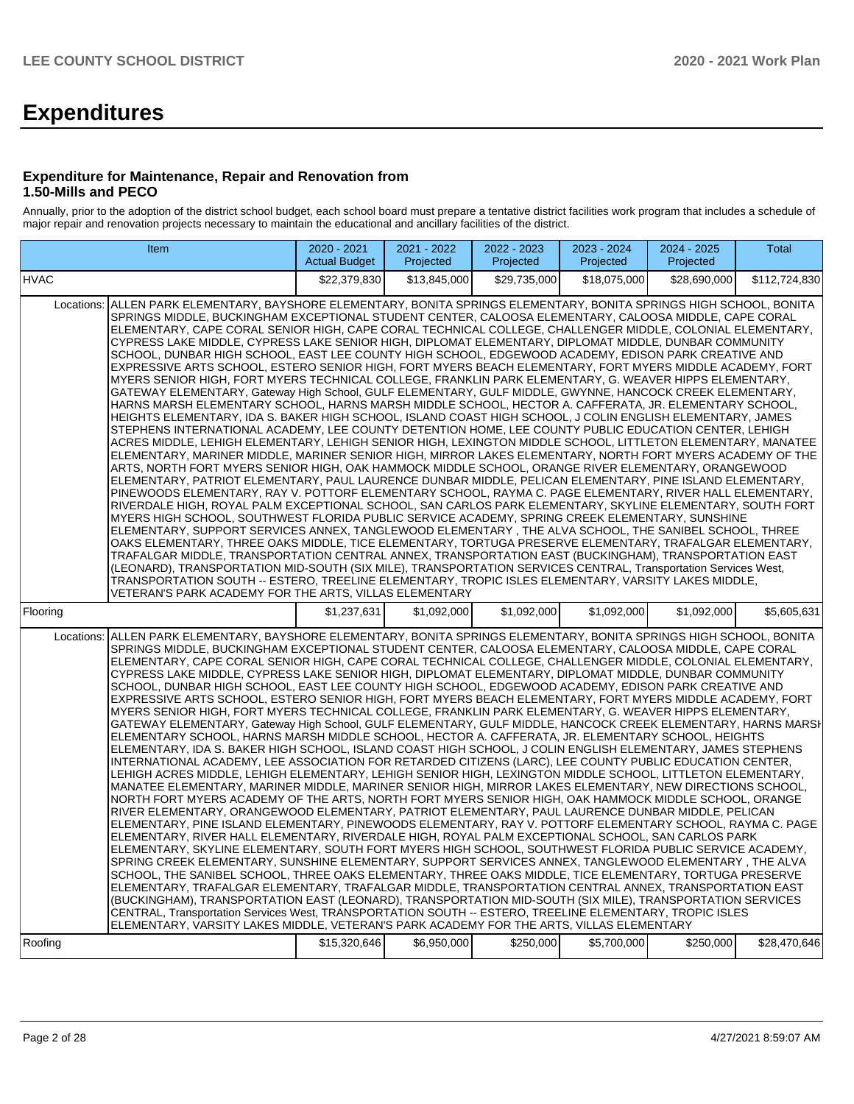# **Expenditures**

#### **Expenditure for Maintenance, Repair and Renovation from 1.50-Mills and PECO**

Annually, prior to the adoption of the district school budget, each school board must prepare a tentative district facilities work program that includes a schedule of major repair and renovation projects necessary to maintain the educational and ancillary facilities of the district.

|                                                                                                                                                                                                                                                                                                                                                                                                                                                                                                                                                                                                                                                                                                                                                                                                                                                                                                                                                                                                                                                                                                                                                                                                                                                                                                                                                                                                                                                                                                                                                                                                                                                                                                                                                                                                                                                                                                                                                                                                                                                                                                                                                                                                                                                                                                                                                                                                                                                                                                                                                                                                                                                        | Item |              | 2021 - 2022<br>Projected | 2022 - 2023<br>Projected | 2023 - 2024<br>Projected | 2024 - 2025<br>Projected | <b>Total</b>  |  |  |
|--------------------------------------------------------------------------------------------------------------------------------------------------------------------------------------------------------------------------------------------------------------------------------------------------------------------------------------------------------------------------------------------------------------------------------------------------------------------------------------------------------------------------------------------------------------------------------------------------------------------------------------------------------------------------------------------------------------------------------------------------------------------------------------------------------------------------------------------------------------------------------------------------------------------------------------------------------------------------------------------------------------------------------------------------------------------------------------------------------------------------------------------------------------------------------------------------------------------------------------------------------------------------------------------------------------------------------------------------------------------------------------------------------------------------------------------------------------------------------------------------------------------------------------------------------------------------------------------------------------------------------------------------------------------------------------------------------------------------------------------------------------------------------------------------------------------------------------------------------------------------------------------------------------------------------------------------------------------------------------------------------------------------------------------------------------------------------------------------------------------------------------------------------------------------------------------------------------------------------------------------------------------------------------------------------------------------------------------------------------------------------------------------------------------------------------------------------------------------------------------------------------------------------------------------------------------------------------------------------------------------------------------------------|------|--------------|--------------------------|--------------------------|--------------------------|--------------------------|---------------|--|--|
| <b>HVAC</b>                                                                                                                                                                                                                                                                                                                                                                                                                                                                                                                                                                                                                                                                                                                                                                                                                                                                                                                                                                                                                                                                                                                                                                                                                                                                                                                                                                                                                                                                                                                                                                                                                                                                                                                                                                                                                                                                                                                                                                                                                                                                                                                                                                                                                                                                                                                                                                                                                                                                                                                                                                                                                                            |      | \$22,379,830 | \$13,845,000             | \$29,735,000             | \$18,075,000             | \$28,690,000             | \$112,724,830 |  |  |
| Locations: ALLEN PARK ELEMENTARY, BAYSHORE ELEMENTARY, BONITA SPRINGS ELEMENTARY, BONITA SPRINGS HIGH SCHOOL, BONITA<br>SPRINGS MIDDLE, BUCKINGHAM EXCEPTIONAL STUDENT CENTER, CALOOSA ELEMENTARY, CALOOSA MIDDLE, CAPE CORAL<br>ELEMENTARY, CAPE CORAL SENIOR HIGH, CAPE CORAL TECHNICAL COLLEGE, CHALLENGER MIDDLE, COLONIAL ELEMENTARY,<br>CYPRESS LAKE MIDDLE, CYPRESS LAKE SENIOR HIGH, DIPLOMAT ELEMENTARY, DIPLOMAT MIDDLE, DUNBAR COMMUNITY<br>SCHOOL, DUNBAR HIGH SCHOOL, EAST LEE COUNTY HIGH SCHOOL, EDGEWOOD ACADEMY, EDISON PARK CREATIVE AND<br>EXPRESSIVE ARTS SCHOOL, ESTERO SENIOR HIGH, FORT MYERS BEACH ELEMENTARY, FORT MYERS MIDDLE ACADEMY, FORT<br>MYERS SENIOR HIGH, FORT MYERS TECHNICAL COLLEGE, FRANKLIN PARK ELEMENTARY, G. WEAVER HIPPS ELEMENTARY,<br>GATEWAY ELEMENTARY, Gateway High School, GULF ELEMENTARY, GULF MIDDLE, GWYNNE, HANCOCK CREEK ELEMENTARY,<br>HARNS MARSH ELEMENTARY SCHOOL. HARNS MARSH MIDDLE SCHOOL. HECTOR A. CAFFERATA. JR. ELEMENTARY SCHOOL.<br>HEIGHTS ELEMENTARY, IDA S. BAKER HIGH SCHOOL, ISLAND COAST HIGH SCHOOL, J COLIN ENGLISH ELEMENTARY, JAMES<br>STEPHENS INTERNATIONAL ACADEMY, LEE COUNTY DETENTION HOME, LEE COUNTY PUBLIC EDUCATION CENTER, LEHIGH<br>ACRES MIDDLE, LEHIGH ELEMENTARY, LEHIGH SENIOR HIGH, LEXINGTON MIDDLE SCHOOL, LITTLETON ELEMENTARY, MANATEE<br>ELEMENTARY, MARINER MIDDLE, MARINER SENIOR HIGH, MIRROR LAKES ELEMENTARY, NORTH FORT MYERS ACADEMY OF THE<br>ARTS, NORTH FORT MYERS SENIOR HIGH, OAK HAMMOCK MIDDLE SCHOOL, ORANGE RIVER ELEMENTARY, ORANGEWOOD<br>ELEMENTARY, PATRIOT ELEMENTARY, PAUL LAURENCE DUNBAR MIDDLE, PELICAN ELEMENTARY, PINE ISLAND ELEMENTARY,<br>PINEWOODS ELEMENTARY, RAY V. POTTORF ELEMENTARY SCHOOL, RAYMA C. PAGE ELEMENTARY, RIVER HALL ELEMENTARY,<br>RIVERDALE HIGH, ROYAL PALM EXCEPTIONAL SCHOOL, SAN CARLOS PARK ELEMENTARY, SKYLINE ELEMENTARY, SOUTH FORT<br>MYERS HIGH SCHOOL, SOUTHWEST FLORIDA PUBLIC SERVICE ACADEMY, SPRING CREEK ELEMENTARY, SUNSHINE<br>ELEMENTARY, SUPPORT SERVICES ANNEX, TANGLEWOOD ELEMENTARY, THE ALVA SCHOOL, THE SANIBEL SCHOOL, THREE<br>OAKS ELEMENTARY, THREE OAKS MIDDLE, TICE ELEMENTARY, TORTUGA PRESERVE ELEMENTARY, TRAFALGAR ELEMENTARY,<br>TRAFALGAR MIDDLE, TRANSPORTATION CENTRAL ANNEX, TRANSPORTATION EAST (BUCKINGHAM), TRANSPORTATION EAST<br>(LEONARD), TRANSPORTATION MID-SOUTH (SIX MILE), TRANSPORTATION SERVICES CENTRAL, Transportation Services West,<br>TRANSPORTATION SOUTH -- ESTERO, TREELINE ELEMENTARY, TROPIC ISLES ELEMENTARY, VARSITY LAKES MIDDLE,<br>VETERAN'S PARK ACADEMY FOR THE ARTS, VILLAS ELEMENTARY                                   |      |              |                          |                          |                          |                          |               |  |  |
| Flooring                                                                                                                                                                                                                                                                                                                                                                                                                                                                                                                                                                                                                                                                                                                                                                                                                                                                                                                                                                                                                                                                                                                                                                                                                                                                                                                                                                                                                                                                                                                                                                                                                                                                                                                                                                                                                                                                                                                                                                                                                                                                                                                                                                                                                                                                                                                                                                                                                                                                                                                                                                                                                                               |      | \$1.237.631  | \$1.092.000              | \$1,092,000              | \$1,092,000              | \$1,092,000              | \$5,605,631   |  |  |
| Locations: ALLEN PARK ELEMENTARY, BAYSHORE ELEMENTARY, BONITA SPRINGS ELEMENTARY, BONITA SPRINGS HIGH SCHOOL, BONITA<br>SPRINGS MIDDLE, BUCKINGHAM EXCEPTIONAL STUDENT CENTER, CALOOSA ELEMENTARY, CALOOSA MIDDLE, CAPE CORAL<br>ELEMENTARY, CAPE CORAL SENIOR HIGH, CAPE CORAL TECHNICAL COLLEGE, CHALLENGER MIDDLE, COLONIAL ELEMENTARY,<br>CYPRESS LAKE MIDDLE, CYPRESS LAKE SENIOR HIGH, DIPLOMAT ELEMENTARY, DIPLOMAT MIDDLE, DUNBAR COMMUNITY<br>SCHOOL, DUNBAR HIGH SCHOOL, EAST LEE COUNTY HIGH SCHOOL, EDGEWOOD ACADEMY, EDISON PARK CREATIVE AND<br>EXPRESSIVE ARTS SCHOOL, ESTERO SENIOR HIGH, FORT MYERS BEACH ELEMENTARY, FORT MYERS MIDDLE ACADEMY, FORT<br>MYERS SENIOR HIGH, FORT MYERS TECHNICAL COLLEGE, FRANKLIN PARK ELEMENTARY, G. WEAVER HIPPS ELEMENTARY,<br>GATEWAY ELEMENTARY, Gateway High School, GULF ELEMENTARY, GULF MIDDLE, HANCOCK CREEK ELEMENTARY, HARNS MARSI<br>ELEMENTARY SCHOOL, HARNS MARSH MIDDLE SCHOOL, HECTOR A. CAFFERATA, JR. ELEMENTARY SCHOOL, HEIGHTS<br>ELEMENTARY, IDA S. BAKER HIGH SCHOOL, ISLAND COAST HIGH SCHOOL, J COLIN ENGLISH ELEMENTARY, JAMES STEPHENS<br>INTERNATIONAL ACADEMY, LEE ASSOCIATION FOR RETARDED CITIZENS (LARC), LEE COUNTY PUBLIC EDUCATION CENTER,<br>LEHIGH ACRES MIDDLE, LEHIGH ELEMENTARY, LEHIGH SENIOR HIGH, LEXINGTON MIDDLE SCHOOL, LITTLETON ELEMENTARY,<br>MANATEE ELEMENTARY, MARINER MIDDLE, MARINER SENIOR HIGH, MIRROR LAKES ELEMENTARY, NEW DIRECTIONS SCHOOL,<br>NORTH FORT MYERS ACADEMY OF THE ARTS, NORTH FORT MYERS SENIOR HIGH, OAK HAMMOCK MIDDLE SCHOOL, ORANGE<br>RIVER ELEMENTARY, ORANGEWOOD ELEMENTARY, PATRIOT ELEMENTARY, PAUL LAURENCE DUNBAR MIDDLE, PELICAN<br>ELEMENTARY, PINE ISLAND ELEMENTARY, PINEWOODS ELEMENTARY, RAY V. POTTORF ELEMENTARY SCHOOL, RAYMA C. PAGE<br>ELEMENTARY, RIVER HALL ELEMENTARY, RIVERDALE HIGH, ROYAL PALM EXCEPTIONAL SCHOOL, SAN CARLOS PARK<br>ELEMENTARY, SKYLINE ELEMENTARY, SOUTH FORT MYERS HIGH SCHOOL, SOUTHWEST FLORIDA PUBLIC SERVICE ACADEMY,<br>SPRING CREEK ELEMENTARY, SUNSHINE ELEMENTARY, SUPPORT SERVICES ANNEX, TANGLEWOOD ELEMENTARY, THE ALVA<br>SCHOOL, THE SANIBEL SCHOOL, THREE OAKS ELEMENTARY, THREE OAKS MIDDLE, TICE ELEMENTARY, TORTUGA PRESERVE<br>ELEMENTARY, TRAFALGAR ELEMENTARY, TRAFALGAR MIDDLE, TRANSPORTATION CENTRAL ANNEX, TRANSPORTATION EAST<br>(BUCKINGHAM), TRANSPORTATION EAST (LEONARD), TRANSPORTATION MID-SOUTH (SIX MILE), TRANSPORTATION SERVICES<br>CENTRAL, Transportation Services West, TRANSPORTATION SOUTH -- ESTERO, TREELINE ELEMENTARY, TROPIC ISLES<br>ELEMENTARY, VARSITY LAKES MIDDLE, VETERAN'S PARK ACADEMY FOR THE ARTS, VILLAS ELEMENTARY |      |              |                          |                          |                          |                          |               |  |  |
| Roofing                                                                                                                                                                                                                                                                                                                                                                                                                                                                                                                                                                                                                                                                                                                                                                                                                                                                                                                                                                                                                                                                                                                                                                                                                                                                                                                                                                                                                                                                                                                                                                                                                                                                                                                                                                                                                                                                                                                                                                                                                                                                                                                                                                                                                                                                                                                                                                                                                                                                                                                                                                                                                                                |      | \$15,320,646 | \$6,950,000              | \$250,000                | \$5,700,000              | \$250,000                | \$28,470,646  |  |  |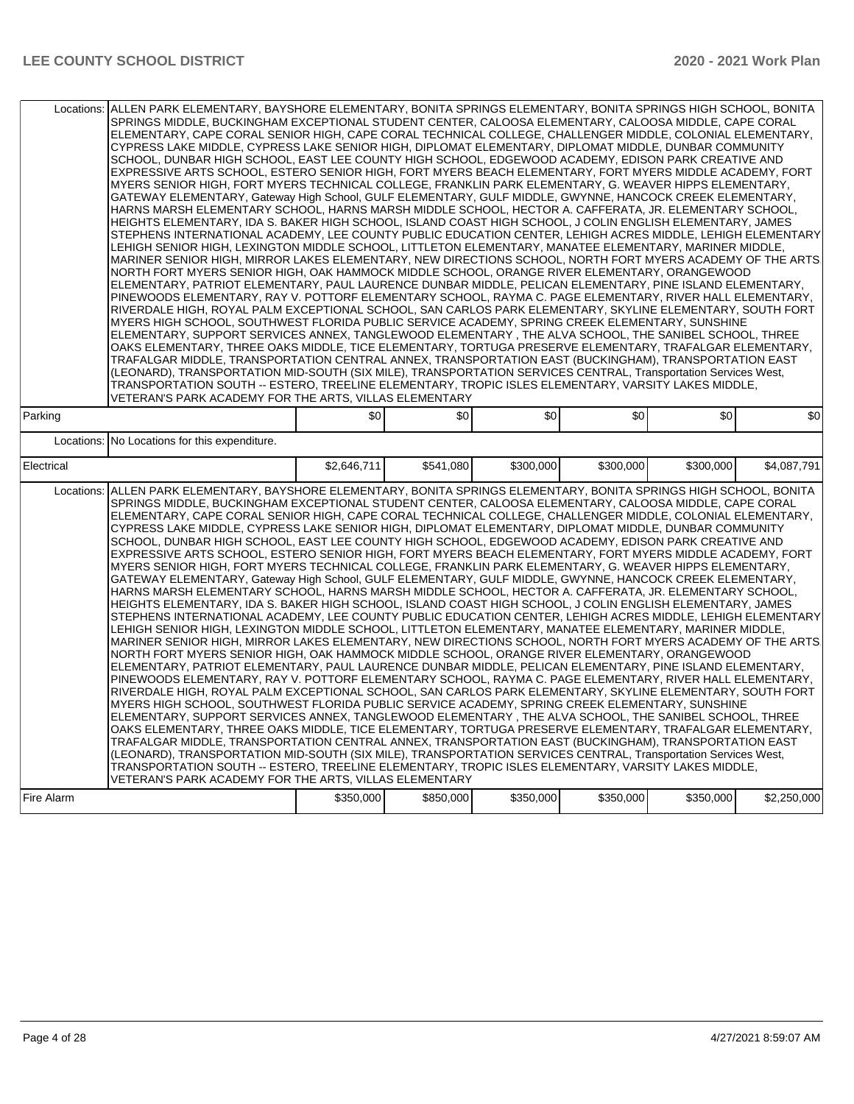| SPRINGS MIDDLE, BUCKINGHAM EXCEPTIONAL STUDENT CENTER, CALOOSA ELEMENTARY, CALOOSA MIDDLE, CAPE CORAL<br>ELEMENTARY, CAPE CORAL SENIOR HIGH, CAPE CORAL TECHNICAL COLLEGE, CHALLENGER MIDDLE, COLONIAL ELEMENTARY,<br>CYPRESS LAKE MIDDLE, CYPRESS LAKE SENIOR HIGH, DIPLOMAT ELEMENTARY, DIPLOMAT MIDDLE, DUNBAR COMMUNITY<br>SCHOOL, DUNBAR HIGH SCHOOL, EAST LEE COUNTY HIGH SCHOOL, EDGEWOOD ACADEMY, EDISON PARK CREATIVE AND<br>EXPRESSIVE ARTS SCHOOL, ESTERO SENIOR HIGH, FORT MYERS BEACH ELEMENTARY, FORT MYERS MIDDLE ACADEMY, FORT<br>MYERS SENIOR HIGH, FORT MYERS TECHNICAL COLLEGE, FRANKLIN PARK ELEMENTARY, G. WEAVER HIPPS ELEMENTARY,<br>GATEWAY ELEMENTARY, Gateway High School, GULF ELEMENTARY, GULF MIDDLE, GWYNNE, HANCOCK CREEK ELEMENTARY,<br>HARNS MARSH ELEMENTARY SCHOOL, HARNS MARSH MIDDLE SCHOOL, HECTOR A. CAFFERATA, JR. ELEMENTARY SCHOOL,<br>HEIGHTS ELEMENTARY, IDA S. BAKER HIGH SCHOOL, ISLAND COAST HIGH SCHOOL, J COLIN ENGLISH ELEMENTARY, JAMES<br>STEPHENS INTERNATIONAL ACADEMY. LEE COUNTY PUBLIC EDUCATION CENTER. LEHIGH ACRES MIDDLE. LEHIGH ELEMENTARY<br>LEHIGH SENIOR HIGH, LEXINGTON MIDDLE SCHOOL, LITTLETON ELEMENTARY, MANATEE ELEMENTARY, MARINER MIDDLE,<br>MARINER SENIOR HIGH, MIRROR LAKES ELEMENTARY, NEW DIRECTIONS SCHOOL, NORTH FORT MYERS ACADEMY OF THE ARTS.<br>NORTH FORT MYERS SENIOR HIGH, OAK HAMMOCK MIDDLE SCHOOL, ORANGE RIVER ELEMENTARY, ORANGEWOOD<br>ELEMENTARY, PATRIOT ELEMENTARY, PAUL LAURENCE DUNBAR MIDDLE, PELICAN ELEMENTARY, PINE ISLAND ELEMENTARY,<br>PINEWOODS ELEMENTARY, RAY V. POTTORF ELEMENTARY SCHOOL, RAYMA C. PAGE ELEMENTARY, RIVER HALL ELEMENTARY,<br>RIVERDALE HIGH, ROYAL PALM EXCEPTIONAL SCHOOL, SAN CARLOS PARK ELEMENTARY, SKYLINE ELEMENTARY, SOUTH FORT<br>MYERS HIGH SCHOOL, SOUTHWEST FLORIDA PUBLIC SERVICE ACADEMY, SPRING CREEK ELEMENTARY, SUNSHINE<br>ELEMENTARY, SUPPORT SERVICES ANNEX, TANGLEWOOD ELEMENTARY, THE ALVA SCHOOL, THE SANIBEL SCHOOL, THREE<br>OAKS ELEMENTARY, THREE OAKS MIDDLE, TICE ELEMENTARY, TORTUGA PRESERVE ELEMENTARY, TRAFALGAR ELEMENTARY,<br>TRAFALGAR MIDDLE, TRANSPORTATION CENTRAL ANNEX, TRANSPORTATION EAST (BUCKINGHAM), TRANSPORTATION EAST<br>(LEONARD), TRANSPORTATION MID-SOUTH (SIX MILE), TRANSPORTATION SERVICES CENTRAL, Transportation Services West,<br>TRANSPORTATION SOUTH -- ESTERO, TREELINE ELEMENTARY, TROPIC ISLES ELEMENTARY, VARSITY LAKES MIDDLE,<br>VETERAN'S PARK ACADEMY FOR THE ARTS, VILLAS ELEMENTARY |                                                                                                                                                                                                                                                                                                                                                                                                                                                                                                                                                                                                                                                                                                                                                                                                                                                                                                                                                                                                                                                                                                                                                                                                                                                                                                                                                                                                                                                                                                                                                                                                                                                                                                                                                                                                                                                                                                                                                                                                                                                                                                                                                                                                                                                                                                                                                                                                                                                                                                                                                                                                      |             |           |           |           |           |             |  |  |  |
|-----------------------------------------------------------------------------------------------------------------------------------------------------------------------------------------------------------------------------------------------------------------------------------------------------------------------------------------------------------------------------------------------------------------------------------------------------------------------------------------------------------------------------------------------------------------------------------------------------------------------------------------------------------------------------------------------------------------------------------------------------------------------------------------------------------------------------------------------------------------------------------------------------------------------------------------------------------------------------------------------------------------------------------------------------------------------------------------------------------------------------------------------------------------------------------------------------------------------------------------------------------------------------------------------------------------------------------------------------------------------------------------------------------------------------------------------------------------------------------------------------------------------------------------------------------------------------------------------------------------------------------------------------------------------------------------------------------------------------------------------------------------------------------------------------------------------------------------------------------------------------------------------------------------------------------------------------------------------------------------------------------------------------------------------------------------------------------------------------------------------------------------------------------------------------------------------------------------------------------------------------------------------------------------------------------------------------------------------------------------------------------------------------------------------------------------------------------------------------------------|------------------------------------------------------------------------------------------------------------------------------------------------------------------------------------------------------------------------------------------------------------------------------------------------------------------------------------------------------------------------------------------------------------------------------------------------------------------------------------------------------------------------------------------------------------------------------------------------------------------------------------------------------------------------------------------------------------------------------------------------------------------------------------------------------------------------------------------------------------------------------------------------------------------------------------------------------------------------------------------------------------------------------------------------------------------------------------------------------------------------------------------------------------------------------------------------------------------------------------------------------------------------------------------------------------------------------------------------------------------------------------------------------------------------------------------------------------------------------------------------------------------------------------------------------------------------------------------------------------------------------------------------------------------------------------------------------------------------------------------------------------------------------------------------------------------------------------------------------------------------------------------------------------------------------------------------------------------------------------------------------------------------------------------------------------------------------------------------------------------------------------------------------------------------------------------------------------------------------------------------------------------------------------------------------------------------------------------------------------------------------------------------------------------------------------------------------------------------------------------------------------------------------------------------------------------------------------------------------|-------------|-----------|-----------|-----------|-----------|-------------|--|--|--|
| Parking                                                                                                                                                                                                                                                                                                                                                                                                                                                                                                                                                                                                                                                                                                                                                                                                                                                                                                                                                                                                                                                                                                                                                                                                                                                                                                                                                                                                                                                                                                                                                                                                                                                                                                                                                                                                                                                                                                                                                                                                                                                                                                                                                                                                                                                                                                                                                                                                                                                                                 |                                                                                                                                                                                                                                                                                                                                                                                                                                                                                                                                                                                                                                                                                                                                                                                                                                                                                                                                                                                                                                                                                                                                                                                                                                                                                                                                                                                                                                                                                                                                                                                                                                                                                                                                                                                                                                                                                                                                                                                                                                                                                                                                                                                                                                                                                                                                                                                                                                                                                                                                                                                                      | \$0         | \$0       | \$0       | \$0       | \$0       | \$0         |  |  |  |
| Locations:                                                                                                                                                                                                                                                                                                                                                                                                                                                                                                                                                                                                                                                                                                                                                                                                                                                                                                                                                                                                                                                                                                                                                                                                                                                                                                                                                                                                                                                                                                                                                                                                                                                                                                                                                                                                                                                                                                                                                                                                                                                                                                                                                                                                                                                                                                                                                                                                                                                                              | No Locations for this expenditure.                                                                                                                                                                                                                                                                                                                                                                                                                                                                                                                                                                                                                                                                                                                                                                                                                                                                                                                                                                                                                                                                                                                                                                                                                                                                                                                                                                                                                                                                                                                                                                                                                                                                                                                                                                                                                                                                                                                                                                                                                                                                                                                                                                                                                                                                                                                                                                                                                                                                                                                                                                   |             |           |           |           |           |             |  |  |  |
| Electrical                                                                                                                                                                                                                                                                                                                                                                                                                                                                                                                                                                                                                                                                                                                                                                                                                                                                                                                                                                                                                                                                                                                                                                                                                                                                                                                                                                                                                                                                                                                                                                                                                                                                                                                                                                                                                                                                                                                                                                                                                                                                                                                                                                                                                                                                                                                                                                                                                                                                              |                                                                                                                                                                                                                                                                                                                                                                                                                                                                                                                                                                                                                                                                                                                                                                                                                                                                                                                                                                                                                                                                                                                                                                                                                                                                                                                                                                                                                                                                                                                                                                                                                                                                                                                                                                                                                                                                                                                                                                                                                                                                                                                                                                                                                                                                                                                                                                                                                                                                                                                                                                                                      | \$2,646,711 | \$541,080 | \$300,000 | \$300,000 | \$300,000 | \$4.087.791 |  |  |  |
| Locations:                                                                                                                                                                                                                                                                                                                                                                                                                                                                                                                                                                                                                                                                                                                                                                                                                                                                                                                                                                                                                                                                                                                                                                                                                                                                                                                                                                                                                                                                                                                                                                                                                                                                                                                                                                                                                                                                                                                                                                                                                                                                                                                                                                                                                                                                                                                                                                                                                                                                              | ALLEN PARK ELEMENTARY, BAYSHORE ELEMENTARY, BONITA SPRINGS ELEMENTARY, BONITA SPRINGS HIGH SCHOOL, BONITA<br>SPRINGS MIDDLE, BUCKINGHAM EXCEPTIONAL STUDENT CENTER, CALOOSA ELEMENTARY, CALOOSA MIDDLE, CAPE CORAL<br>ELEMENTARY, CAPE CORAL SENIOR HIGH, CAPE CORAL TECHNICAL COLLEGE, CHALLENGER MIDDLE, COLONIAL ELEMENTARY,<br>CYPRESS LAKE MIDDLE, CYPRESS LAKE SENIOR HIGH, DIPLOMAT ELEMENTARY, DIPLOMAT MIDDLE, DUNBAR COMMUNITY<br>SCHOOL, DUNBAR HIGH SCHOOL, EAST LEE COUNTY HIGH SCHOOL, EDGEWOOD ACADEMY, EDISON PARK CREATIVE AND<br>EXPRESSIVE ARTS SCHOOL, ESTERO SENIOR HIGH, FORT MYERS BEACH ELEMENTARY, FORT MYERS MIDDLE ACADEMY, FORT<br>MYERS SENIOR HIGH, FORT MYERS TECHNICAL COLLEGE, FRANKLIN PARK ELEMENTARY, G. WEAVER HIPPS ELEMENTARY,<br>GATEWAY ELEMENTARY, Gateway High School, GULF ELEMENTARY, GULF MIDDLE, GWYNNE, HANCOCK CREEK ELEMENTARY,<br>HARNS MARSH ELEMENTARY SCHOOL, HARNS MARSH MIDDLE SCHOOL, HECTOR A. CAFFERATA, JR. ELEMENTARY SCHOOL,<br>HEIGHTS ELEMENTARY, IDA S. BAKER HIGH SCHOOL, ISLAND COAST HIGH SCHOOL, J COLIN ENGLISH ELEMENTARY, JAMES<br>STEPHENS INTERNATIONAL ACADEMY, LEE COUNTY PUBLIC EDUCATION CENTER, LEHIGH ACRES MIDDLE, LEHIGH ELEMENTARY<br>LEHIGH SENIOR HIGH, LEXINGTON MIDDLE SCHOOL, LITTLETON ELEMENTARY, MANATEE ELEMENTARY, MARINER MIDDLE,<br>MARINER SENIOR HIGH, MIRROR LAKES ELEMENTARY, NEW DIRECTIONS SCHOOL, NORTH FORT MYERS ACADEMY OF THE ARTS.<br>NORTH FORT MYERS SENIOR HIGH, OAK HAMMOCK MIDDLE SCHOOL, ORANGE RIVER ELEMENTARY, ORANGEWOOD<br>ELEMENTARY, PATRIOT ELEMENTARY, PAUL LAURENCE DUNBAR MIDDLE, PELICAN ELEMENTARY, PINE ISLAND ELEMENTARY,<br>PINEWOODS ELEMENTARY, RAY V. POTTORF ELEMENTARY SCHOOL, RAYMA C. PAGE ELEMENTARY, RIVER HALL ELEMENTARY,<br>RIVERDALE HIGH, ROYAL PALM EXCEPTIONAL SCHOOL, SAN CARLOS PARK ELEMENTARY, SKYLINE ELEMENTARY, SOUTH FORT<br>MYERS HIGH SCHOOL, SOUTHWEST FLORIDA PUBLIC SERVICE ACADEMY, SPRING CREEK ELEMENTARY, SUNSHINE<br>ELEMENTARY, SUPPORT SERVICES ANNEX, TANGLEWOOD ELEMENTARY, THE ALVA SCHOOL, THE SANIBEL SCHOOL, THREE<br>OAKS ELEMENTARY, THREE OAKS MIDDLE, TICE ELEMENTARY, TORTUGA PRESERVE ELEMENTARY, TRAFALGAR ELEMENTARY,<br>TRAFALGAR MIDDLE, TRANSPORTATION CENTRAL ANNEX, TRANSPORTATION EAST (BUCKINGHAM), TRANSPORTATION EAST<br>(LEONARD), TRANSPORTATION MID-SOUTH (SIX MILE), TRANSPORTATION SERVICES CENTRAL, Transportation Services West,<br>TRANSPORTATION SOUTH -- ESTERO, TREELINE ELEMENTARY, TROPIC ISLES ELEMENTARY, VARSITY LAKES MIDDLE,<br>VETERAN'S PARK ACADEMY FOR THE ARTS, VILLAS ELEMENTARY |             |           |           |           |           |             |  |  |  |
| Fire Alarm                                                                                                                                                                                                                                                                                                                                                                                                                                                                                                                                                                                                                                                                                                                                                                                                                                                                                                                                                                                                                                                                                                                                                                                                                                                                                                                                                                                                                                                                                                                                                                                                                                                                                                                                                                                                                                                                                                                                                                                                                                                                                                                                                                                                                                                                                                                                                                                                                                                                              |                                                                                                                                                                                                                                                                                                                                                                                                                                                                                                                                                                                                                                                                                                                                                                                                                                                                                                                                                                                                                                                                                                                                                                                                                                                                                                                                                                                                                                                                                                                                                                                                                                                                                                                                                                                                                                                                                                                                                                                                                                                                                                                                                                                                                                                                                                                                                                                                                                                                                                                                                                                                      | \$350,000   | \$850,000 | \$350,000 | \$350,000 | \$350,000 | \$2,250,000 |  |  |  |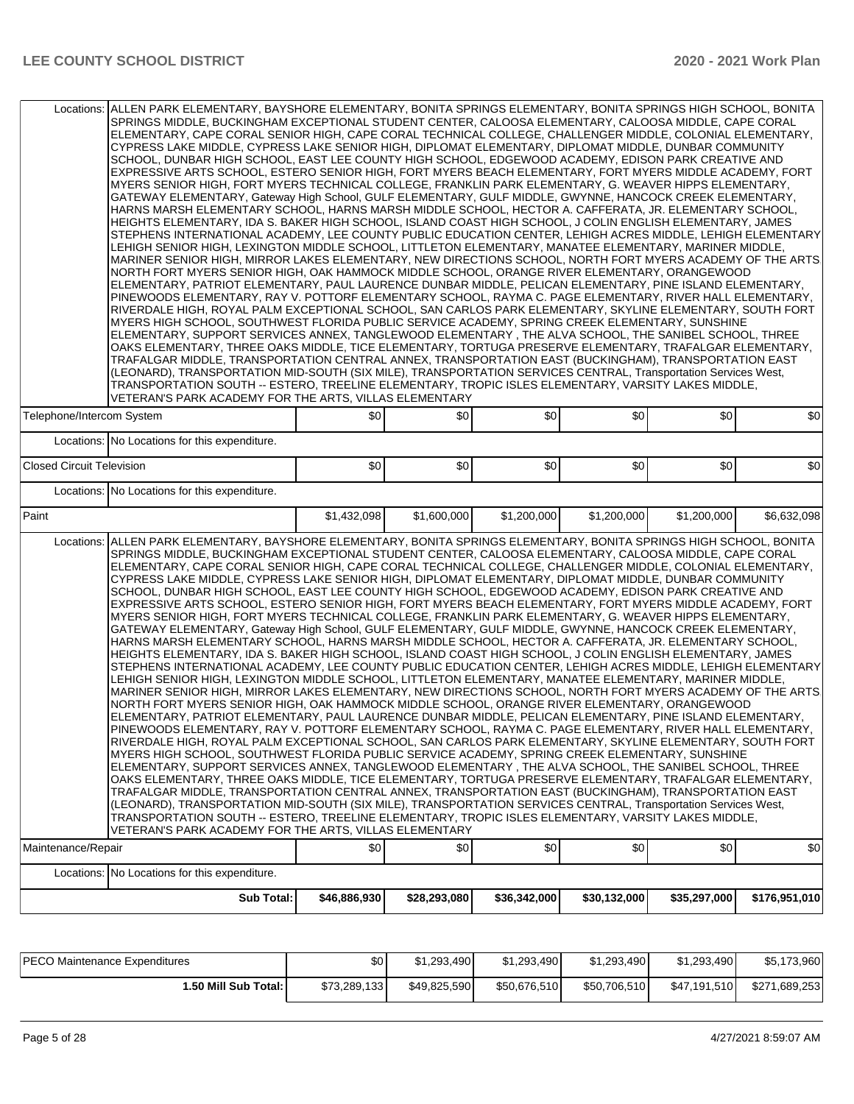| Locations: ALLEN PARK ELEMENTARY, BAYSHORE ELEMENTARY, BONITA SPRINGS ELEMENTARY, BONITA SPRINGS HIGH SCHOOL, BONITA                                                                                                                                                                                                                                                                                                                                                                                                                                                                                                                                                                                                                                                                                                                                                                                                                                                                                                                                                                                                                                                                                                                                                                                                                                                                                                                                                                                                                                                                                                                                                                                                                                                                                                                                                                                                                                                                                                                                                                                                                                                                                                                                                                                                                                                                                                                                                                                                                                                                                               | SPRINGS MIDDLE, BUCKINGHAM EXCEPTIONAL STUDENT CENTER, CALOOSA ELEMENTARY, CALOOSA MIDDLE, CAPE CORAL<br>ELEMENTARY, CAPE CORAL SENIOR HIGH, CAPE CORAL TECHNICAL COLLEGE, CHALLENGER MIDDLE, COLONIAL ELEMENTARY,<br>CYPRESS LAKE MIDDLE, CYPRESS LAKE SENIOR HIGH, DIPLOMAT ELEMENTARY, DIPLOMAT MIDDLE, DUNBAR COMMUNITY<br>SCHOOL, DUNBAR HIGH SCHOOL, EAST LEE COUNTY HIGH SCHOOL, EDGEWOOD ACADEMY, EDISON PARK CREATIVE AND<br>EXPRESSIVE ARTS SCHOOL, ESTERO SENIOR HIGH, FORT MYERS BEACH ELEMENTARY, FORT MYERS MIDDLE ACADEMY, FORT<br>MYERS SENIOR HIGH, FORT MYERS TECHNICAL COLLEGE, FRANKLIN PARK ELEMENTARY, G. WEAVER HIPPS ELEMENTARY,<br>GATEWAY ELEMENTARY, Gateway High School, GULF ELEMENTARY, GULF MIDDLE, GWYNNE, HANCOCK CREEK ELEMENTARY,<br>HARNS MARSH ELEMENTARY SCHOOL, HARNS MARSH MIDDLE SCHOOL, HECTOR A. CAFFERATA, JR. ELEMENTARY SCHOOL,<br>HEIGHTS ELEMENTARY, IDA S. BAKER HIGH SCHOOL, ISLAND COAST HIGH SCHOOL, J COLIN ENGLISH ELEMENTARY, JAMES<br>STEPHENS INTERNATIONAL ACADEMY, LEE COUNTY PUBLIC EDUCATION CENTER, LEHIGH ACRES MIDDLE, LEHIGH ELEMENTARY<br>LEHIGH SENIOR HIGH, LEXINGTON MIDDLE SCHOOL, LITTLETON ELEMENTARY, MANATEE ELEMENTARY, MARINER MIDDLE,<br>MARINER SENIOR HIGH, MIRROR LAKES ELEMENTARY, NEW DIRECTIONS SCHOOL, NORTH FORT MYERS ACADEMY OF THE ARTS.<br>NORTH FORT MYERS SENIOR HIGH, OAK HAMMOCK MIDDLE SCHOOL, ORANGE RIVER ELEMENTARY, ORANGEWOOD<br>ELEMENTARY, PATRIOT ELEMENTARY, PAUL LAURENCE DUNBAR MIDDLE, PELICAN ELEMENTARY, PINE ISLAND ELEMENTARY,<br>PINEWOODS ELEMENTARY, RAY V. POTTORF ELEMENTARY SCHOOL, RAYMA C. PAGE ELEMENTARY, RIVER HALL ELEMENTARY,<br>RIVERDALE HIGH, ROYAL PALM EXCEPTIONAL SCHOOL, SAN CARLOS PARK ELEMENTARY, SKYLINE ELEMENTARY, SOUTH FORT<br>MYERS HIGH SCHOOL, SOUTHWEST FLORIDA PUBLIC SERVICE ACADEMY, SPRING CREEK ELEMENTARY, SUNSHINE<br>ELEMENTARY, SUPPORT SERVICES ANNEX, TANGLEWOOD ELEMENTARY, THE ALVA SCHOOL, THE SANIBEL SCHOOL, THREE<br>OAKS ELEMENTARY, THREE OAKS MIDDLE, TICE ELEMENTARY, TORTUGA PRESERVE ELEMENTARY, TRAFALGAR ELEMENTARY,<br>TRAFALGAR MIDDLE, TRANSPORTATION CENTRAL ANNEX, TRANSPORTATION EAST (BUCKINGHAM), TRANSPORTATION EAST<br>(LEONARD), TRANSPORTATION MID-SOUTH (SIX MILE), TRANSPORTATION SERVICES CENTRAL, Transportation Services West,<br>TRANSPORTATION SOUTH -- ESTERO, TREELINE ELEMENTARY, TROPIC ISLES ELEMENTARY, VARSITY LAKES MIDDLE,<br>VETERAN'S PARK ACADEMY FOR THE ARTS, VILLAS ELEMENTARY |              |              |              |              |               |  |  |  |  |
|--------------------------------------------------------------------------------------------------------------------------------------------------------------------------------------------------------------------------------------------------------------------------------------------------------------------------------------------------------------------------------------------------------------------------------------------------------------------------------------------------------------------------------------------------------------------------------------------------------------------------------------------------------------------------------------------------------------------------------------------------------------------------------------------------------------------------------------------------------------------------------------------------------------------------------------------------------------------------------------------------------------------------------------------------------------------------------------------------------------------------------------------------------------------------------------------------------------------------------------------------------------------------------------------------------------------------------------------------------------------------------------------------------------------------------------------------------------------------------------------------------------------------------------------------------------------------------------------------------------------------------------------------------------------------------------------------------------------------------------------------------------------------------------------------------------------------------------------------------------------------------------------------------------------------------------------------------------------------------------------------------------------------------------------------------------------------------------------------------------------------------------------------------------------------------------------------------------------------------------------------------------------------------------------------------------------------------------------------------------------------------------------------------------------------------------------------------------------------------------------------------------------------------------------------------------------------------------------------------------------|-----------------------------------------------------------------------------------------------------------------------------------------------------------------------------------------------------------------------------------------------------------------------------------------------------------------------------------------------------------------------------------------------------------------------------------------------------------------------------------------------------------------------------------------------------------------------------------------------------------------------------------------------------------------------------------------------------------------------------------------------------------------------------------------------------------------------------------------------------------------------------------------------------------------------------------------------------------------------------------------------------------------------------------------------------------------------------------------------------------------------------------------------------------------------------------------------------------------------------------------------------------------------------------------------------------------------------------------------------------------------------------------------------------------------------------------------------------------------------------------------------------------------------------------------------------------------------------------------------------------------------------------------------------------------------------------------------------------------------------------------------------------------------------------------------------------------------------------------------------------------------------------------------------------------------------------------------------------------------------------------------------------------------------------------------------------------------------------------------------------------------------------------------------------------------------------------------------------------------------------------------------------------------------------------------------------------------------------------------------------------------------------------------------------------------------------------------------------------------------------|--------------|--------------|--------------|--------------|---------------|--|--|--|--|
| Telephone/Intercom System                                                                                                                                                                                                                                                                                                                                                                                                                                                                                                                                                                                                                                                                                                                                                                                                                                                                                                                                                                                                                                                                                                                                                                                                                                                                                                                                                                                                                                                                                                                                                                                                                                                                                                                                                                                                                                                                                                                                                                                                                                                                                                                                                                                                                                                                                                                                                                                                                                                                                                                                                                                          | \$0                                                                                                                                                                                                                                                                                                                                                                                                                                                                                                                                                                                                                                                                                                                                                                                                                                                                                                                                                                                                                                                                                                                                                                                                                                                                                                                                                                                                                                                                                                                                                                                                                                                                                                                                                                                                                                                                                                                                                                                                                                                                                                                                                                                                                                                                                                                                                                                                                                                                                     | \$0          | \$0          | \$0          | \$0          | \$0           |  |  |  |  |
| Locations: No Locations for this expenditure.                                                                                                                                                                                                                                                                                                                                                                                                                                                                                                                                                                                                                                                                                                                                                                                                                                                                                                                                                                                                                                                                                                                                                                                                                                                                                                                                                                                                                                                                                                                                                                                                                                                                                                                                                                                                                                                                                                                                                                                                                                                                                                                                                                                                                                                                                                                                                                                                                                                                                                                                                                      |                                                                                                                                                                                                                                                                                                                                                                                                                                                                                                                                                                                                                                                                                                                                                                                                                                                                                                                                                                                                                                                                                                                                                                                                                                                                                                                                                                                                                                                                                                                                                                                                                                                                                                                                                                                                                                                                                                                                                                                                                                                                                                                                                                                                                                                                                                                                                                                                                                                                                         |              |              |              |              |               |  |  |  |  |
| <b>Closed Circuit Television</b>                                                                                                                                                                                                                                                                                                                                                                                                                                                                                                                                                                                                                                                                                                                                                                                                                                                                                                                                                                                                                                                                                                                                                                                                                                                                                                                                                                                                                                                                                                                                                                                                                                                                                                                                                                                                                                                                                                                                                                                                                                                                                                                                                                                                                                                                                                                                                                                                                                                                                                                                                                                   | \$0                                                                                                                                                                                                                                                                                                                                                                                                                                                                                                                                                                                                                                                                                                                                                                                                                                                                                                                                                                                                                                                                                                                                                                                                                                                                                                                                                                                                                                                                                                                                                                                                                                                                                                                                                                                                                                                                                                                                                                                                                                                                                                                                                                                                                                                                                                                                                                                                                                                                                     | \$0          | \$0          | \$0          | \$0          | \$0           |  |  |  |  |
| Locations: No Locations for this expenditure.                                                                                                                                                                                                                                                                                                                                                                                                                                                                                                                                                                                                                                                                                                                                                                                                                                                                                                                                                                                                                                                                                                                                                                                                                                                                                                                                                                                                                                                                                                                                                                                                                                                                                                                                                                                                                                                                                                                                                                                                                                                                                                                                                                                                                                                                                                                                                                                                                                                                                                                                                                      |                                                                                                                                                                                                                                                                                                                                                                                                                                                                                                                                                                                                                                                                                                                                                                                                                                                                                                                                                                                                                                                                                                                                                                                                                                                                                                                                                                                                                                                                                                                                                                                                                                                                                                                                                                                                                                                                                                                                                                                                                                                                                                                                                                                                                                                                                                                                                                                                                                                                                         |              |              |              |              |               |  |  |  |  |
| Paint                                                                                                                                                                                                                                                                                                                                                                                                                                                                                                                                                                                                                                                                                                                                                                                                                                                                                                                                                                                                                                                                                                                                                                                                                                                                                                                                                                                                                                                                                                                                                                                                                                                                                                                                                                                                                                                                                                                                                                                                                                                                                                                                                                                                                                                                                                                                                                                                                                                                                                                                                                                                              | \$1,432,098                                                                                                                                                                                                                                                                                                                                                                                                                                                                                                                                                                                                                                                                                                                                                                                                                                                                                                                                                                                                                                                                                                                                                                                                                                                                                                                                                                                                                                                                                                                                                                                                                                                                                                                                                                                                                                                                                                                                                                                                                                                                                                                                                                                                                                                                                                                                                                                                                                                                             | \$1,600,000  | \$1,200,000  | \$1,200,000  | \$1,200,000  | \$6,632,098   |  |  |  |  |
| ALLEN PARK ELEMENTARY, BAYSHORE ELEMENTARY, BONITA SPRINGS ELEMENTARY, BONITA SPRINGS HIGH SCHOOL, BONITA<br>Locations:<br>SPRINGS MIDDLE, BUCKINGHAM EXCEPTIONAL STUDENT CENTER, CALOOSA ELEMENTARY, CALOOSA MIDDLE, CAPE CORAL<br>ELEMENTARY, CAPE CORAL SENIOR HIGH, CAPE CORAL TECHNICAL COLLEGE, CHALLENGER MIDDLE, COLONIAL ELEMENTARY,<br>CYPRESS LAKE MIDDLE, CYPRESS LAKE SENIOR HIGH, DIPLOMAT ELEMENTARY, DIPLOMAT MIDDLE, DUNBAR COMMUNITY<br>SCHOOL, DUNBAR HIGH SCHOOL, EAST LEE COUNTY HIGH SCHOOL, EDGEWOOD ACADEMY, EDISON PARK CREATIVE AND<br>EXPRESSIVE ARTS SCHOOL, ESTERO SENIOR HIGH, FORT MYERS BEACH ELEMENTARY, FORT MYERS MIDDLE ACADEMY, FORT<br>MYERS SENIOR HIGH, FORT MYERS TECHNICAL COLLEGE, FRANKLIN PARK ELEMENTARY, G. WEAVER HIPPS ELEMENTARY,<br>GATEWAY ELEMENTARY, Gateway High School, GULF ELEMENTARY, GULF MIDDLE, GWYNNE, HANCOCK CREEK ELEMENTARY,<br>HARNS MARSH ELEMENTARY SCHOOL, HARNS MARSH MIDDLE SCHOOL, HECTOR A. CAFFERATA, JR. ELEMENTARY SCHOOL,<br>HEIGHTS ELEMENTARY, IDA S. BAKER HIGH SCHOOL, ISLAND COAST HIGH SCHOOL, J COLIN ENGLISH ELEMENTARY, JAMES<br>STEPHENS INTERNATIONAL ACADEMY, LEE COUNTY PUBLIC EDUCATION CENTER, LEHIGH ACRES MIDDLE, LEHIGH ELEMENTARY<br>LEHIGH SENIOR HIGH, LEXINGTON MIDDLE SCHOOL, LITTLETON ELEMENTARY, MANATEE ELEMENTARY, MARINER MIDDLE,<br>MARINER SENIOR HIGH, MIRROR LAKES ELEMENTARY, NEW DIRECTIONS SCHOOL, NORTH FORT MYERS ACADEMY OF THE ARTS.<br>NORTH FORT MYERS SENIOR HIGH, OAK HAMMOCK MIDDLE SCHOOL, ORANGE RIVER ELEMENTARY, ORANGEWOOD<br>ELEMENTARY, PATRIOT ELEMENTARY, PAUL LAURENCE DUNBAR MIDDLE, PELICAN ELEMENTARY, PINE ISLAND ELEMENTARY,<br>PINEWOODS ELEMENTARY, RAY V. POTTORF ELEMENTARY SCHOOL, RAYMA C. PAGE ELEMENTARY, RIVER HALL ELEMENTARY,<br>RIVERDALE HIGH, ROYAL PALM EXCEPTIONAL SCHOOL, SAN CARLOS PARK ELEMENTARY, SKYLINE ELEMENTARY, SOUTH FORT<br>MYERS HIGH SCHOOL, SOUTHWEST FLORIDA PUBLIC SERVICE ACADEMY, SPRING CREEK ELEMENTARY, SUNSHINE<br>ELEMENTARY, SUPPORT SERVICES ANNEX, TANGLEWOOD ELEMENTARY, THE ALVA SCHOOL, THE SANIBEL SCHOOL, THREE<br>OAKS ELEMENTARY, THREE OAKS MIDDLE, TICE ELEMENTARY, TORTUGA PRESERVE ELEMENTARY, TRAFALGAR ELEMENTARY,<br>TRAFALGAR MIDDLE, TRANSPORTATION CENTRAL ANNEX, TRANSPORTATION EAST (BUCKINGHAM), TRANSPORTATION EAST<br>(LEONARD), TRANSPORTATION MID-SOUTH (SIX MILE), TRANSPORTATION SERVICES CENTRAL, Transportation Services West,<br>TRANSPORTATION SOUTH -- ESTERO, TREELINE ELEMENTARY, TROPIC ISLES ELEMENTARY, VARSITY LAKES MIDDLE,<br>VETERAN'S PARK ACADEMY FOR THE ARTS. VILLAS ELEMENTARY |                                                                                                                                                                                                                                                                                                                                                                                                                                                                                                                                                                                                                                                                                                                                                                                                                                                                                                                                                                                                                                                                                                                                                                                                                                                                                                                                                                                                                                                                                                                                                                                                                                                                                                                                                                                                                                                                                                                                                                                                                                                                                                                                                                                                                                                                                                                                                                                                                                                                                         |              |              |              |              |               |  |  |  |  |
| Maintenance/Repair                                                                                                                                                                                                                                                                                                                                                                                                                                                                                                                                                                                                                                                                                                                                                                                                                                                                                                                                                                                                                                                                                                                                                                                                                                                                                                                                                                                                                                                                                                                                                                                                                                                                                                                                                                                                                                                                                                                                                                                                                                                                                                                                                                                                                                                                                                                                                                                                                                                                                                                                                                                                 | \$0                                                                                                                                                                                                                                                                                                                                                                                                                                                                                                                                                                                                                                                                                                                                                                                                                                                                                                                                                                                                                                                                                                                                                                                                                                                                                                                                                                                                                                                                                                                                                                                                                                                                                                                                                                                                                                                                                                                                                                                                                                                                                                                                                                                                                                                                                                                                                                                                                                                                                     | \$0          | \$0          | \$0          | \$0          | \$0           |  |  |  |  |
| Locations: No Locations for this expenditure.                                                                                                                                                                                                                                                                                                                                                                                                                                                                                                                                                                                                                                                                                                                                                                                                                                                                                                                                                                                                                                                                                                                                                                                                                                                                                                                                                                                                                                                                                                                                                                                                                                                                                                                                                                                                                                                                                                                                                                                                                                                                                                                                                                                                                                                                                                                                                                                                                                                                                                                                                                      |                                                                                                                                                                                                                                                                                                                                                                                                                                                                                                                                                                                                                                                                                                                                                                                                                                                                                                                                                                                                                                                                                                                                                                                                                                                                                                                                                                                                                                                                                                                                                                                                                                                                                                                                                                                                                                                                                                                                                                                                                                                                                                                                                                                                                                                                                                                                                                                                                                                                                         |              |              |              |              |               |  |  |  |  |
| Sub Total:                                                                                                                                                                                                                                                                                                                                                                                                                                                                                                                                                                                                                                                                                                                                                                                                                                                                                                                                                                                                                                                                                                                                                                                                                                                                                                                                                                                                                                                                                                                                                                                                                                                                                                                                                                                                                                                                                                                                                                                                                                                                                                                                                                                                                                                                                                                                                                                                                                                                                                                                                                                                         | \$46,886,930                                                                                                                                                                                                                                                                                                                                                                                                                                                                                                                                                                                                                                                                                                                                                                                                                                                                                                                                                                                                                                                                                                                                                                                                                                                                                                                                                                                                                                                                                                                                                                                                                                                                                                                                                                                                                                                                                                                                                                                                                                                                                                                                                                                                                                                                                                                                                                                                                                                                            | \$28,293,080 | \$36,342,000 | \$30,132,000 | \$35,297,000 | \$176,951,010 |  |  |  |  |

| <b>PECO Maintenance Expenditures</b> | ሶስ<br>JU.    | \$1,293,490  | \$1,293,490  | \$1,293,490  | \$1,293,490  | \$5,173,960   |
|--------------------------------------|--------------|--------------|--------------|--------------|--------------|---------------|
| 1.50 Mill Sub Total: I               | \$73,289,133 | \$49.825.590 | \$50,676,510 | \$50,706,510 | \$47,191,510 | \$271,689,253 |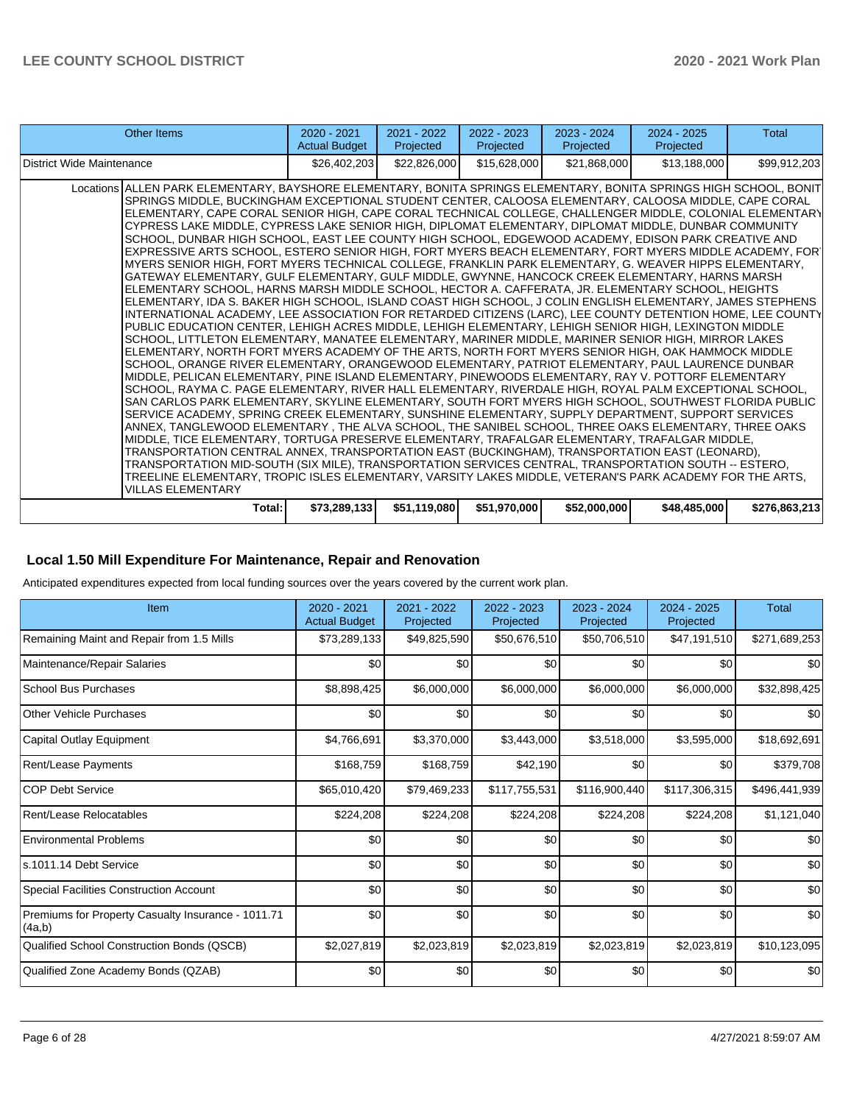| Other Items                                                                                                                                                                                                                                                                                                                                                                                                                                                                                                                                                                                                                                                                                                                                                                                                                                                                                                                                                                                                                                                                                                                                                                                                                                                                                                                                                                                                                                                                                                                                                                                                                                                                                                                                                                                                                                                                                                                                                                                                                                                                                                                                                                                                                                                                                                                                                                                                                                                                                                                                                                                                                                 | $2020 - 2021$<br><b>Actual Budget</b> | $2021 - 2022$<br>Projected | $2022 - 2023$<br>Projected | $2023 - 2024$<br>Projected | $2024 - 2025$<br>Projected | Total         |
|---------------------------------------------------------------------------------------------------------------------------------------------------------------------------------------------------------------------------------------------------------------------------------------------------------------------------------------------------------------------------------------------------------------------------------------------------------------------------------------------------------------------------------------------------------------------------------------------------------------------------------------------------------------------------------------------------------------------------------------------------------------------------------------------------------------------------------------------------------------------------------------------------------------------------------------------------------------------------------------------------------------------------------------------------------------------------------------------------------------------------------------------------------------------------------------------------------------------------------------------------------------------------------------------------------------------------------------------------------------------------------------------------------------------------------------------------------------------------------------------------------------------------------------------------------------------------------------------------------------------------------------------------------------------------------------------------------------------------------------------------------------------------------------------------------------------------------------------------------------------------------------------------------------------------------------------------------------------------------------------------------------------------------------------------------------------------------------------------------------------------------------------------------------------------------------------------------------------------------------------------------------------------------------------------------------------------------------------------------------------------------------------------------------------------------------------------------------------------------------------------------------------------------------------------------------------------------------------------------------------------------------------|---------------------------------------|----------------------------|----------------------------|----------------------------|----------------------------|---------------|
| District Wide Maintenance                                                                                                                                                                                                                                                                                                                                                                                                                                                                                                                                                                                                                                                                                                                                                                                                                                                                                                                                                                                                                                                                                                                                                                                                                                                                                                                                                                                                                                                                                                                                                                                                                                                                                                                                                                                                                                                                                                                                                                                                                                                                                                                                                                                                                                                                                                                                                                                                                                                                                                                                                                                                                   | \$26,402,203                          | \$22,826,000               | \$15,628,000               | \$21,868,000               | \$13,188,000               | \$99,912,203  |
| Locations ALLEN PARK ELEMENTARY, BAYSHORE ELEMENTARY, BONITA SPRINGS ELEMENTARY, BONITA SPRINGS HIGH SCHOOL, BONIT<br>SPRINGS MIDDLE, BUCKINGHAM EXCEPTIONAL STUDENT CENTER, CALOOSA ELEMENTARY, CALOOSA MIDDLE, CAPE CORAL<br>ELEMENTARY, CAPE CORAL SENIOR HIGH, CAPE CORAL TECHNICAL COLLEGE, CHALLENGER MIDDLE, COLONIAL ELEMENTARY<br>CYPRESS LAKE MIDDLE, CYPRESS LAKE SENIOR HIGH, DIPLOMAT ELEMENTARY, DIPLOMAT MIDDLE, DUNBAR COMMUNITY<br>SCHOOL, DUNBAR HIGH SCHOOL, EAST LEE COUNTY HIGH SCHOOL, EDGEWOOD ACADEMY, EDISON PARK CREATIVE AND<br>EXPRESSIVE ARTS SCHOOL. ESTERO SENIOR HIGH. FORT MYERS BEACH ELEMENTARY. FORT MYERS MIDDLE ACADEMY. FOR`<br>MYERS SENIOR HIGH, FORT MYERS TECHNICAL COLLEGE, FRANKLIN PARK ELEMENTARY, G. WEAVER HIPPS ELEMENTARY,<br>GATEWAY ELEMENTARY, GULF ELEMENTARY, GULF MIDDLE, GWYNNE, HANCOCK CREEK ELEMENTARY, HARNS MARSH<br>ELEMENTARY SCHOOL, HARNS MARSH MIDDLE SCHOOL, HECTOR A. CAFFERATA, JR. ELEMENTARY SCHOOL, HEIGHTS<br>ELEMENTARY, IDA S. BAKER HIGH SCHOOL, ISLAND COAST HIGH SCHOOL, J COLIN ENGLISH ELEMENTARY, JAMES STEPHENS<br>INTERNATIONAL ACADEMY, LEE ASSOCIATION FOR RETARDED CITIZENS (LARC), LEE COUNTY DETENTION HOME, LEE COUNTY<br>PUBLIC EDUCATION CENTER. LEHIGH ACRES MIDDLE. LEHIGH ELEMENTARY. LEHIGH SENIOR HIGH. LEXINGTON MIDDLE<br>SCHOOL, LITTLETON ELEMENTARY, MANATEE ELEMENTARY, MARINER MIDDLE, MARINER SENIOR HIGH, MIRROR LAKES<br>ELEMENTARY, NORTH FORT MYERS ACADEMY OF THE ARTS, NORTH FORT MYERS SENIOR HIGH, OAK HAMMOCK MIDDLE<br>ISCHOOL. ORANGE RIVER ELEMENTARY. ORANGEWOOD ELEMENTARY. PATRIOT ELEMENTARY. PAUL LAURENCE DUNBAR<br>MIDDLE, PELICAN ELEMENTARY, PINE ISLAND ELEMENTARY, PINEWOODS ELEMENTARY, RAY V. POTTORF ELEMENTARY<br>SCHOOL, RAYMA C. PAGE ELEMENTARY, RIVER HALL ELEMENTARY, RIVERDALE HIGH, ROYAL PALM EXCEPTIONAL SCHOOL,<br>SAN CARLOS PARK ELEMENTARY, SKYLINE ELEMENTARY, SOUTH FORT MYERS HIGH SCHOOL, SOUTHWEST FLORIDA PUBLIC<br>SERVICE ACADEMY, SPRING CREEK ELEMENTARY, SUNSHINE ELEMENTARY, SUPPLY DEPARTMENT, SUPPORT SERVICES<br>ANNEX, TANGLEWOOD ELEMENTARY , THE ALVA SCHOOL, THE SANIBEL SCHOOL, THREE OAKS ELEMENTARY, THREE OAKS<br>MIDDLE, TICE ELEMENTARY, TORTUGA PRESERVE ELEMENTARY, TRAFALGAR ELEMENTARY, TRAFALGAR MIDDLE,<br>TRANSPORTATION CENTRAL ANNEX, TRANSPORTATION EAST (BUCKINGHAM), TRANSPORTATION EAST (LEONARD),<br>TRANSPORTATION MID-SOUTH (SIX MILE), TRANSPORTATION SERVICES CENTRAL, TRANSPORTATION SOUTH -- ESTERO,<br>TREELINE ELEMENTARY, TROPIC ISLES ELEMENTARY, VARSITY LAKES MIDDLE, VETERAN'S PARK ACADEMY FOR THE ARTS,<br><b>VILLAS ELEMENTARY</b> |                                       |                            |                            |                            |                            |               |
| Total:                                                                                                                                                                                                                                                                                                                                                                                                                                                                                                                                                                                                                                                                                                                                                                                                                                                                                                                                                                                                                                                                                                                                                                                                                                                                                                                                                                                                                                                                                                                                                                                                                                                                                                                                                                                                                                                                                                                                                                                                                                                                                                                                                                                                                                                                                                                                                                                                                                                                                                                                                                                                                                      | \$73,289,133                          | \$51,119,080               | \$51,970,000               | \$52,000,000               | \$48,485,000               | \$276,863,213 |

# **Local 1.50 Mill Expenditure For Maintenance, Repair and Renovation**

Anticipated expenditures expected from local funding sources over the years covered by the current work plan.

| Item                                                         | 2020 - 2021<br><b>Actual Budget</b> | 2021 - 2022<br>Projected | 2022 - 2023<br>Projected | 2023 - 2024<br>Projected | 2024 - 2025<br>Projected | <b>Total</b>  |
|--------------------------------------------------------------|-------------------------------------|--------------------------|--------------------------|--------------------------|--------------------------|---------------|
| Remaining Maint and Repair from 1.5 Mills                    | \$73,289,133                        | \$49,825,590             | \$50,676,510             | \$50,706,510             | \$47,191,510             | \$271,689,253 |
| Maintenance/Repair Salaries                                  | \$0                                 | \$0                      | \$0                      | \$0                      | \$0                      | \$0           |
| <b>School Bus Purchases</b>                                  | \$8,898,425                         | \$6,000,000              | \$6,000,000              | \$6,000,000              | \$6,000,000              | \$32,898,425  |
| <b>Other Vehicle Purchases</b>                               | \$0                                 | \$0                      | \$0                      | \$0                      | \$0                      | \$0           |
| Capital Outlay Equipment                                     | \$4,766,691                         | \$3,370,000              | \$3,443,000              | \$3,518,000              | \$3,595,000              | \$18,692,691  |
| Rent/Lease Payments                                          | \$168,759                           | \$168,759                | \$42,190                 | \$0                      | \$0                      | \$379,708     |
| <b>COP Debt Service</b>                                      | \$65,010,420                        | \$79,469,233             | \$117,755,531            | \$116,900,440            | \$117,306,315            | \$496,441,939 |
| Rent/Lease Relocatables                                      | \$224,208                           | \$224,208                | \$224,208                | \$224,208                | \$224,208                | \$1,121,040   |
| <b>Environmental Problems</b>                                | \$0                                 | \$0                      | \$0                      | \$0                      | \$0                      | \$0           |
| s.1011.14 Debt Service                                       | \$0                                 | \$0                      | \$0                      | \$0                      | \$0                      | \$0           |
| <b>Special Facilities Construction Account</b>               | \$0                                 | \$0                      | \$0                      | \$0                      | \$0                      | \$0           |
| Premiums for Property Casualty Insurance - 1011.71<br>(4a,b) | \$0                                 | \$0                      | \$0                      | \$0                      | \$0                      | \$0           |
| Qualified School Construction Bonds (QSCB)                   | \$2,027,819                         | \$2,023,819              | \$2,023,819              | \$2,023,819              | \$2,023,819              | \$10,123,095  |
| Qualified Zone Academy Bonds (QZAB)                          | \$0                                 | \$0                      | \$0                      | \$0                      | \$0                      | \$0           |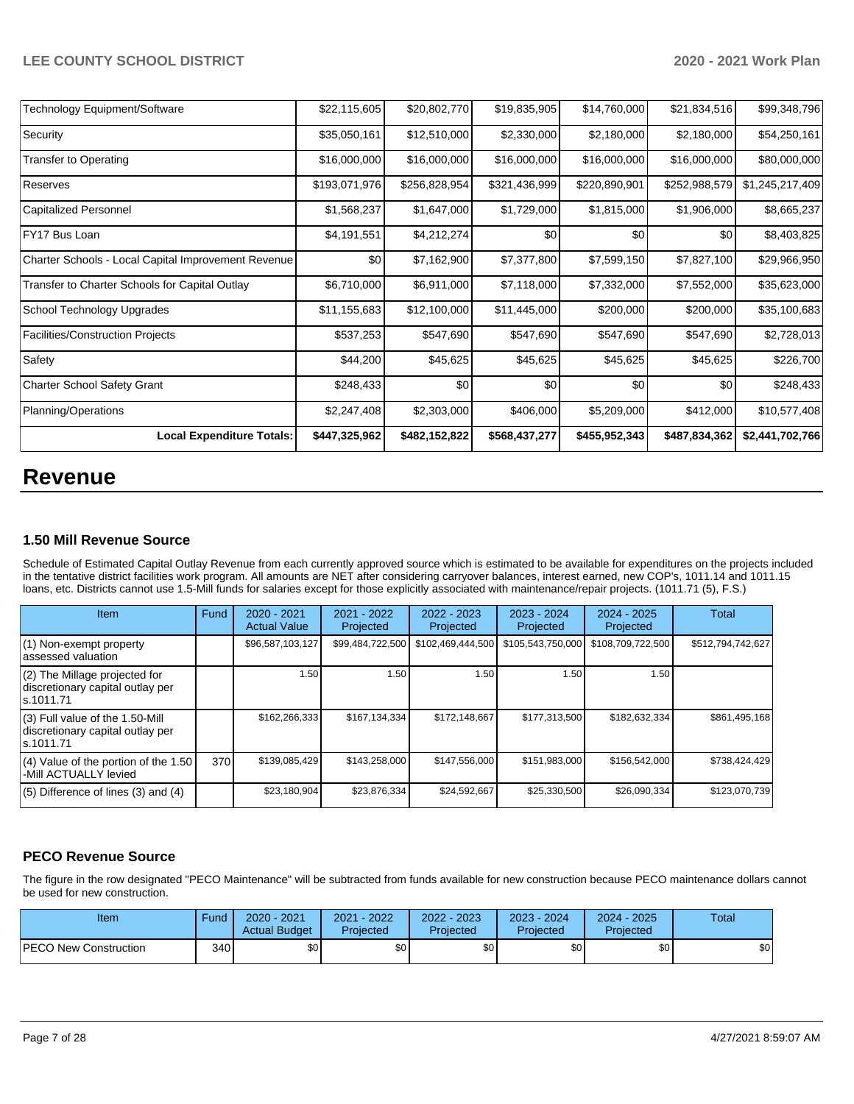| <b>Technology Equipment/Software</b>                | \$22,115,605  | \$20,802,770  | \$19,835,905  | \$14,760,000  | \$21,834,516  | \$99,348,796    |
|-----------------------------------------------------|---------------|---------------|---------------|---------------|---------------|-----------------|
| Security                                            | \$35,050,161  | \$12,510,000  | \$2,330,000   | \$2,180,000   | \$2,180,000   | \$54,250,161    |
| <b>Transfer to Operating</b>                        | \$16,000,000  | \$16,000,000  | \$16,000,000  | \$16,000,000  | \$16,000,000  | \$80,000,000    |
| Reserves                                            | \$193,071,976 | \$256,828,954 | \$321,436,999 | \$220,890,901 | \$252,988,579 | \$1,245,217,409 |
| <b>Capitalized Personnel</b>                        | \$1,568,237   | \$1,647,000   | \$1,729,000   | \$1,815,000   | \$1,906,000   | \$8,665,237     |
| FY17 Bus Loan                                       | \$4,191,551   | \$4,212,274   | \$0           | \$0           | \$0           | \$8,403,825     |
| Charter Schools - Local Capital Improvement Revenue | \$0           | \$7,162,900   | \$7,377,800   | \$7,599,150   | \$7,827,100   | \$29,966,950    |
| Transfer to Charter Schools for Capital Outlay      | \$6,710,000   | \$6,911,000   | \$7,118,000   | \$7,332,000   | \$7,552,000   | \$35,623,000    |
| School Technology Upgrades                          | \$11,155,683  | \$12,100,000  | \$11,445,000  | \$200,000     | \$200,000     | \$35,100,683    |
| Facilities/Construction Projects                    | \$537,253     | \$547,690     | \$547,690     | \$547,690     | \$547,690     | \$2,728,013     |
| Safety                                              | \$44,200      | \$45,625      | \$45,625      | \$45,625      | \$45,625      | \$226,700       |
| Charter School Safety Grant                         | \$248,433     | \$0           | \$0           | \$0           | \$0           | \$248,433       |
| Planning/Operations                                 | \$2,247,408   | \$2,303,000   | \$406,000     | \$5,209,000   | \$412,000     | \$10,577,408    |
| <b>Local Expenditure Totals:</b>                    | \$447,325,962 | \$482,152,822 | \$568,437,277 | \$455,952,343 | \$487,834,362 | \$2,441,702,766 |

# **Revenue**

### **1.50 Mill Revenue Source**

Schedule of Estimated Capital Outlay Revenue from each currently approved source which is estimated to be available for expenditures on the projects included in the tentative district facilities work program. All amounts are NET after considering carryover balances, interest earned, new COP's, 1011.14 and 1011.15 loans, etc. Districts cannot use 1.5-Mill funds for salaries except for those explicitly associated with maintenance/repair projects. (1011.71 (5), F.S.)

| Item                                                                                | Fund | $2020 - 2021$<br><b>Actual Value</b> | $2021 - 2022$<br>Projected | 2022 - 2023<br>Projected | 2023 - 2024<br>Projected | $2024 - 2025$<br>Projected | Total             |
|-------------------------------------------------------------------------------------|------|--------------------------------------|----------------------------|--------------------------|--------------------------|----------------------------|-------------------|
| (1) Non-exempt property<br>lassessed valuation                                      |      | \$96,587,103,127                     | \$99,484,722,500           | \$102,469,444,500        | \$105,543,750,000        | \$108,709,722,500          | \$512,794,742,627 |
| (2) The Millage projected for<br>discretionary capital outlay per<br>ls.1011.71     |      | 1.50                                 | 1.50                       | 1.50                     | 1.50                     | 1.50                       |                   |
| $(3)$ Full value of the 1.50-Mill<br>discretionary capital outlay per<br>ls.1011.71 |      | \$162,266,333                        | \$167,134,334              | \$172,148,667            | \$177,313,500            | \$182,632,334              | \$861,495,168     |
| $(4)$ Value of the portion of the 1.50<br>-Mill ACTUALLY levied                     | 370  | \$139,085,429                        | \$143,258,000              | \$147,556,000            | \$151,983,000            | \$156,542,000              | \$738,424,429     |
| $(5)$ Difference of lines $(3)$ and $(4)$                                           |      | \$23,180,904                         | \$23,876,334               | \$24,592,667             | \$25,330,500             | \$26,090,334               | \$123,070,739     |

# **PECO Revenue Source**

The figure in the row designated "PECO Maintenance" will be subtracted from funds available for new construction because PECO maintenance dollars cannot be used for new construction.

| Item                         | Fund         | 2020 - 2021<br><b>Actual Budget</b> | 2021 - 2022<br>Projected | 2022 - 2023<br>Projected | 2023 - 2024<br>Projected | $2024 - 2025$<br>Projected | Total |
|------------------------------|--------------|-------------------------------------|--------------------------|--------------------------|--------------------------|----------------------------|-------|
| <b>PECO New Construction</b> | 340 <b>I</b> | <b>SO</b>                           | \$0                      | \$0                      | \$0 <sub>1</sub>         | \$0                        | \$0   |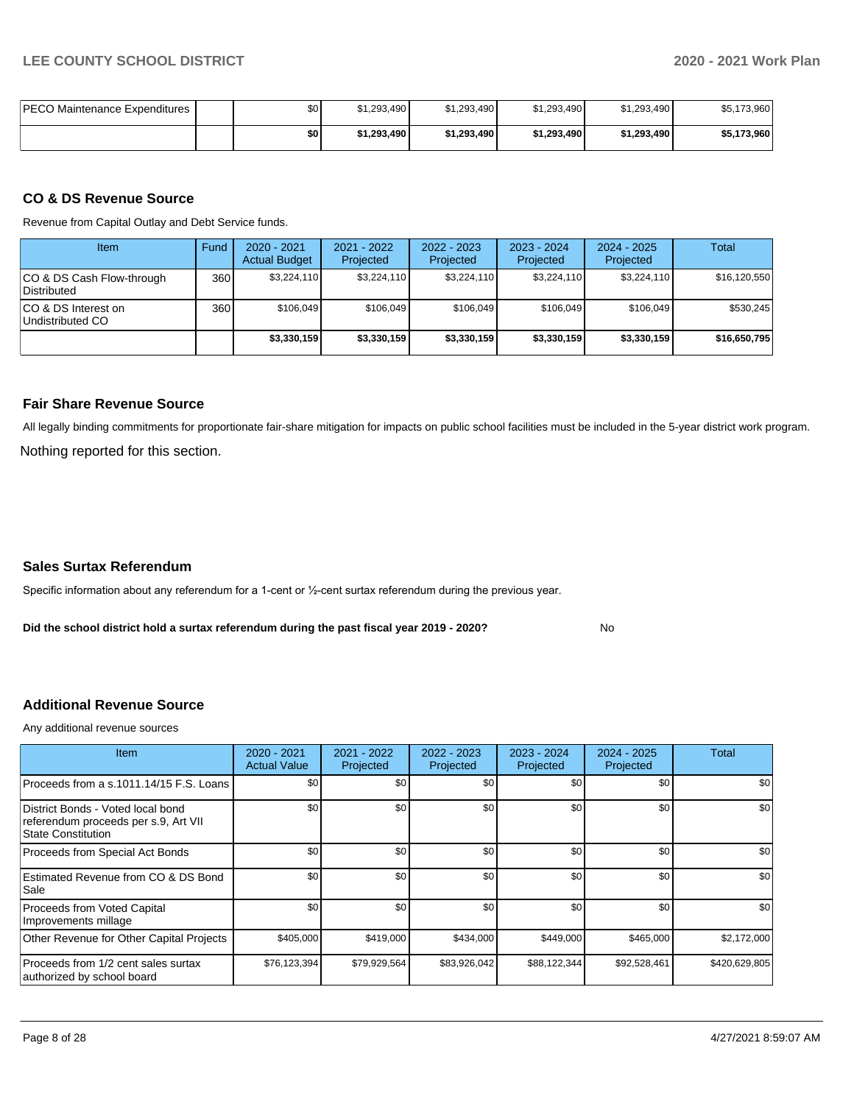| PECO Maintenance Expenditures | \$0 <sub>1</sub> | \$1.293.490 | \$1.293.490 | \$1.293.490 | \$1,293,490 | \$5,173,960 |
|-------------------------------|------------------|-------------|-------------|-------------|-------------|-------------|
|                               | \$0              | \$1.293.490 | \$1,293,490 | \$1.293.490 | \$1.293.490 | \$5,173,960 |

#### **CO & DS Revenue Source**

Revenue from Capital Outlay and Debt Service funds.

| <b>Item</b>                               | Fund | 2020 - 2021<br><b>Actual Budget</b> | 2021 - 2022<br>Projected | 2022 - 2023<br>Projected | $2023 - 2024$<br>Projected | $2024 - 2025$<br>Projected | Total        |
|-------------------------------------------|------|-------------------------------------|--------------------------|--------------------------|----------------------------|----------------------------|--------------|
| ICO & DS Cash Flow-through<br>Distributed | 360  | \$3.224.110                         | \$3,224,110              | \$3,224,110              | \$3,224,110                | \$3,224,110                | \$16,120,550 |
| ICO & DS Interest on<br>Undistributed CO  | 360  | \$106.049                           | \$106.049                | \$106.049                | \$106.049                  | \$106.049                  | \$530.245    |
|                                           |      | \$3,330,159                         | \$3,330,159              | \$3,330,159              | \$3,330,159                | \$3,330,159                | \$16,650,795 |

#### **Fair Share Revenue Source**

Nothing reported for this section. All legally binding commitments for proportionate fair-share mitigation for impacts on public school facilities must be included in the 5-year district work program.

#### **Sales Surtax Referendum**

Specific information about any referendum for a 1-cent or ½-cent surtax referendum during the previous year.

**Did the school district hold a surtax referendum during the past fiscal year 2019 - 2020?**

No

## **Additional Revenue Source**

Any additional revenue sources

| <b>Item</b>                                                                                     | 2020 - 2021<br><b>Actual Value</b> | $2021 - 2022$<br>Projected | 2022 - 2023<br>Projected | 2023 - 2024<br>Projected | 2024 - 2025<br>Projected | Total         |
|-------------------------------------------------------------------------------------------------|------------------------------------|----------------------------|--------------------------|--------------------------|--------------------------|---------------|
| Proceeds from a s.1011.14/15 F.S. Loans                                                         | \$0                                | \$0                        | \$0                      | \$0                      | \$0                      | \$0           |
| District Bonds - Voted local bond<br>referendum proceeds per s.9, Art VII<br>State Constitution | \$0                                | \$0                        | \$0                      | \$0                      | \$0                      | \$0           |
| Proceeds from Special Act Bonds                                                                 | \$0                                | \$0                        | \$0                      | \$0                      | \$0                      | \$0           |
| Estimated Revenue from CO & DS Bond<br>Sale                                                     | \$0                                | \$0                        | \$0                      | \$0                      | \$0                      | \$0           |
| Proceeds from Voted Capital<br>Improvements millage                                             | \$0                                | \$0                        | \$0                      | \$0                      | \$0                      | \$0           |
| Other Revenue for Other Capital Projects                                                        | \$405,000                          | \$419,000                  | \$434,000                | \$449,000                | \$465,000                | \$2,172,000   |
| Proceeds from 1/2 cent sales surtax<br>authorized by school board                               | \$76,123,394                       | \$79,929,564               | \$83,926,042             | \$88,122,344             | \$92,528,461             | \$420,629,805 |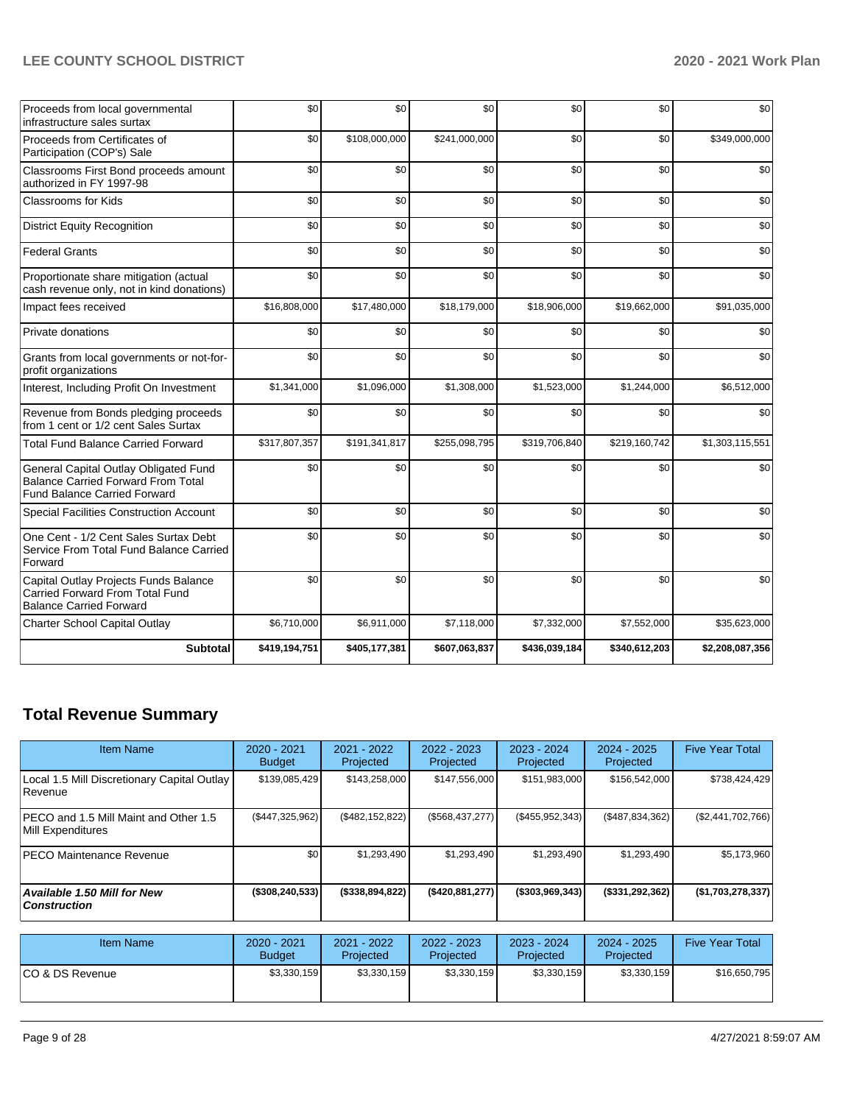| Proceeds from local governmental<br>infrastructure sales surtax                                                           | \$0           | \$0           | \$0           | \$0           | \$0           | \$0             |
|---------------------------------------------------------------------------------------------------------------------------|---------------|---------------|---------------|---------------|---------------|-----------------|
| Proceeds from Certificates of<br>Participation (COP's) Sale                                                               | \$0           | \$108,000,000 | \$241,000,000 | \$0           | \$0           | \$349,000,000   |
| Classrooms First Bond proceeds amount<br>authorized in FY 1997-98                                                         | \$0           | \$0           | \$0           | \$0           | \$0           | \$0             |
| <b>Classrooms for Kids</b>                                                                                                | \$0           | \$0           | \$0           | \$0           | \$0           | \$0             |
| <b>District Equity Recognition</b>                                                                                        | \$0           | \$0           | \$0           | \$0           | \$0           | \$0             |
| <b>Federal Grants</b>                                                                                                     | \$0           | \$0           | \$0           | \$0           | \$0           | \$0             |
| Proportionate share mitigation (actual<br>cash revenue only, not in kind donations)                                       | \$0           | \$0           | \$0           | \$0           | \$0           | \$0             |
| Impact fees received                                                                                                      | \$16,808,000  | \$17,480,000  | \$18,179,000  | \$18,906,000  | \$19,662,000  | \$91,035,000    |
| Private donations                                                                                                         | \$0           | \$0           | \$0           | \$0           | \$0           | \$0             |
| Grants from local governments or not-for-<br>profit organizations                                                         | \$0           | \$0           | \$0           | \$0           | \$0           | \$0             |
| Interest, Including Profit On Investment                                                                                  | \$1,341,000   | \$1,096,000   | \$1,308,000   | \$1,523,000   | \$1,244,000   | \$6,512,000     |
| Revenue from Bonds pledging proceeds<br>from 1 cent or 1/2 cent Sales Surtax                                              | \$0           | \$0           | \$0           | \$0           | \$0           | \$0             |
| <b>Total Fund Balance Carried Forward</b>                                                                                 | \$317,807,357 | \$191,341,817 | \$255,098,795 | \$319,706,840 | \$219,160,742 | \$1,303,115,551 |
| General Capital Outlay Obligated Fund<br><b>Balance Carried Forward From Total</b><br><b>Fund Balance Carried Forward</b> | \$0           | \$0           | \$0           | \$0           | \$0           | \$0             |
| <b>Special Facilities Construction Account</b>                                                                            | \$0           | \$0           | \$0           | \$0           | \$0           | \$0             |
| One Cent - 1/2 Cent Sales Surtax Debt<br>Service From Total Fund Balance Carried<br>Forward                               | \$0           | \$0           | \$0           | \$0           | \$0           | \$0             |
| Capital Outlay Projects Funds Balance<br>Carried Forward From Total Fund<br><b>Balance Carried Forward</b>                | \$0           | \$0           | \$0           | \$0           | \$0           | \$0             |
| <b>Charter School Capital Outlay</b>                                                                                      | \$6,710,000   | \$6,911,000   | \$7,118,000   | \$7,332,000   | \$7,552,000   | \$35,623,000    |
| <b>Subtotal</b>                                                                                                           | \$419,194,751 | \$405,177,381 | \$607,063,837 | \$436,039,184 | \$340,612,203 | \$2,208,087,356 |

# **Total Revenue Summary**

| <b>Item Name</b>                                                   | 2020 - 2021<br><b>Budget</b> | $2021 - 2022$<br>Projected | $2022 - 2023$<br>Projected | 2023 - 2024<br>Projected | 2024 - 2025<br>Projected | <b>Five Year Total</b> |
|--------------------------------------------------------------------|------------------------------|----------------------------|----------------------------|--------------------------|--------------------------|------------------------|
| Local 1.5 Mill Discretionary Capital Outlay<br>Revenue             | \$139,085,429                | \$143,258,000              | \$147,556,000              | \$151,983,000            | \$156,542,000            | \$738,424,429          |
| <b>IPECO and 1.5 Mill Maint and Other 1.5</b><br>Mill Expenditures | (\$447,325,962)              | (\$482, 152, 822)          | (\$568,437,277)            | (\$455,952,343)          | (\$487,834,362)          | (\$2,441,702,766)      |
| <b>PECO Maintenance Revenue</b>                                    | \$0 <sub>1</sub>             | \$1,293,490                | \$1,293,490                | \$1,293,490              | \$1,293,490              | \$5,173,960            |
| <b>Available 1.50 Mill for New</b><br><b>Construction</b>          | $($ \$308,240,533)           | $($ \$338,894,822)         | (\$420,881,277)            | $($ \$303,969,343)       | (\$331, 292, 362)        | (\$1,703,278,337)      |

| Item Name        | 2020 - 2021<br><b>Budget</b> | 2021 - 2022<br><b>Projected</b> | $2022 - 2023$<br>Projected | 2023 - 2024<br>Projected | 2024 - 2025<br>Projected | <b>Five Year Total</b> |
|------------------|------------------------------|---------------------------------|----------------------------|--------------------------|--------------------------|------------------------|
| ICO & DS Revenue | \$3,330,159                  | \$3,330,159                     | \$3,330,159                | \$3,330,159              | \$3,330,159              | \$16,650,795           |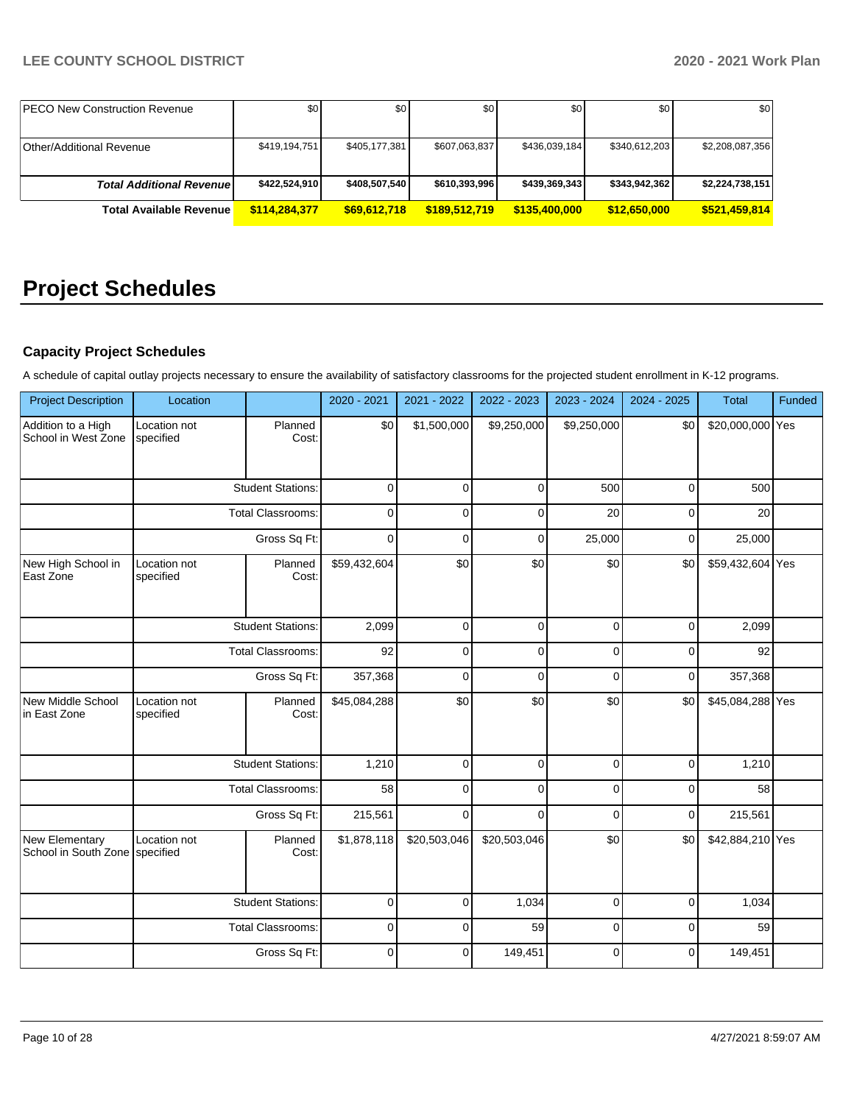| <b>IPECO New Construction Revenue</b> | \$0           | \$0           | \$0           | \$0           | \$0           | \$0             |
|---------------------------------------|---------------|---------------|---------------|---------------|---------------|-----------------|
|                                       |               |               |               |               |               |                 |
| <b>Other/Additional Revenue</b>       | \$419,194,751 | \$405.177.381 | \$607,063,837 | \$436,039,184 | \$340,612,203 | \$2,208,087,356 |
|                                       |               |               |               |               |               |                 |
| <b>Total Additional Revenuel</b>      | \$422,524,910 | \$408,507,540 | \$610,393,996 | \$439,369,343 | \$343,942,362 | \$2,224,738,151 |
| <b>Total Available Revenue</b>        | \$114,284,377 | \$69,612,718  | \$189,512,719 | \$135,400,000 | \$12,650,000  | \$521.459.814   |

# **Project Schedules**

# **Capacity Project Schedules**

A schedule of capital outlay projects necessary to ensure the availability of satisfactory classrooms for the projected student enrollment in K-12 programs.

| <b>Project Description</b>                       | Location                  |                          | 2020 - 2021  | 2021 - 2022  | 2022 - 2023  | 2023 - 2024 | 2024 - 2025 | Total            | Funded |
|--------------------------------------------------|---------------------------|--------------------------|--------------|--------------|--------------|-------------|-------------|------------------|--------|
| Addition to a High<br>School in West Zone        | Location not<br>specified | Planned<br>Cost:         | \$0          | \$1,500,000  | \$9,250,000  | \$9,250,000 | \$0         | \$20,000,000 Yes |        |
|                                                  |                           | <b>Student Stations:</b> | $\mathbf 0$  | $\Omega$     | 0            | 500         | $\pmb{0}$   | 500              |        |
|                                                  |                           | <b>Total Classrooms:</b> | $\mathbf 0$  | $\Omega$     | $\Omega$     | 20          | 0           | 20               |        |
|                                                  |                           | Gross Sq Ft:             | $\mathbf 0$  | 0            | 0            | 25,000      | 0           | 25,000           |        |
| New High School in<br>East Zone                  | Location not<br>specified | Planned<br>Cost:         | \$59,432,604 | \$0          | \$0          | \$0         | \$0         | \$59,432,604 Yes |        |
|                                                  |                           | <b>Student Stations:</b> | 2,099        | $\Omega$     | $\mathbf 0$  | 0           | $\pmb{0}$   | 2,099            |        |
|                                                  | <b>Total Classrooms:</b>  |                          | 92           | $\Omega$     | $\Omega$     | 0           | 0           | 92               |        |
|                                                  | Gross Sq Ft:              |                          | 357,368      | $\Omega$     | 0            | 0           | 0           | 357,368          |        |
| New Middle School<br>in East Zone                | Location not<br>specified | Planned<br>Cost:         | \$45,084,288 | \$0          | \$0          | \$0         | \$0         | \$45,084,288 Yes |        |
|                                                  |                           | <b>Student Stations:</b> | 1,210        | $\Omega$     | 0            | 0           | $\pmb{0}$   | 1,210            |        |
|                                                  |                           | <b>Total Classrooms:</b> | 58           | $\Omega$     | 0            | 0           | $\pmb{0}$   | 58               |        |
|                                                  |                           | Gross Sq Ft:             | 215,561      | $\Omega$     | $\Omega$     | $\Omega$    | 0           | 215,561          |        |
| New Elementary<br>School in South Zone specified | Location not              | Planned<br>Cost:         | \$1,878,118  | \$20,503,046 | \$20,503,046 | \$0         | \$0         | \$42,884,210 Yes |        |
|                                                  |                           | <b>Student Stations:</b> | $\mathbf 0$  | $\Omega$     | 1,034        | 0           | $\mathbf 0$ | 1,034            |        |
|                                                  |                           | <b>Total Classrooms:</b> | $\mathbf 0$  | $\Omega$     | 59           | 0           | 0           | 59               |        |
|                                                  |                           | Gross Sq Ft:             | $\mathbf 0$  | $\Omega$     | 149,451      | $\Omega$    | $\mathbf 0$ | 149,451          |        |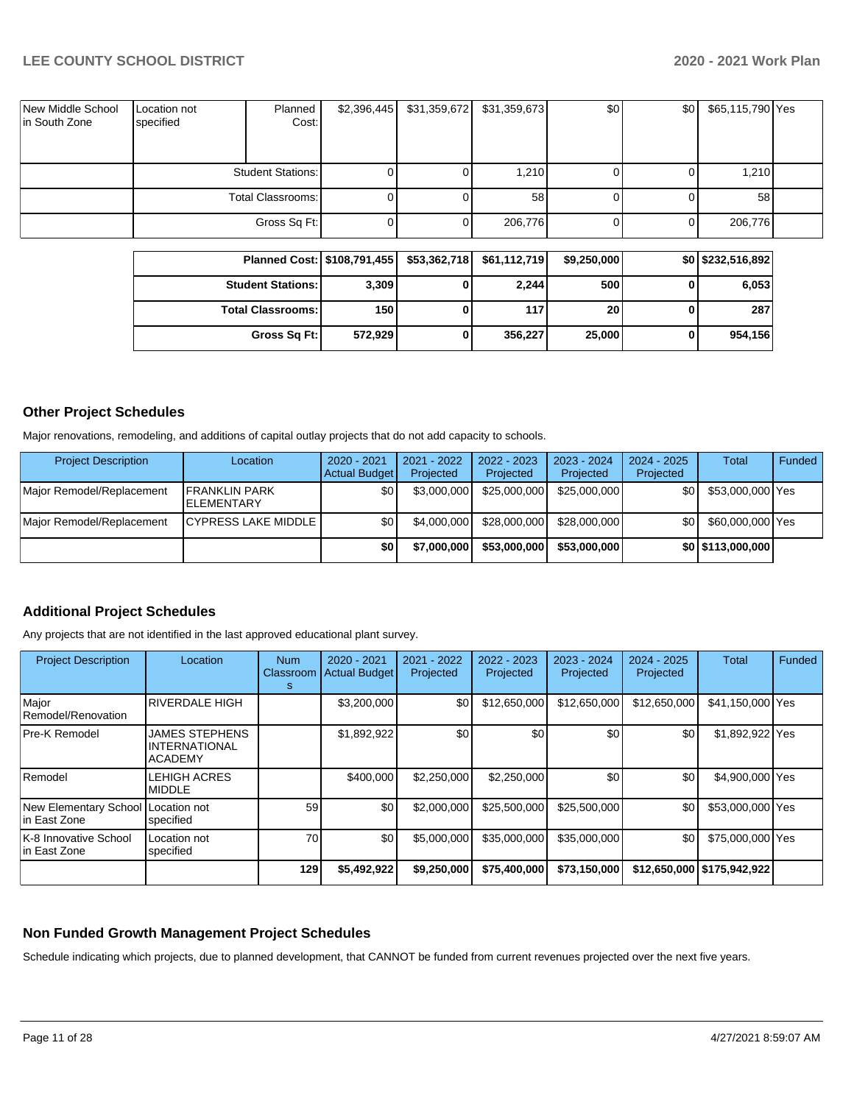| New Middle School<br>in South Zone | Location not<br>specified | Planned<br>Cost:  | \$2,396,445 | \$31,359,672 | \$31,359,673 | \$0 <sub>1</sub> | \$0 | \$65,115,790 Yes |  |
|------------------------------------|---------------------------|-------------------|-------------|--------------|--------------|------------------|-----|------------------|--|
|                                    | <b>Student Stations:</b>  |                   |             |              | 1,210        | οı               |     | 1,210            |  |
|                                    |                           | Total Classrooms: |             |              | 58           |                  |     | 58               |  |
|                                    |                           | Gross Sq Ft:      |             |              | 206,776      |                  |     | 206,776          |  |

| Planned Cost:   \$108,791,455 |         | \$53,362,718 | \$61,112,719 | \$9,250,000     | \$0 \$232,516,892] |
|-------------------------------|---------|--------------|--------------|-----------------|--------------------|
| <b>Student Stations:</b>      | 3,309   |              | 2,244        | 500             | 6,053              |
| <b>Total Classrooms: I</b>    | 150     |              | 117          | 20 <sub>1</sub> | 287                |
| Gross Sq Ft:                  | 572.929 |              | 356,227      | 25,000          | 954,156            |

#### **Other Project Schedules**

Major renovations, remodeling, and additions of capital outlay projects that do not add capacity to schools.

| <b>Project Description</b> | Location                                   | 2020 - 2021<br><b>Actual Budget</b> | 2021 - 2022<br>Projected | $2022 - 2023$<br>Projected | 2023 - 2024<br>Projected | $2024 - 2025$<br>Projected | Total             | Funded |
|----------------------------|--------------------------------------------|-------------------------------------|--------------------------|----------------------------|--------------------------|----------------------------|-------------------|--------|
| Major Remodel/Replacement  | <b>IFRANKLIN PARK</b><br><b>ELEMENTARY</b> | \$0                                 | \$3,000,000              | \$25,000,000               | \$25,000,000             | \$0 <sub>1</sub>           | \$53,000,000 Yes  |        |
| Major Remodel/Replacement  | <b>ICYPRESS LAKE MIDDLE</b>                | \$0                                 | \$4,000,000              | \$28,000,000               | \$28,000,000             | \$0                        | \$60,000,000 Yes  |        |
|                            |                                            | \$0                                 | \$7,000,000              | \$53,000,000               | \$53,000,000             |                            | \$0 \$113,000,000 |        |

### **Additional Project Schedules**

Any projects that are not identified in the last approved educational plant survey.

| <b>Project Description</b>                          | Location                                                        | <b>Num</b><br>Classroom<br>s | 2020 - 2021<br><b>Actual Budget</b> | 2021 - 2022<br>Projected | $2022 - 2023$<br>Projected | 2023 - 2024<br>Projected | $2024 - 2025$<br>Projected | Total                        | Funded |
|-----------------------------------------------------|-----------------------------------------------------------------|------------------------------|-------------------------------------|--------------------------|----------------------------|--------------------------|----------------------------|------------------------------|--------|
| Major<br>Remodel/Renovation                         | <b>RIVERDALE HIGH</b>                                           |                              | \$3,200,000                         | \$0                      | \$12,650,000               | \$12,650,000             | \$12,650,000               | \$41,150,000 Yes             |        |
| <b>Pre-K Remodel</b>                                | <b>JAMES STEPHENS</b><br><b>INTERNATIONAL</b><br><b>ACADEMY</b> |                              | \$1,892,922                         | \$0                      | \$0                        | \$0                      | \$0                        | \$1,892,922 Yes              |        |
| Remodel                                             | LEHIGH ACRES<br><b>MIDDLE</b>                                   |                              | \$400,000                           | \$2,250,000              | \$2,250,000                | \$0                      | \$0                        | \$4,900,000 Yes              |        |
| New Elementary School Location not<br>lin East Zone | specified                                                       | 59                           | \$0                                 | \$2,000,000              | \$25,500,000               | \$25,500,000             | \$0                        | \$53,000,000 Yes             |        |
| K-8 Innovative School<br>lin East Zone              | Location not<br>specified                                       | 70                           | \$0                                 | \$5,000,000              | \$35,000,000               | \$35,000,000             | \$0                        | \$75,000,000 Yes             |        |
|                                                     |                                                                 | 129                          | \$5,492,922                         | \$9,250,000              | \$75,400,000               | \$73,150,000             |                            | \$12,650,000   \$175,942,922 |        |

#### **Non Funded Growth Management Project Schedules**

Schedule indicating which projects, due to planned development, that CANNOT be funded from current revenues projected over the next five years.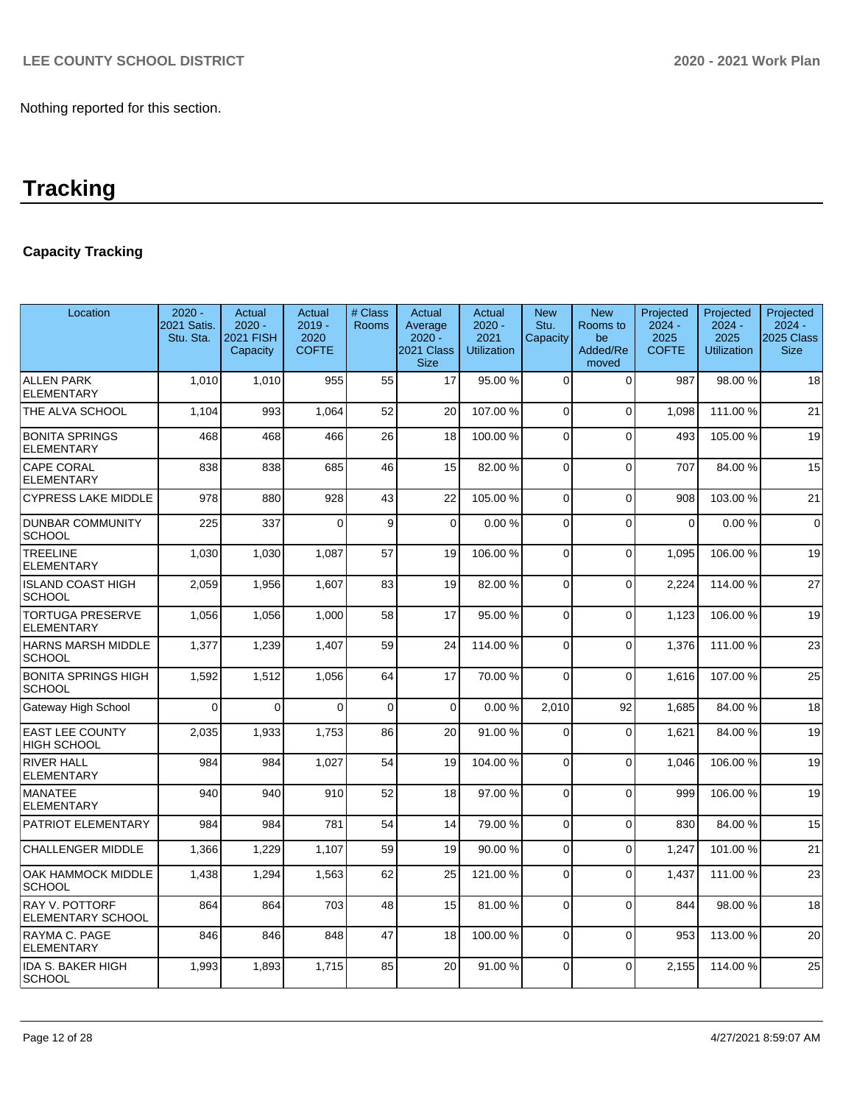# **Capacity Tracking**

| Location                                     | $2020 -$<br>2021 Satis.<br>Stu. Sta. | Actual<br>$2020 -$<br><b>2021 FISH</b><br>Capacity | Actual<br>$2019 -$<br>2020<br><b>COFTE</b> | # Class<br><b>Rooms</b> | Actual<br>Average<br>$2020 -$<br>2021 Class<br><b>Size</b> | Actual<br>$2020 -$<br>2021<br><b>Utilization</b> | <b>New</b><br>Stu.<br>Capacity | <b>New</b><br>Rooms to<br>be<br>Added/Re<br>moved | Projected<br>$2024 -$<br>2025<br><b>COFTE</b> | Projected<br>$2024 -$<br>2025<br><b>Utilization</b> | Projected<br>$2024 -$<br>2025 Class<br><b>Size</b> |
|----------------------------------------------|--------------------------------------|----------------------------------------------------|--------------------------------------------|-------------------------|------------------------------------------------------------|--------------------------------------------------|--------------------------------|---------------------------------------------------|-----------------------------------------------|-----------------------------------------------------|----------------------------------------------------|
| <b>ALLEN PARK</b><br><b>ELEMENTARY</b>       | 1.010                                | 1,010                                              | 955                                        | 55                      | 17                                                         | 95.00 %                                          | $\Omega$                       | $\Omega$                                          | 987                                           | 98.00 %                                             | 18                                                 |
| THE ALVA SCHOOL                              | 1,104                                | 993                                                | 1,064                                      | 52                      | 20                                                         | 107.00%                                          | $\Omega$                       | $\mathbf 0$                                       | 1.098                                         | 111.00 %                                            | 21                                                 |
| <b>BONITA SPRINGS</b><br><b>ELEMENTARY</b>   | 468                                  | 468                                                | 466                                        | 26                      | 18                                                         | 100.00%                                          | $\Omega$                       | $\Omega$                                          | 493                                           | 105.00 %                                            | 19                                                 |
| <b>CAPE CORAL</b><br><b>ELEMENTARY</b>       | 838                                  | 838                                                | 685                                        | 46                      | 15                                                         | 82.00%                                           | $\Omega$                       | $\Omega$                                          | 707                                           | 84.00 %                                             | 15                                                 |
| <b>CYPRESS LAKE MIDDLE</b>                   | 978                                  | 880                                                | 928                                        | 43                      | 22                                                         | 105.00%                                          | $\Omega$                       | $\Omega$                                          | 908                                           | 103.00%                                             | 21                                                 |
| <b>DUNBAR COMMUNITY</b><br><b>SCHOOL</b>     | 225                                  | 337                                                | $\Omega$                                   | 9                       | $\Omega$                                                   | 0.00%                                            | $\Omega$                       | $\Omega$                                          | $\mathbf 0$                                   | 0.00%                                               | $\overline{0}$                                     |
| <b>TREELINE</b><br><b>ELEMENTARY</b>         | 1,030                                | 1,030                                              | 1,087                                      | 57                      | 19                                                         | 106.00%                                          | $\Omega$                       | $\Omega$                                          | 1,095                                         | 106.00%                                             | 19                                                 |
| <b>ISLAND COAST HIGH</b><br><b>SCHOOL</b>    | 2,059                                | 1,956                                              | 1.607                                      | 83                      | 19                                                         | 82.00%                                           | $\Omega$                       | $\Omega$                                          | 2,224                                         | 114.00%                                             | 27                                                 |
| <b>TORTUGA PRESERVE</b><br><b>ELEMENTARY</b> | 1,056                                | 1,056                                              | 1,000                                      | 58                      | 17                                                         | 95.00 %                                          | $\Omega$                       | $\overline{0}$                                    | 1.123                                         | 106.00%                                             | 19                                                 |
| <b>HARNS MARSH MIDDLE</b><br><b>SCHOOL</b>   | 1,377                                | 1,239                                              | 1,407                                      | 59                      | 24                                                         | 114.00%                                          | $\Omega$                       | $\Omega$                                          | 1,376                                         | 111.00 %                                            | 23                                                 |
| <b>BONITA SPRINGS HIGH</b><br><b>SCHOOL</b>  | 1,592                                | 1,512                                              | 1,056                                      | 64                      | 17                                                         | 70.00%                                           | $\Omega$                       | $\Omega$                                          | 1,616                                         | 107.00%                                             | 25                                                 |
| Gateway High School                          | $\Omega$                             | $\Omega$                                           | $\Omega$                                   | $\Omega$                | $\Omega$                                                   | 0.00%                                            | 2.010                          | 92                                                | 1.685                                         | 84.00%                                              | 18                                                 |
| <b>EAST LEE COUNTY</b><br><b>HIGH SCHOOL</b> | 2,035                                | 1,933                                              | 1,753                                      | 86                      | 20                                                         | 91.00%                                           | $\Omega$                       | $\Omega$                                          | 1,621                                         | 84.00%                                              | 19                                                 |
| <b>RIVER HALL</b><br><b>ELEMENTARY</b>       | 984                                  | 984                                                | 1,027                                      | 54                      | 19                                                         | 104.00%                                          | $\Omega$                       | $\mathbf 0$                                       | 1,046                                         | 106.00%                                             | 19                                                 |
| <b>MANATEE</b><br><b>ELEMENTARY</b>          | 940                                  | 940                                                | 910                                        | 52                      | 18                                                         | 97.00 %                                          | $\Omega$                       | $\Omega$                                          | 999                                           | 106.00%                                             | 19                                                 |
| PATRIOT ELEMENTARY                           | 984                                  | 984                                                | 781                                        | 54                      | 14                                                         | 79.00 %                                          | $\Omega$                       | $\mathbf{0}$                                      | 830                                           | 84.00%                                              | 15                                                 |
| <b>CHALLENGER MIDDLE</b>                     | 1,366                                | 1,229                                              | 1,107                                      | 59                      | 19                                                         | 90.00%                                           | $\Omega$                       | $\Omega$                                          | 1,247                                         | 101.00%                                             | 21                                                 |
| <b>OAK HAMMOCK MIDDLE</b><br><b>SCHOOL</b>   | 1,438                                | 1,294                                              | 1,563                                      | 62                      | 25                                                         | 121.00%                                          | $\Omega$                       | $\Omega$                                          | 1,437                                         | 111.00 %                                            | 23                                                 |
| <b>RAY V. POTTORF</b><br>ELEMENTARY SCHOOL   | 864                                  | 864                                                | 703                                        | 48                      | 15                                                         | 81.00%                                           | $\Omega$                       | 0                                                 | 844                                           | 98.00 %                                             | 18                                                 |
| RAYMA C. PAGE<br><b>ELEMENTARY</b>           | 846                                  | 846                                                | 848                                        | 47                      | 18                                                         | 100.00%                                          | $\Omega$                       | $\mathbf 0$                                       | 953                                           | 113.00 %                                            | 20                                                 |
| <b>IDA S. BAKER HIGH</b><br>SCHOOL           | 1.993                                | 1,893                                              | 1.715                                      | 85                      | 20                                                         | 91.00 %                                          | $\Omega$                       | $\Omega$                                          | 2.155                                         | 114.00 %                                            | 25                                                 |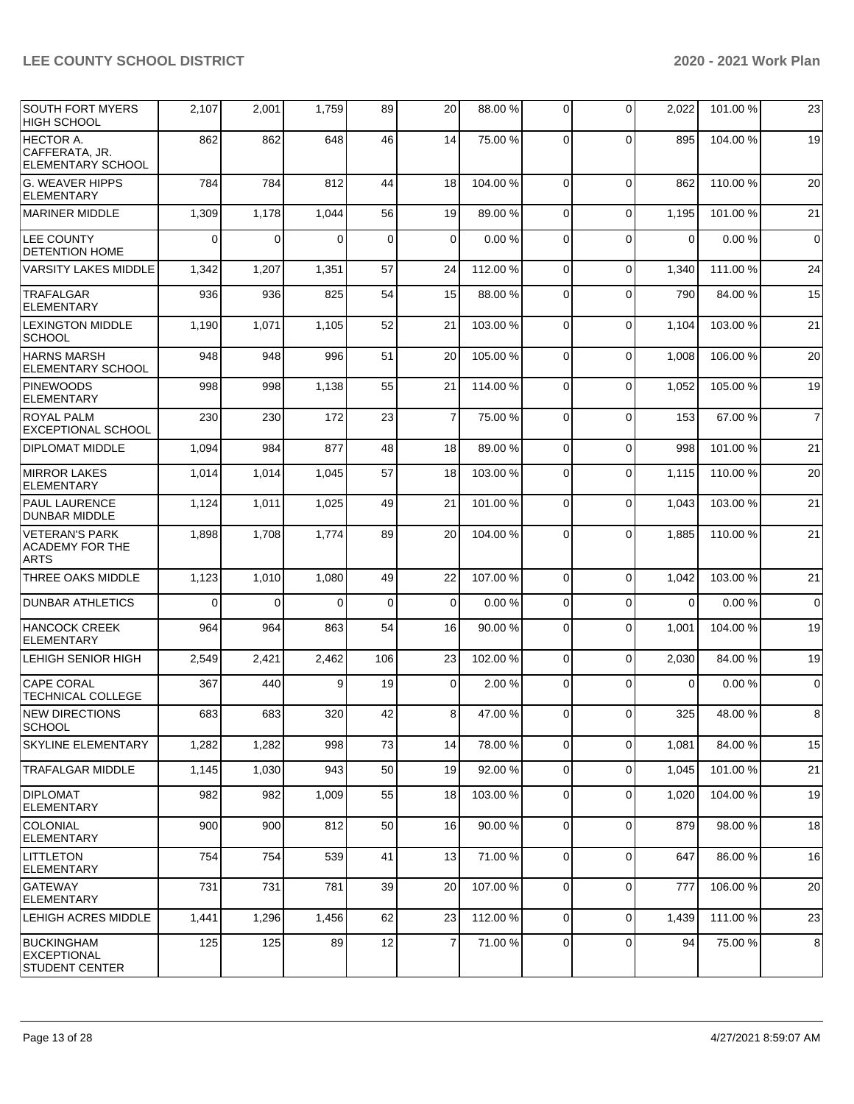| <b>SOUTH FORT MYERS</b><br><b>HIGH SCHOOL</b>             | 2,107    | 2,001    | 1,759    | 89          | 20             | 88.00 %  | $\Omega$    | $\mathbf 0$ | 2,022    | 101.00 % | 23             |
|-----------------------------------------------------------|----------|----------|----------|-------------|----------------|----------|-------------|-------------|----------|----------|----------------|
| HECTOR A.<br>CAFFERATA, JR.<br>ELEMENTARY SCHOOL          | 862      | 862      | 648      | 46          | 14             | 75.00 %  | $\Omega$    | $\Omega$    | 895      | 104.00%  | 19             |
| <b>G. WEAVER HIPPS</b><br><b>ELEMENTARY</b>               | 784      | 784      | 812      | 44          | 18             | 104.00%  | $\Omega$    | $\Omega$    | 862      | 110.00%  | 20             |
| <b>MARINER MIDDLE</b>                                     | 1,309    | 1,178    | 1,044    | 56          | 19             | 89.00 %  | $\Omega$    | $\Omega$    | 1,195    | 101.00%  | 21             |
| <b>LEE COUNTY</b><br><b>DETENTION HOME</b>                | $\Omega$ | $\Omega$ | $\Omega$ | $\mathbf 0$ | $\Omega$       | 0.00%    | $\Omega$    | $\Omega$    | $\Omega$ | 0.00%    | $\mathbf 0$    |
| <b>VARSITY LAKES MIDDLE</b>                               | 1,342    | 1,207    | 1,351    | 57          | 24             | 112.00%  | $\Omega$    | $\Omega$    | 1,340    | 111.00 % | 24             |
| <b>TRAFALGAR</b><br><b>ELEMENTARY</b>                     | 936      | 936      | 825      | 54          | 15             | 88.00 %  | $\Omega$    | $\Omega$    | 790      | 84.00 %  | 15             |
| <b>LEXINGTON MIDDLE</b><br><b>SCHOOL</b>                  | 1,190    | 1,071    | 1,105    | 52          | 21             | 103.00 % | 0           | $\mathbf 0$ | 1,104    | 103.00%  | 21             |
| <b>HARNS MARSH</b><br>ELEMENTARY SCHOOL                   | 948      | 948      | 996      | 51          | 20             | 105.00 % | $\Omega$    | $\mathbf 0$ | 1,008    | 106.00%  | 20             |
| <b>PINEWOODS</b><br><b>ELEMENTARY</b>                     | 998      | 998      | 1,138    | 55          | 21             | 114.00%  | $\Omega$    | $\Omega$    | 1,052    | 105.00 % | 19             |
| <b>ROYAL PALM</b><br><b>EXCEPTIONAL SCHOOL</b>            | 230      | 230      | 172      | 23          | $\overline{7}$ | 75.00 %  | $\Omega$    | $\mathbf 0$ | 153      | 67.00 %  | $\overline{7}$ |
| <b>DIPLOMAT MIDDLE</b>                                    | 1,094    | 984      | 877      | 48          | 18             | 89.00 %  | $\Omega$    | $\Omega$    | 998      | 101.00%  | 21             |
| <b>MIRROR LAKES</b><br><b>ELEMENTARY</b>                  | 1,014    | 1,014    | 1,045    | 57          | 18             | 103.00%  | $\Omega$    | $\mathbf 0$ | 1,115    | 110.00%  | 20             |
| PAUL LAURENCE<br>DUNBAR MIDDLE                            | 1,124    | 1,011    | 1,025    | 49          | 21             | 101.00%  | $\Omega$    | $\Omega$    | 1,043    | 103.00 % | 21             |
| <b>VETERAN'S PARK</b><br>ACADEMY FOR THE<br><b>ARTS</b>   | 1,898    | 1,708    | 1,774    | 89          | 20             | 104.00%  | $\Omega$    | $\Omega$    | 1,885    | 110.00%  | 21             |
| THREE OAKS MIDDLE                                         | 1,123    | 1,010    | 1,080    | 49          | 22             | 107.00%  | $\Omega$    | $\Omega$    | 1,042    | 103.00%  | 21             |
| <b>DUNBAR ATHLETICS</b>                                   | $\Omega$ | $\Omega$ | $\Omega$ | $\mathbf 0$ | $\Omega$       | 0.00%    | $\Omega$    | $\mathbf 0$ | $\Omega$ | 0.00%    | $\mathbf 0$    |
| <b>HANCOCK CREEK</b><br><b>ELEMENTARY</b>                 | 964      | 964      | 863      | 54          | 16             | 90.00 %  | $\Omega$    | $\mathbf 0$ | 1,001    | 104.00%  | 19             |
| LEHIGH SENIOR HIGH                                        | 2,549    | 2,421    | 2,462    | 106         | 23             | 102.00%  | $\mathbf 0$ | $\mathbf 0$ | 2,030    | 84.00 %  | 19             |
| <b>CAPE CORAL</b><br><b>TECHNICAL COLLEGE</b>             | 367      | 440      | 9        | 19          | $\overline{0}$ | 2.00 %   | $\mathbf 0$ | $\Omega$    | 0        | 0.00%    | $\mathbf 0$    |
| <b>NEW DIRECTIONS</b><br><b>SCHOOL</b>                    | 683      | 683      | 320      | 42          | 8              | 47.00 %  | $\mathbf 0$ | $\Omega$    | 325      | 48.00 %  | 8              |
| <b>SKYLINE ELEMENTARY</b>                                 | 1,282    | 1,282    | 998      | 73          | 14             | 78.00 %  | $\Omega$    | $\mathbf 0$ | 1,081    | 84.00 %  | 15             |
| TRAFALGAR MIDDLE                                          | 1,145    | 1,030    | 943      | 50          | 19             | 92.00 %  | $\mathbf 0$ | $\mathbf 0$ | 1,045    | 101.00%  | 21             |
| <b>DIPLOMAT</b><br><b>ELEMENTARY</b>                      | 982      | 982      | 1,009    | 55          | 18             | 103.00 % | $\Omega$    | $\mathbf 0$ | 1,020    | 104.00 % | 19             |
| <b>COLONIAL</b><br><b>ELEMENTARY</b>                      | 900      | 900      | 812      | 50          | 16             | 90.00 %  | 0           | $\mathbf 0$ | 879      | 98.00 %  | 18             |
| <b>LITTLETON</b><br><b>ELEMENTARY</b>                     | 754      | 754      | 539      | 41          | 13             | 71.00 %  | $\mathbf 0$ | $\mathbf 0$ | 647      | 86.00 %  | 16             |
| <b>GATEWAY</b><br><b>ELEMENTARY</b>                       | 731      | 731      | 781      | 39          | 20             | 107.00%  | $\Omega$    | $\mathbf 0$ | 777      | 106.00%  | 20             |
| LEHIGH ACRES MIDDLE                                       | 1,441    | 1,296    | 1,456    | 62          | 23             | 112.00%  | 0           | $\mathbf 0$ | 1,439    | 111.00%  | 23             |
| <b>BUCKINGHAM</b><br>EXCEPTIONAL<br><b>STUDENT CENTER</b> | 125      | 125      | 89       | 12          | $\overline{7}$ | 71.00%   | 0           | $\mathbf 0$ | 94       | 75.00 %  | 8              |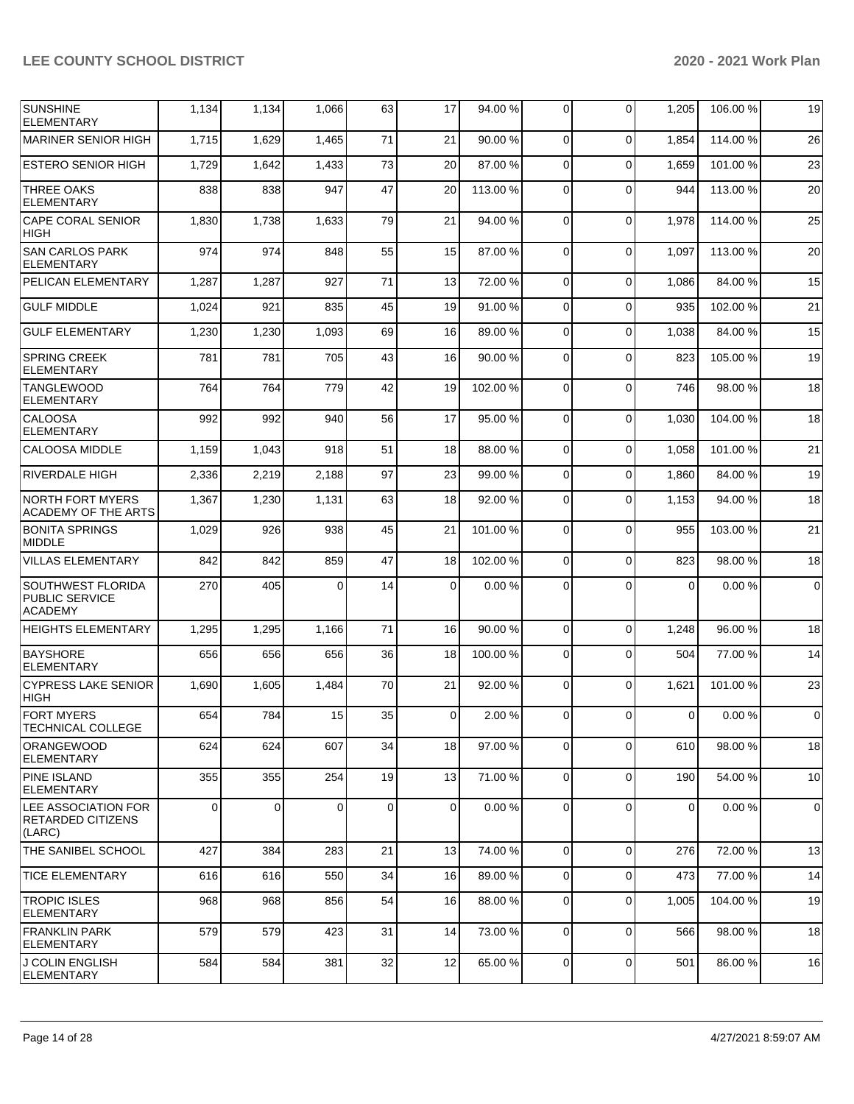| <b>SUNSHINE</b><br><b>ELEMENTARY</b>                                | 1,134 | 1,134          | 1,066    | 63          | 17             | 94.00 %  | 0           | $\Omega$    | 1,205          | 106.00 % | 19             |
|---------------------------------------------------------------------|-------|----------------|----------|-------------|----------------|----------|-------------|-------------|----------------|----------|----------------|
| <b>MARINER SENIOR HIGH</b>                                          | 1,715 | 1,629          | 1,465    | 71          | 21             | 90.00 %  | $\Omega$    | $\Omega$    | 1,854          | 114.00%  | 26             |
| <b>ESTERO SENIOR HIGH</b>                                           | 1,729 | 1,642          | 1,433    | 73          | 20             | 87.00 %  | $\Omega$    | $\Omega$    | 1,659          | 101.00%  | 23             |
| <b>THREE OAKS</b><br><b>ELEMENTARY</b>                              | 838   | 838            | 947      | 47          | 20             | 113.00 % | $\Omega$    | $\Omega$    | 944            | 113.00 % | 20             |
| <b>CAPE CORAL SENIOR</b><br><b>HIGH</b>                             | 1,830 | 1,738          | 1,633    | 79          | 21             | 94.00 %  | $\Omega$    | $\Omega$    | 1,978          | 114.00 % | 25             |
| <b>SAN CARLOS PARK</b><br><b>ELEMENTARY</b>                         | 974   | 974            | 848      | 55          | 15             | 87.00 %  | $\Omega$    | $\Omega$    | 1,097          | 113.00 % | 20             |
| PELICAN ELEMENTARY                                                  | 1,287 | 1,287          | 927      | 71          | 13             | 72.00 %  | $\Omega$    | $\Omega$    | 1,086          | 84.00%   | 15             |
| <b>GULF MIDDLE</b>                                                  | 1,024 | 921            | 835      | 45          | 19             | 91.00 %  | $\Omega$    | $\Omega$    | 935            | 102.00%  | 21             |
| <b>GULF ELEMENTARY</b>                                              | 1,230 | 1,230          | 1,093    | 69          | 16             | 89.00 %  | $\mathbf 0$ | $\Omega$    | 1,038          | 84.00%   | 15             |
| <b>SPRING CREEK</b><br><b>ELEMENTARY</b>                            | 781   | 781            | 705      | 43          | 16             | 90.00 %  | $\Omega$    | $\Omega$    | 823            | 105.00 % | 19             |
| <b>TANGLEWOOD</b><br><b>ELEMENTARY</b>                              | 764   | 764            | 779      | 42          | 19             | 102.00%  | $\Omega$    | $\Omega$    | 746            | 98.00 %  | 18             |
| <b>CALOOSA</b><br><b>ELEMENTARY</b>                                 | 992   | 992            | 940      | 56          | 17             | 95.00 %  | $\Omega$    | $\Omega$    | 1,030          | 104.00 % | 18             |
| <b>CALOOSA MIDDLE</b>                                               | 1,159 | 1,043          | 918      | 51          | 18             | 88.00 %  | $\Omega$    | $\Omega$    | 1,058          | 101.00%  | 21             |
| <b>RIVERDALE HIGH</b>                                               | 2,336 | 2,219          | 2,188    | 97          | 23             | 99.00 %  | $\Omega$    | $\Omega$    | 1,860          | 84.00%   | 19             |
| <b>NORTH FORT MYERS</b><br>ACADEMY OF THE ARTS                      | 1,367 | 1,230          | 1,131    | 63          | 18             | 92.00 %  | $\Omega$    | $\Omega$    | 1,153          | 94.00 %  | 18             |
| <b>BONITA SPRINGS</b><br><b>MIDDLE</b>                              | 1,029 | 926            | 938      | 45          | 21             | 101.00%  | $\Omega$    | $\Omega$    | 955            | 103.00 % | 21             |
| <b>VILLAS ELEMENTARY</b>                                            | 842   | 842            | 859      | 47          | 18             | 102.00%  | $\mathbf 0$ | $\Omega$    | 823            | 98.00 %  | 18             |
| <b>SOUTHWEST FLORIDA</b><br><b>PUBLIC SERVICE</b><br><b>ACADEMY</b> | 270   | 405            | 0        | 14          | 0              | 0.00%    | 0           | $\Omega$    | 0              | 0.00%    | $\overline{0}$ |
| <b>HEIGHTS ELEMENTARY</b>                                           | 1,295 | 1,295          | 1,166    | 71          | 16             | 90.00 %  | $\Omega$    | $\Omega$    | 1,248          | 96.00 %  | 18             |
| <b>BAYSHORE</b><br><b>ELEMENTARY</b>                                | 656   | 656            | 656      | 36          | 18             | 100.00%  | $\Omega$    | $\Omega$    | 504            | 77.00 %  | 14             |
| <b>CYPRESS LAKE SENIOR</b><br><b>HIGH</b>                           | 1,690 | 1,605          | 1,484    | 70          | 21             | 92.00 %  | $\Omega$    | $\Omega$    | 1,621          | 101.00 % | 23             |
| <b>FORT MYERS</b><br><b>TECHNICAL COLLEGE</b>                       | 654   | 784            | 15       | 35          | $\overline{0}$ | 2.00 %   | 0           | 0           | $\overline{0}$ | 0.00%    | $\overline{0}$ |
| <b>ORANGEWOOD</b><br><b>ELEMENTARY</b>                              | 624   | 624            | 607      | 34          | 18             | 97.00 %  | 0           | $\Omega$    | 610            | 98.00 %  | 18             |
| <b>PINE ISLAND</b><br><b>ELEMENTARY</b>                             | 355   | 355            | 254      | 19          | 13             | 71.00 %  | $\Omega$    | $\Omega$    | 190            | 54.00 %  | 10             |
| <b>LEE ASSOCIATION FOR</b><br><b>RETARDED CITIZENS</b><br>(LARC)    | 0     | $\overline{0}$ | $\Omega$ | $\mathbf 0$ | $\mathbf 0$    | 0.00%    | 0           | $\Omega$    | $\overline{0}$ | 0.00%    | $\overline{0}$ |
| THE SANIBEL SCHOOL                                                  | 427   | 384            | 283      | 21          | 13             | 74.00 %  | $\Omega$    | $\Omega$    | 276            | 72.00 %  | 13             |
| <b>TICE ELEMENTARY</b>                                              | 616   | 616            | 550      | 34          | 16             | 89.00%   | 0           | $\mathbf 0$ | 473            | 77.00 %  | 14             |
| <b>TROPIC ISLES</b><br><b>ELEMENTARY</b>                            | 968   | 968            | 856      | 54          | 16             | 88.00 %  | 0           | $\mathbf 0$ | 1,005          | 104.00 % | 19             |
| FRANKLIN PARK<br><b>ELEMENTARY</b>                                  | 579   | 579            | 423      | 31          | 14             | 73.00 %  | $\mathbf 0$ | $\Omega$    | 566            | 98.00 %  | 18             |
| <b>J COLIN ENGLISH</b><br><b>ELEMENTARY</b>                         | 584   | 584            | 381      | 32          | 12             | 65.00 %  | 0           | $\mathbf 0$ | 501            | 86.00 %  | 16             |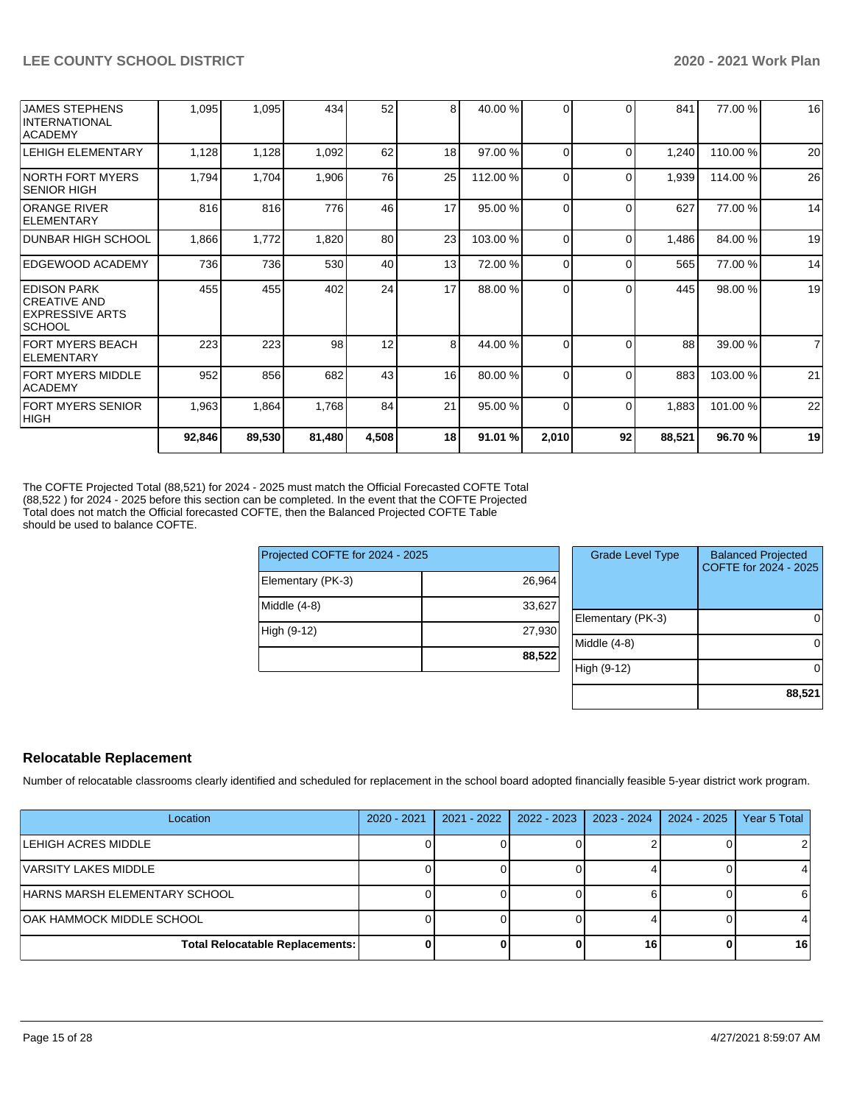| <b>JAMES STEPHENS</b><br><b>INTERNATIONAL</b>                                  | 1,095  | 1,095  | 434    | 52    | 8  | 40.00 %  | 0        | $\Omega$ | 841    | 77.00 %  | 16             |
|--------------------------------------------------------------------------------|--------|--------|--------|-------|----|----------|----------|----------|--------|----------|----------------|
| <b>ACADEMY</b>                                                                 |        |        |        |       |    |          |          |          |        |          |                |
| <b>LEHIGH ELEMENTARY</b>                                                       | 1,128  | 1,128  | 1,092  | 62    | 18 | 97.00 %  | 0        | $\Omega$ | 1,240  | 110.00%  | 20             |
| INORTH FORT MYERS<br><b>SENIOR HIGH</b>                                        | 1,794  | 1,704  | 1,906  | 76    | 25 | 112.00 % | $\Omega$ | $\Omega$ | 1,939  | 114.00 % | 26             |
| <b>ORANGE RIVER</b><br><b>IELEMENTARY</b>                                      | 816    | 816    | 776    | 46    | 17 | 95.00 %  | 0        | $\Omega$ | 627    | 77.00 %  | 14             |
| <b>DUNBAR HIGH SCHOOL</b>                                                      | 1,866  | 1,772  | 1,820  | 80    | 23 | 103.00 % | 0        | $\Omega$ | 1,486  | 84.00 %  | 19             |
| EDGEWOOD ACADEMY                                                               | 736    | 736    | 530    | 40    | 13 | 72.00 %  | $\Omega$ | $\Omega$ | 565    | 77.00 %  | 14             |
| IEDISON PARK<br><b>CREATIVE AND</b><br><b>EXPRESSIVE ARTS</b><br><b>SCHOOL</b> | 455    | 455    | 402    | 24    | 17 | 88.00 %  | $\Omega$ | $\Omega$ | 445    | 98.00 %  | 19             |
| FORT MYERS BEACH<br><b>ELEMENTARY</b>                                          | 223    | 223    | 98     | 12    | 8  | 44.00 %  | 0        | $\Omega$ | 88     | 39.00 %  | $\overline{7}$ |
| <b>FORT MYERS MIDDLE</b><br><b>ACADEMY</b>                                     | 952    | 856    | 682    | 43    | 16 | 80.00 %  | 0        | $\Omega$ | 883    | 103.00 % | 21             |
| <b>FORT MYERS SENIOR</b><br> HIGH                                              | 1,963  | 1,864  | 1,768  | 84    | 21 | 95.00 %  | $\Omega$ | $\Omega$ | 1,883  | 101.00 % | 22             |
|                                                                                | 92,846 | 89,530 | 81,480 | 4,508 | 18 | 91.01 %  | 2,010    | 92       | 88,521 | 96.70%   | 19             |

The COFTE Projected Total (88,521) for 2024 - 2025 must match the Official Forecasted COFTE Total (88,522 ) for 2024 - 2025 before this section can be completed. In the event that the COFTE Projected Total does not match the Official forecasted COFTE, then the Balanced Projected COFTE Table should be used to balance COFTE.

| Projected COFTE for 2024 - 2025 |        |
|---------------------------------|--------|
| Elementary (PK-3)               | 26,964 |
| Middle (4-8)                    | 33,627 |
| High (9-12)                     | 27,930 |
|                                 | 88,522 |

| <b>Grade Level Type</b> | <b>Balanced Projected</b><br>COFTE for 2024 - 2025 |
|-------------------------|----------------------------------------------------|
| Elementary (PK-3)       |                                                    |
| Middle (4-8)            |                                                    |
| High (9-12)             |                                                    |
|                         | 88,521                                             |

# **Relocatable Replacement**

Number of relocatable classrooms clearly identified and scheduled for replacement in the school board adopted financially feasible 5-year district work program.

| Location                               | 2020 - 2021 | 2021 - 2022 | 2022 - 2023 | $2023 - 2024$ | 2024 - 2025 | Year 5 Total |
|----------------------------------------|-------------|-------------|-------------|---------------|-------------|--------------|
| <b>LEHIGH ACRES MIDDLE</b>             |             |             |             |               |             |              |
| IVARSITY LAKES MIDDLE                  |             |             |             |               |             |              |
| HARNS MARSH ELEMENTARY SCHOOL          |             |             |             |               |             |              |
| <b>OAK HAMMOCK MIDDLE SCHOOL</b>       |             |             |             |               |             |              |
| <b>Total Relocatable Replacements:</b> |             |             |             | 16            |             | 16           |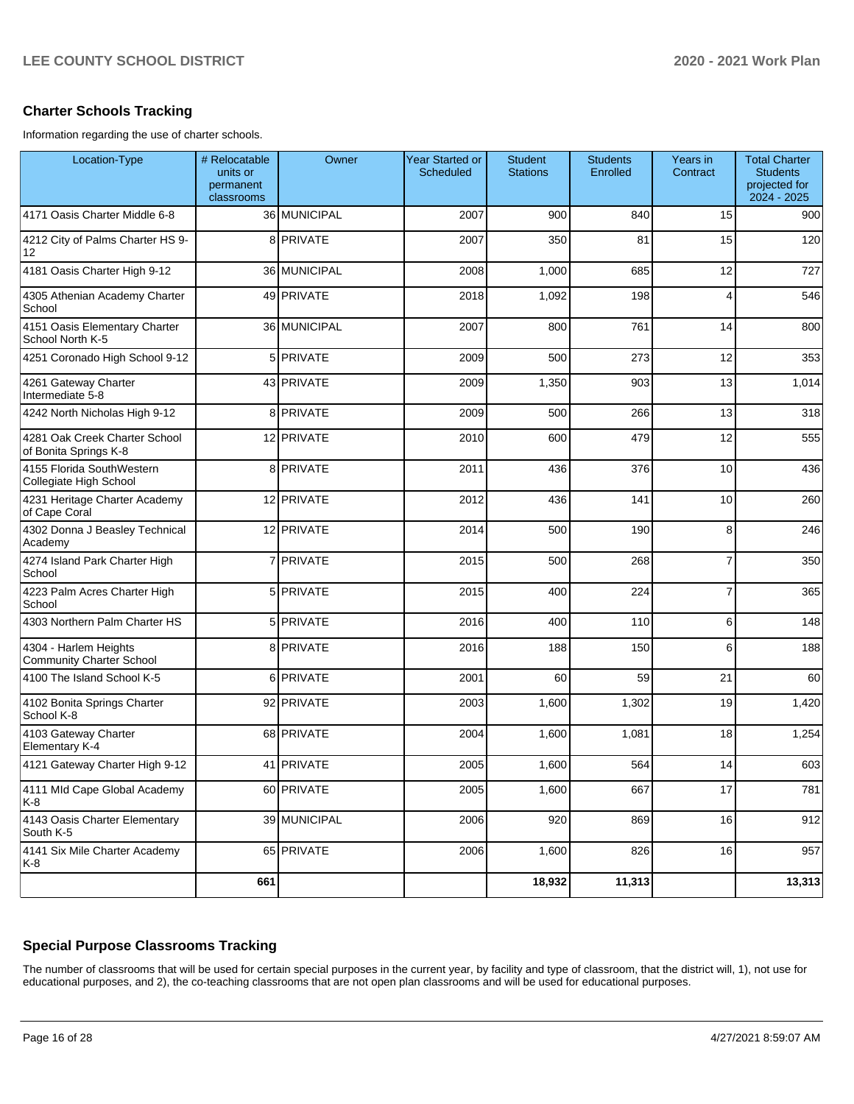# **Charter Schools Tracking**

Information regarding the use of charter schools.

| Location-Type                                            | # Relocatable<br>units or<br>permanent<br>classrooms | Owner          | <b>Year Started or</b><br>Scheduled | <b>Student</b><br><b>Stations</b> | <b>Students</b><br>Enrolled | Years in<br>Contract | <b>Total Charter</b><br><b>Students</b><br>projected for<br>2024 - 2025 |
|----------------------------------------------------------|------------------------------------------------------|----------------|-------------------------------------|-----------------------------------|-----------------------------|----------------------|-------------------------------------------------------------------------|
| 4171 Oasis Charter Middle 6-8                            |                                                      | 36 MUNICIPAL   | 2007                                | 900                               | 840                         | 15                   | 900                                                                     |
| 4212 City of Palms Charter HS 9-<br>12                   |                                                      | 8 PRIVATE      | 2007                                | 350                               | 81                          | 15                   | 120                                                                     |
| 4181 Oasis Charter High 9-12                             |                                                      | 36 MUNICIPAL   | 2008                                | 1,000                             | 685                         | 12                   | 727                                                                     |
| 4305 Athenian Academy Charter<br>School                  |                                                      | 49 PRIVATE     | 2018                                | 1,092                             | 198                         | 4                    | 546                                                                     |
| 4151 Oasis Elementary Charter<br>School North K-5        |                                                      | 36 MUNICIPAL   | 2007                                | 800                               | 761                         | 14                   | 800                                                                     |
| 4251 Coronado High School 9-12                           |                                                      | 5 PRIVATE      | 2009                                | 500                               | 273                         | 12                   | 353                                                                     |
| 4261 Gateway Charter<br>Intermediate 5-8                 |                                                      | 43 PRIVATE     | 2009                                | 1,350                             | 903                         | 13                   | 1,014                                                                   |
| 4242 North Nicholas High 9-12                            |                                                      | 8 PRIVATE      | 2009                                | 500                               | 266                         | 13                   | 318                                                                     |
| 4281 Oak Creek Charter School<br>of Bonita Springs K-8   |                                                      | 12 PRIVATE     | 2010                                | 600                               | 479                         | 12                   | 555                                                                     |
| 4155 Florida SouthWestern<br>Collegiate High School      |                                                      | 8 PRIVATE      | 2011                                | 436                               | 376                         | 10                   | 436                                                                     |
| 4231 Heritage Charter Academy<br>of Cape Coral           |                                                      | 12 PRIVATE     | 2012                                | 436                               | 141                         | 10                   | 260                                                                     |
| 4302 Donna J Beasley Technical<br>Academy                |                                                      | 12 PRIVATE     | 2014                                | 500                               | 190                         | 8                    | 246                                                                     |
| 4274 Island Park Charter High<br>School                  |                                                      | 7 PRIVATE      | 2015                                | 500                               | 268                         | $\overline{7}$       | 350                                                                     |
| 4223 Palm Acres Charter High<br>School                   |                                                      | 5 PRIVATE      | 2015                                | 400                               | 224                         | $\overline{7}$       | 365                                                                     |
| 4303 Northern Palm Charter HS                            |                                                      | 5 PRIVATE      | 2016                                | 400                               | 110                         | 6                    | 148                                                                     |
| 4304 - Harlem Heights<br><b>Community Charter School</b> |                                                      | 8 PRIVATE      | 2016                                | 188                               | 150                         | 6                    | 188                                                                     |
| 4100 The Island School K-5                               | 6                                                    | <b>PRIVATE</b> | 2001                                | 60                                | 59                          | 21                   | 60                                                                      |
| 4102 Bonita Springs Charter<br>School K-8                |                                                      | 92 PRIVATE     | 2003                                | 1,600                             | 1,302                       | 19                   | 1,420                                                                   |
| 4103 Gateway Charter<br>Elementary K-4                   |                                                      | 68 PRIVATE     | 2004                                | 1,600                             | 1,081                       | 18                   | 1,254                                                                   |
| 4121 Gateway Charter High 9-12                           |                                                      | 41 PRIVATE     | 2005                                | 1,600                             | 564                         | 14                   | 603                                                                     |
| 4111 Mld Cape Global Academy<br>K-8                      |                                                      | 60 PRIVATE     | 2005                                | 1,600                             | 667                         | 17                   | 781                                                                     |
| 4143 Oasis Charter Elementary<br>South K-5               |                                                      | 39 MUNICIPAL   | 2006                                | 920                               | 869                         | 16                   | 912                                                                     |
| 4141 Six Mile Charter Academy<br>K-8                     |                                                      | 65 PRIVATE     | 2006                                | 1,600                             | 826                         | 16                   | 957                                                                     |
|                                                          | 661                                                  |                |                                     | 18,932                            | 11,313                      |                      | 13,313                                                                  |

# **Special Purpose Classrooms Tracking**

The number of classrooms that will be used for certain special purposes in the current year, by facility and type of classroom, that the district will, 1), not use for educational purposes, and 2), the co-teaching classrooms that are not open plan classrooms and will be used for educational purposes.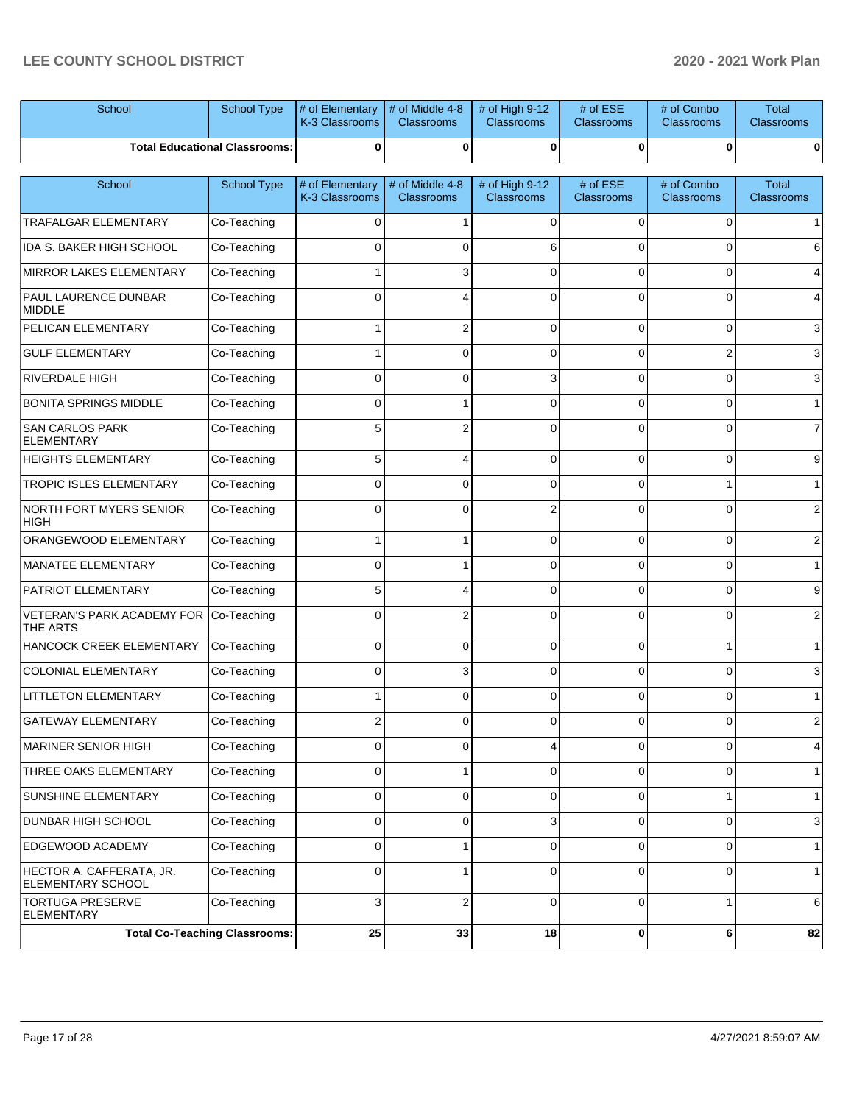| School                                        | School Type                          | # of Elementary<br>K-3 Classrooms | # of Middle 4-8<br><b>Classrooms</b> | # of High 9-12<br><b>Classrooms</b> | # of ESE<br><b>Classrooms</b>   | # of Combo<br>Classrooms | <b>Total</b><br><b>Classrooms</b> |
|-----------------------------------------------|--------------------------------------|-----------------------------------|--------------------------------------|-------------------------------------|---------------------------------|--------------------------|-----------------------------------|
|                                               | <b>Total Educational Classrooms:</b> | 0                                 | 0                                    | 0                                   | 0                               | 0                        | 0                                 |
| School                                        | School Type                          | # of Elementary<br>K-3 Classrooms | # of Middle 4-8<br><b>Classrooms</b> | # of High 9-12<br><b>Classrooms</b> | # of $ESE$<br><b>Classrooms</b> | # of Combo<br>Classrooms | <b>Total</b><br><b>Classrooms</b> |
| TRAFALGAR ELEMENTARY                          | Co-Teaching                          | $\Omega$                          | $\mathbf 1$                          | 0                                   | $\Omega$                        | 0                        |                                   |
| <b>IDA S. BAKER HIGH SCHOOL</b>               | Co-Teaching                          | $\Omega$                          | 0                                    | 6                                   | $\Omega$                        | $\Omega$                 |                                   |
| MIRROR LAKES ELEMENTARY                       | Co-Teaching                          |                                   | 3                                    | 0                                   | $\Omega$                        | 0                        |                                   |
| <b>PAUL LAURENCE DUNBAR</b><br><b>MIDDLE</b>  | Co-Teaching                          | $\Omega$                          | 4                                    | $\Omega$                            | $\Omega$                        | 0                        |                                   |
| PELICAN ELEMENTARY                            | Co-Teaching                          |                                   | 2                                    | 0                                   | $\Omega$                        | 0                        | 3                                 |
| <b>GULF ELEMENTARY</b>                        | Co-Teaching                          |                                   | 0                                    | $\Omega$                            | $\Omega$                        | 2                        | 3                                 |
| <b>RIVERDALE HIGH</b>                         | Co-Teaching                          | 0                                 | 0                                    | 3                                   | $\Omega$                        | 0                        |                                   |
| <b>BONITA SPRINGS MIDDLE</b>                  | Co-Teaching                          | $\Omega$                          |                                      | $\Omega$                            | $\Omega$                        | 0                        |                                   |
| <b>SAN CARLOS PARK</b><br><b>ELEMENTARY</b>   | Co-Teaching                          | 5                                 | 2                                    | $\Omega$                            | $\Omega$                        | 0                        |                                   |
| <b>HEIGHTS ELEMENTARY</b>                     | Co-Teaching                          | 5                                 | 4                                    | 0                                   | $\Omega$                        | 0                        | 9                                 |
| <b>TROPIC ISLES ELEMENTARY</b>                | Co-Teaching                          | $\Omega$                          | $\Omega$                             | 0                                   | $\Omega$                        |                          |                                   |
| NORTH FORT MYERS SENIOR<br>HIGH               | Co-Teaching                          | 0                                 | $\Omega$                             | 2                                   | $\Omega$                        | $\Omega$                 |                                   |
| ORANGEWOOD ELEMENTARY                         | Co-Teaching                          |                                   | 1                                    | $\Omega$                            | $\Omega$                        | 0                        | 2                                 |
| MANATEE ELEMENTARY                            | Co-Teaching                          | $\Omega$                          | 1                                    | 0                                   | $\Omega$                        | 0                        |                                   |
| <b>PATRIOT ELEMENTARY</b>                     | Co-Teaching                          | 5                                 | 4                                    | 0                                   | $\Omega$                        | 0                        | 9                                 |
| <b>VETERAN'S PARK ACADEMY FOR</b><br>THE ARTS | Co-Teaching                          | $\Omega$                          | $\overline{2}$                       | $\Omega$                            | $\Omega$                        | 0                        |                                   |
| HANCOCK CREEK ELEMENTARY                      | Co-Teaching                          | $\Omega$                          | 0                                    | $\Omega$                            | $\Omega$                        |                          |                                   |
| COLONIAL ELEMENTARY                           | Co-Teaching                          | $\Omega$                          | 3                                    | $\Omega$                            | $\Omega$                        | 0                        |                                   |
| <b>LITTLETON ELEMENTARY</b>                   | Co-Teaching                          |                                   | 0                                    | $\Omega$                            | $\Omega$                        | 0                        |                                   |
| GATEWAY ELEMENTARY                            | Co-Teaching                          |                                   |                                      |                                     | ∩                               |                          |                                   |
| MARINER SENIOR HIGH                           | Co-Teaching                          | $\Omega$                          | 0                                    | 4                                   | $\Omega$                        | 0                        | 4                                 |
| THREE OAKS ELEMENTARY                         | Co-Teaching                          | 0                                 | 1                                    | 0                                   | $\Omega$                        | 0                        | $\mathbf{1}$                      |
| SUNSHINE ELEMENTARY                           | Co-Teaching                          | $\mathbf 0$                       | 0                                    | 0                                   | $\mathbf 0$                     |                          | $\mathbf{1}$                      |
| <b>DUNBAR HIGH SCHOOL</b>                     | Co-Teaching                          | 0                                 | 0                                    | 3                                   | $\mathbf 0$                     | 0                        | 3                                 |
| EDGEWOOD ACADEMY                              | Co-Teaching                          | $\mathbf 0$                       | 1                                    | 0                                   | $\mathbf 0$                     | 0                        | $\mathbf{1}$                      |
| HECTOR A. CAFFERATA, JR.<br>ELEMENTARY SCHOOL | Co-Teaching                          | $\Omega$                          |                                      | $\Omega$                            | $\Omega$                        | 0                        | $\mathbf{1}$                      |
| <b>TORTUGA PRESERVE</b><br><b>ELEMENTARY</b>  | Co-Teaching                          | 3                                 | $\overline{2}$                       | 0                                   | $\Omega$                        |                          | 6                                 |
|                                               | <b>Total Co-Teaching Classrooms:</b> | 25                                | 33                                   | 18                                  | $\bf{0}$                        | 6                        | 82                                |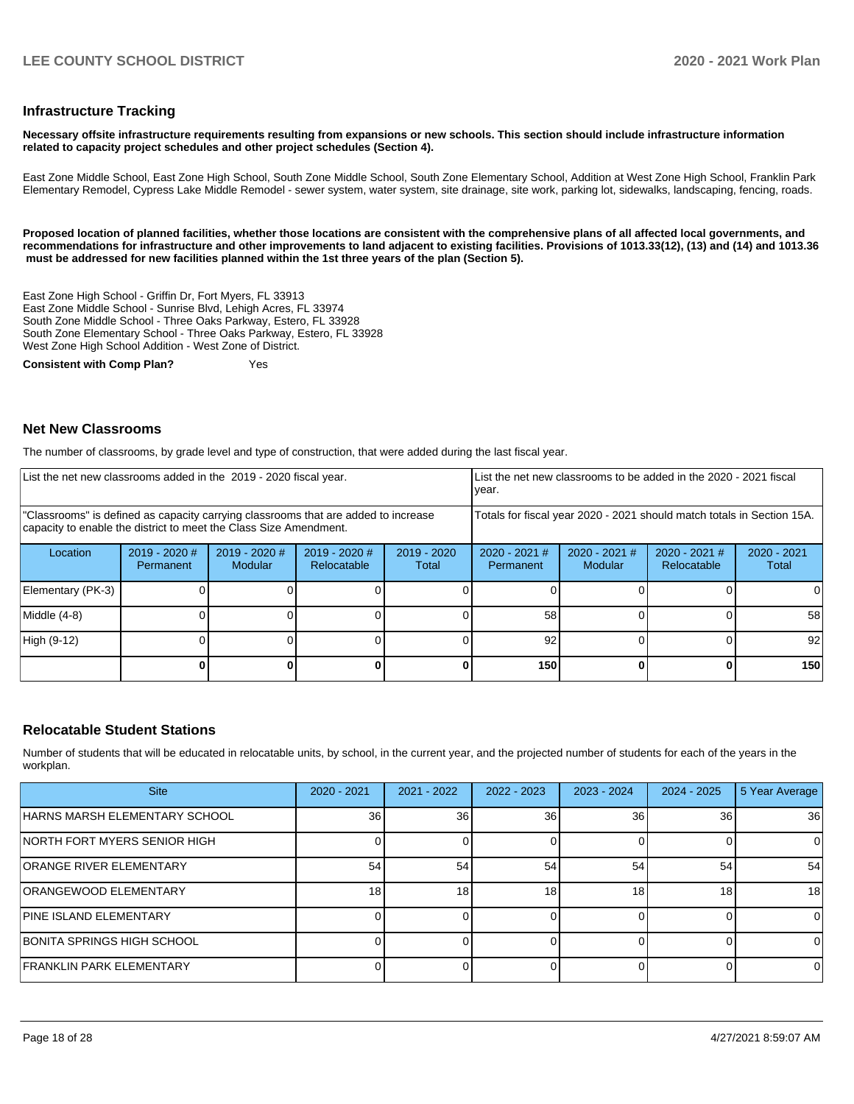#### **Infrastructure Tracking**

**Necessary offsite infrastructure requirements resulting from expansions or new schools. This section should include infrastructure information related to capacity project schedules and other project schedules (Section 4).** 

East Zone Middle School, East Zone High School, South Zone Middle School, South Zone Elementary School, Addition at West Zone High School, Franklin Park Elementary Remodel, Cypress Lake Middle Remodel - sewer system, water system, site drainage, site work, parking lot, sidewalks, landscaping, fencing, roads.

**Proposed location of planned facilities, whether those locations are consistent with the comprehensive plans of all affected local governments, and recommendations for infrastructure and other improvements to land adjacent to existing facilities. Provisions of 1013.33(12), (13) and (14) and 1013.36 must be addressed for new facilities planned within the 1st three years of the plan (Section 5).** 

East Zone High School - Griffin Dr, Fort Myers, FL 33913 East Zone Middle School - Sunrise Blvd, Lehigh Acres, FL 33974 South Zone Middle School - Three Oaks Parkway, Estero, FL 33928 South Zone Elementary School - Three Oaks Parkway, Estero, FL 33928 West Zone High School Addition - West Zone of District.

**Consistent with Comp Plan?** Yes

#### **Net New Classrooms**

The number of classrooms, by grade level and type of construction, that were added during the last fiscal year.

| List the net new classrooms added in the 2019 - 2020 fiscal year.                                                                                       |                              |                                   |                              |                        | year.                        |                          | List the net new classrooms to be added in the 2020 - 2021 fiscal      |                        |
|---------------------------------------------------------------------------------------------------------------------------------------------------------|------------------------------|-----------------------------------|------------------------------|------------------------|------------------------------|--------------------------|------------------------------------------------------------------------|------------------------|
| "Classrooms" is defined as capacity carrying classrooms that are added to increase<br>capacity to enable the district to meet the Class Size Amendment. |                              |                                   |                              |                        |                              |                          | Totals for fiscal year 2020 - 2021 should match totals in Section 15A. |                        |
| Location                                                                                                                                                | $2019 - 2020$ #<br>Permanent | $2019 - 2020$ #<br><b>Modular</b> | 2019 - 2020 #<br>Relocatable | $2019 - 2020$<br>Total | $2020 - 2021$ #<br>Permanent | 2020 - 2021 #<br>Modular | $2020 - 2021$ #<br>Relocatable                                         | $2020 - 2021$<br>Total |
| Elementary (PK-3)                                                                                                                                       |                              |                                   |                              |                        |                              |                          |                                                                        |                        |
| Middle (4-8)                                                                                                                                            |                              |                                   |                              |                        | 58                           |                          |                                                                        | 58                     |
| High (9-12)                                                                                                                                             |                              |                                   |                              |                        | 92                           |                          |                                                                        | 92                     |
|                                                                                                                                                         |                              |                                   |                              |                        | 150                          |                          |                                                                        | 150                    |

#### **Relocatable Student Stations**

Number of students that will be educated in relocatable units, by school, in the current year, and the projected number of students for each of the years in the workplan.

| <b>Site</b>                     | $2020 - 2021$ | $2021 - 2022$ | $2022 - 2023$ | $2023 - 2024$ | $2024 - 2025$   | 5 Year Average |
|---------------------------------|---------------|---------------|---------------|---------------|-----------------|----------------|
| HARNS MARSH ELEMENTARY SCHOOL   | 36            | 36            | 36            | 36            | 36 I            | 36             |
| INORTH FORT MYERS SENIOR HIGH   |               |               |               |               |                 | 0              |
| <b>ORANGE RIVER ELEMENTARY</b>  | 54            | 54            | 54            | 54            | 54              | 54             |
| <b>ORANGEWOOD ELEMENTARY</b>    | 18.           | 18            | 18            | 18            | 18 <sub>l</sub> | 18             |
| <b>PINE ISLAND ELEMENTARY</b>   |               |               |               |               |                 | 0              |
| BONITA SPRINGS HIGH SCHOOL      |               |               |               |               |                 | 0              |
| <b>FRANKLIN PARK ELEMENTARY</b> |               |               |               |               |                 | 0              |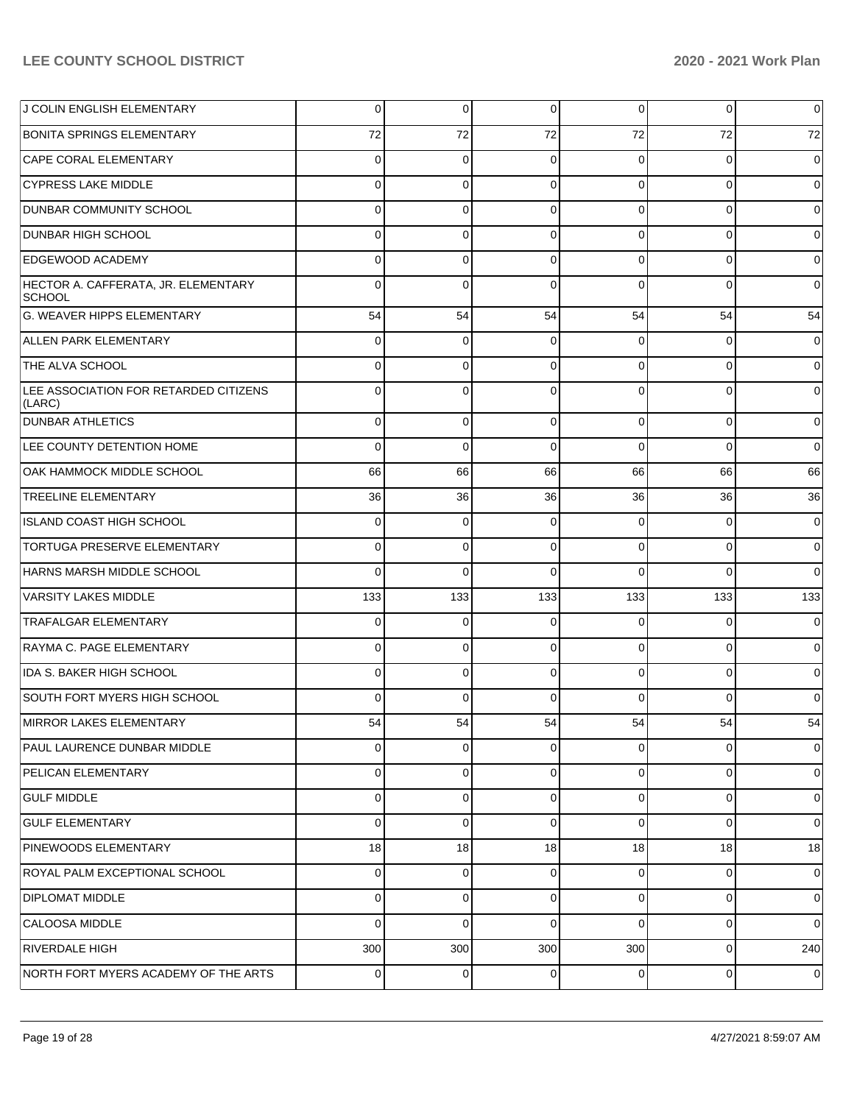| J COLIN ENGLISH ELEMENTARY                           | 0   | 0           | 0           | 0        | $\overline{0}$ | $\mathbf 0$    |
|------------------------------------------------------|-----|-------------|-------------|----------|----------------|----------------|
| <b>BONITA SPRINGS ELEMENTARY</b>                     | 72  | 72          | 72          | 72       | 72             | 72             |
| CAPE CORAL ELEMENTARY                                | 0   | $\mathbf 0$ | $\mathbf 0$ | 0        | $\overline{0}$ | $\mathbf 0$    |
| <b>CYPRESS LAKE MIDDLE</b>                           | 0   | 0           | $\mathbf 0$ | 0        | $\overline{0}$ | $\mathbf 0$    |
| <b>DUNBAR COMMUNITY SCHOOL</b>                       | 0   | 0           | $\Omega$    | $\Omega$ | $\overline{0}$ | $\mathbf 0$    |
| <b>DUNBAR HIGH SCHOOL</b>                            | 0   | 0           | $\mathbf 0$ | 0        | $\overline{0}$ | $\mathbf 0$    |
| <b>EDGEWOOD ACADEMY</b>                              | 0   | 0           | $\Omega$    | 0        | $\overline{0}$ | $\mathbf 0$    |
| HECTOR A. CAFFERATA, JR. ELEMENTARY<br><b>SCHOOL</b> | 0   | $\Omega$    | $\Omega$    | $\Omega$ | 0              | $\overline{0}$ |
| G. WEAVER HIPPS ELEMENTARY                           | 54  | 54          | 54          | 54       | 54             | 54             |
| <b>ALLEN PARK ELEMENTARY</b>                         | 0   | 0           | $\Omega$    | $\Omega$ | $\overline{0}$ | $\mathbf 0$    |
| THE ALVA SCHOOL                                      | 0   | 0           | $\Omega$    | $\Omega$ | $\overline{0}$ | $\overline{0}$ |
| LEE ASSOCIATION FOR RETARDED CITIZENS<br>(LARC)      | 0   | $\Omega$    | $\Omega$    | $\Omega$ | $\overline{0}$ | $\mathbf 0$    |
| <b>DUNBAR ATHLETICS</b>                              | 0   | 0           | 0           | 0        | $\overline{0}$ | $\overline{0}$ |
| LEE COUNTY DETENTION HOME                            | 0   | 0           | $\Omega$    | 0        | $\overline{0}$ | $\mathbf 0$    |
| OAK HAMMOCK MIDDLE SCHOOL                            | 66  | 66          | 66          | 66       | 66             | 66             |
| <b>TREELINE ELEMENTARY</b>                           | 36  | 36          | 36          | 36       | 36             | 36             |
| ISLAND COAST HIGH SCHOOL                             | 0   | 0           | $\Omega$    | 0        | 0              | $\overline{0}$ |
| <b>TORTUGA PRESERVE ELEMENTARY</b>                   | 0   | 0           | $\Omega$    | 0        | $\overline{0}$ | $\mathbf 0$    |
| HARNS MARSH MIDDLE SCHOOL                            | 0   | 0           | $\Omega$    | 0        | $\overline{0}$ | $\overline{0}$ |
| <b>VARSITY LAKES MIDDLE</b>                          | 133 | 133         | 133         | 133      | 133            | 133            |
| <b>TRAFALGAR ELEMENTARY</b>                          | 0   | 0           | 0           | 0        | $\overline{0}$ | $\overline{0}$ |
| RAYMA C. PAGE ELEMENTARY                             | 0   | 0           | $\Omega$    | 0        | $\overline{0}$ | $\mathbf 0$    |
| IDA S. BAKER HIGH SCHOOL                             | 0   | 0           | $\Omega$    | 0        | $\overline{0}$ | $\overline{0}$ |
| SOUTH FORT MYERS HIGH SCHOOL                         | 0   | 0           | $\Omega$    | 0        | $\Omega$       | $\overline{0}$ |
| MIRROR LAKES ELEMENTARY                              | 54  | 54          | 54          | 54       | 54             | 54             |
| <b>PAUL LAURENCE DUNBAR MIDDLE</b>                   | 0   | 0           | $\Omega$    | 0        | 0              | $\overline{0}$ |
| <b>PELICAN ELEMENTARY</b>                            | 0   | 0           | $\Omega$    | 0        | 0              | $\mathbf 0$    |
| <b>GULF MIDDLE</b>                                   | 0   | 0           | 0           | 0        | $\overline{0}$ | $\overline{0}$ |
| <b>GULF ELEMENTARY</b>                               | 0   | 0           | $\mathbf 0$ | 0        | 0              | $\overline{0}$ |
| PINEWOODS ELEMENTARY                                 | 18  | 18          | 18          | 18       | 18             | 18             |
| ROYAL PALM EXCEPTIONAL SCHOOL                        | 0   | 0           | 0           | 0        | 0              | $\mathbf 0$    |
| <b>DIPLOMAT MIDDLE</b>                               | 0   | 0           | 0           | 0        | $\overline{0}$ | $\overline{0}$ |
| <b>CALOOSA MIDDLE</b>                                | 0   | 0           | $\Omega$    | 0        | 0              | $\overline{0}$ |
| RIVERDALE HIGH                                       | 300 | 300         | 300         | 300      | $\overline{0}$ | 240            |
| NORTH FORT MYERS ACADEMY OF THE ARTS                 | 0   | 0           | 0           | 0        | $\overline{0}$ | $\mathbf 0$    |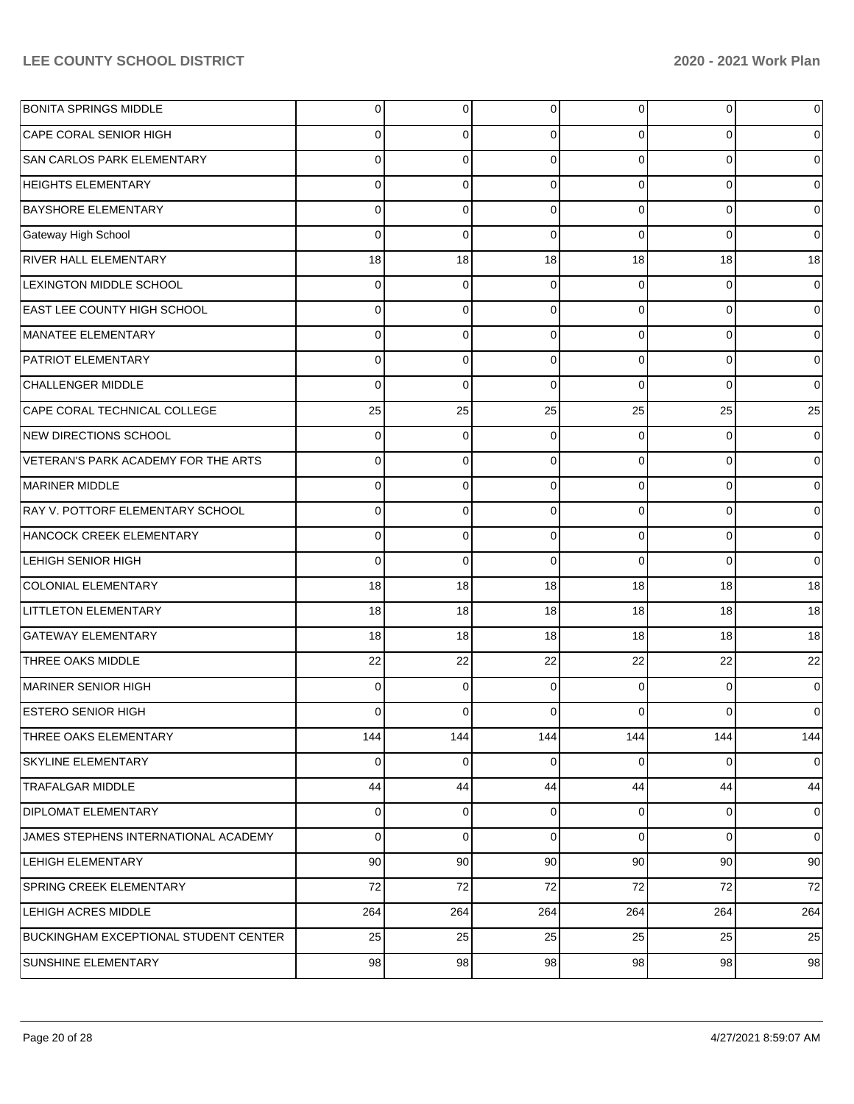| <b>BONITA SPRINGS MIDDLE</b>          | 0        | $\overline{0}$ | 0        | $\overline{0}$ | 0           | 0           |
|---------------------------------------|----------|----------------|----------|----------------|-------------|-------------|
| CAPE CORAL SENIOR HIGH                | 0        | 0              | $\Omega$ | 0              | $\Omega$    | 0           |
| SAN CARLOS PARK ELEMENTARY            | $\Omega$ | $\Omega$       | $\Omega$ | $\Omega$       | $\Omega$    | $\Omega$    |
| <b>HEIGHTS ELEMENTARY</b>             | $\Omega$ | $\mathbf 0$    | $\Omega$ | $\Omega$       | $\Omega$    | 0           |
| <b>BAYSHORE ELEMENTARY</b>            | $\Omega$ | $\Omega$       | $\Omega$ | $\Omega$       | $\Omega$    | 0           |
| Gateway High School                   | $\Omega$ | $\mathbf 0$    | $\Omega$ | $\Omega$       | $\Omega$    | $\Omega$    |
| <b>RIVER HALL ELEMENTARY</b>          | 18       | 18             | 18       | 18             | 18          | 18          |
| LEXINGTON MIDDLE SCHOOL               | $\Omega$ | $\mathbf 0$    | $\Omega$ | $\Omega$       | $\Omega$    | 0           |
| <b>EAST LEE COUNTY HIGH SCHOOL</b>    | $\Omega$ | $\Omega$       | $\Omega$ | $\Omega$       | $\Omega$    | 0           |
| MANATEE ELEMENTARY                    | $\Omega$ | $\mathbf 0$    | $\Omega$ | $\Omega$       | $\Omega$    | 0           |
| PATRIOT ELEMENTARY                    | $\Omega$ | 0              | $\Omega$ | $\Omega$       | $\Omega$    | 0           |
| <b>CHALLENGER MIDDLE</b>              | $\Omega$ | $\mathbf 0$    | $\Omega$ | $\Omega$       | $\Omega$    | $\Omega$    |
| CAPE CORAL TECHNICAL COLLEGE          | 25       | 25             | 25       | 25             | 25          | 25          |
| NEW DIRECTIONS SCHOOL                 | $\Omega$ | $\mathbf 0$    | $\Omega$ | $\Omega$       | $\Omega$    | 0           |
| VETERAN'S PARK ACADEMY FOR THE ARTS   | $\Omega$ | $\Omega$       | $\Omega$ | $\Omega$       | $\Omega$    | $\Omega$    |
| MARINER MIDDLE                        | $\Omega$ | $\mathbf 0$    | $\Omega$ | $\Omega$       | $\Omega$    | 0           |
| RAY V. POTTORF ELEMENTARY SCHOOL      | $\Omega$ | $\Omega$       | $\Omega$ | $\Omega$       | $\Omega$    | 0           |
| HANCOCK CREEK ELEMENTARY              | $\Omega$ | 0              | $\Omega$ | $\Omega$       | $\Omega$    | 0           |
| LEHIGH SENIOR HIGH                    | $\Omega$ | $\Omega$       | $\Omega$ | $\Omega$       | $\Omega$    | $\Omega$    |
| <b>COLONIAL ELEMENTARY</b>            | 18       | 18             | 18       | 18             | 18          | 18          |
| LITTLETON ELEMENTARY                  | 18       | 18             | 18       | 18             | 18          | 18          |
| <b>GATEWAY ELEMENTARY</b>             | 18       | 18             | 18       | 18             | 18          | 18          |
| THREE OAKS MIDDLE                     | 22       | 22             | 22       | 22             | 22          | 22          |
| MARINER SENIOR HIGH                   | $\Omega$ | $\mathbf 0$    | $\Omega$ | $\Omega$       | $\Omega$    | $\Omega$    |
| <b>ESTERO SENIOR HIGH</b>             | 0        | 0              | $\Omega$ | 0              | $\Omega$    | 0           |
| THREE OAKS ELEMENTARY                 | 144      | 144            | 144      | 144            | 144         | 144         |
| <b>SKYLINE ELEMENTARY</b>             | $\Omega$ | $\mathbf 0$    | 0        | $\Omega$       | 0           | 0           |
| <b>TRAFALGAR MIDDLE</b>               | 44       | 44             | 44       | 44             | 44          | 44          |
| <b>DIPLOMAT ELEMENTARY</b>            | $\Omega$ | $\overline{0}$ | 0        | $\Omega$       | $\mathbf 0$ | 0           |
| JAMES STEPHENS INTERNATIONAL ACADEMY  | $\Omega$ | $\mathbf 0$    | $\Omega$ | $\Omega$       | $\mathbf 0$ | $\mathbf 0$ |
| LEHIGH ELEMENTARY                     | 90       | 90             | 90       | 90             | 90          | 90          |
| SPRING CREEK ELEMENTARY               | 72       | 72             | 72       | 72             | 72          | 72          |
| LEHIGH ACRES MIDDLE                   | 264      | 264            | 264      | 264            | 264         | 264         |
| BUCKINGHAM EXCEPTIONAL STUDENT CENTER | 25       | 25             | 25       | 25             | 25          | 25          |
| SUNSHINE ELEMENTARY                   | 98       | 98             | 98       | 98             | 98          | 98          |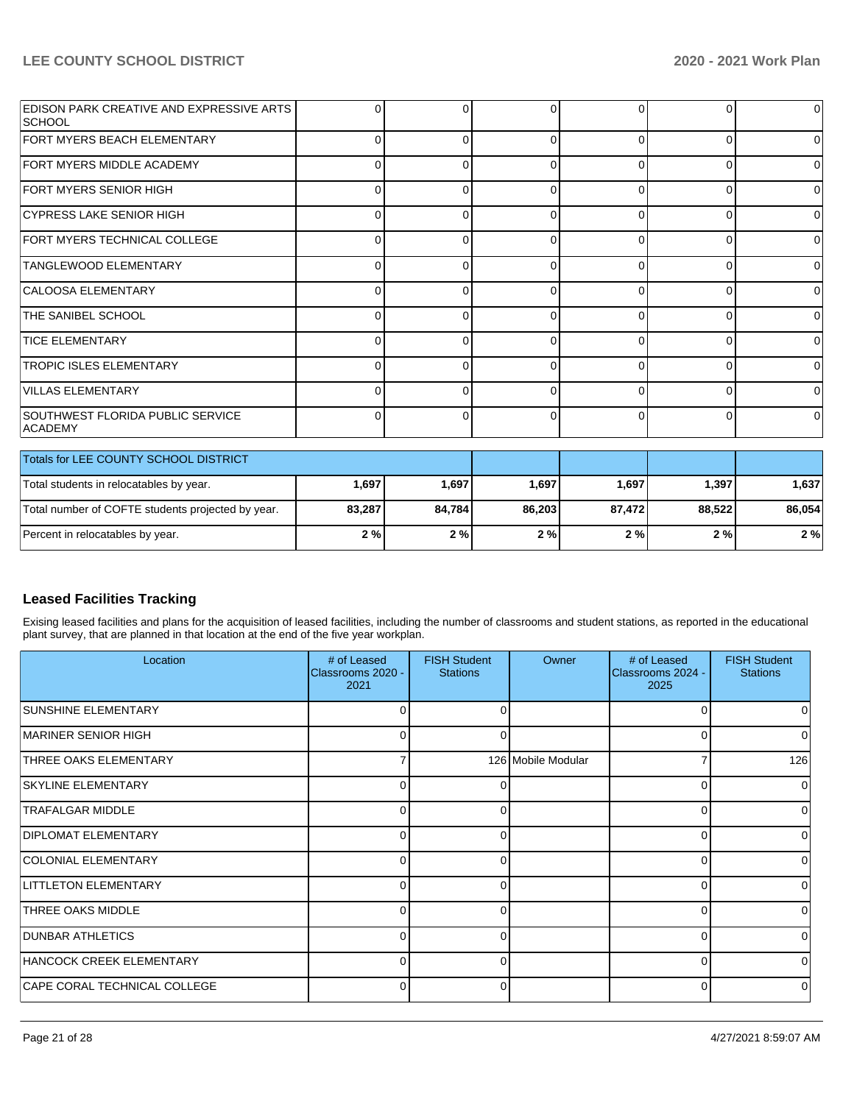| <b>EDISON PARK CREATIVE AND EXPRESSIVE ARTS</b><br> SCHOOL | O        |   |   |              | 0        | $\Omega$       |
|------------------------------------------------------------|----------|---|---|--------------|----------|----------------|
| <b>FORT MYERS BEACH ELEMENTARY</b>                         |          |   | ∩ | 0            | $\Omega$ | $\Omega$       |
| FORT MYERS MIDDLE ACADEMY                                  | ∩        |   | O | 0            | $\Omega$ | $\overline{0}$ |
| FORT MYERS SENIOR HIGH                                     | 0        |   |   | 0            | 0        | $\overline{0}$ |
| CYPRESS LAKE SENIOR HIGH                                   |          |   |   | U            | $\Omega$ | $\overline{0}$ |
| FORT MYERS TECHNICAL COLLEGE                               | ∩        |   | O | <sup>0</sup> | $\Omega$ | $\overline{0}$ |
| TANGLEWOOD ELEMENTARY                                      | 0        |   | O | 0            | $\Omega$ | $\overline{0}$ |
| CALOOSA ELEMENTARY                                         |          |   |   |              | U        | $\Omega$       |
| <b>THE SANIBEL SCHOOL</b>                                  | C        |   | O | <sup>0</sup> | $\Omega$ | $\overline{0}$ |
| <b>TICE ELEMENTARY</b>                                     | 0        |   | 0 | 0            | 0        | $\Omega$       |
| <b>TROPIC ISLES ELEMENTARY</b>                             |          |   |   |              | O        | $\overline{0}$ |
| VILLAS ELEMENTARY                                          | $\Omega$ |   | ∩ | <sup>0</sup> | $\Omega$ | $\Omega$       |
| SOUTHWEST FLORIDA PUBLIC SERVICE<br><b>ACADEMY</b>         | 0        | n | 0 | $\Omega$     | 0        | $\Omega$       |

| Totals for LEE COUNTY SCHOOL DISTRICT             |        |        |        |        |        |        |
|---------------------------------------------------|--------|--------|--------|--------|--------|--------|
| Total students in relocatables by year.           | 1,697  | 1,697  | 1,697  | 1.697  | 1.397  | 1.637  |
| Total number of COFTE students projected by year. | 83.287 | 84.784 | 86.203 | 87.472 | 88.522 | 86.054 |
| Percent in relocatables by year.                  | 2%     | 2%     | 2%     | 2%     | 2%     | 2%     |

# **Leased Facilities Tracking**

Exising leased facilities and plans for the acquisition of leased facilities, including the number of classrooms and student stations, as reported in the educational plant survey, that are planned in that location at the end of the five year workplan.

| Location                     | # of Leased<br>Classrooms 2020 -<br>2021 | <b>FISH Student</b><br><b>Stations</b> | Owner              | # of Leased<br>Classrooms 2024 -<br>2025 | <b>FISH Student</b><br><b>Stations</b> |
|------------------------------|------------------------------------------|----------------------------------------|--------------------|------------------------------------------|----------------------------------------|
| <b>SUNSHINE ELEMENTARY</b>   | 0                                        | 0                                      |                    | ∩                                        | 0                                      |
| <b>IMARINER SENIOR HIGH</b>  | 0                                        | 0                                      |                    |                                          | 0                                      |
| <b>THREE OAKS ELEMENTARY</b> |                                          |                                        | 126 Mobile Modular |                                          | 126                                    |
| <b>SKYLINE ELEMENTARY</b>    | 0                                        | 0                                      |                    | ∩                                        | $\Omega$                               |
| <b>TRAFALGAR MIDDLE</b>      | 0                                        | 0                                      |                    | $\Omega$                                 | 0                                      |
| <b>DIPLOMAT ELEMENTARY</b>   | 0                                        | $\Omega$                               |                    | $\Omega$                                 |                                        |
| COLONIAL ELEMENTARY          | 0                                        | $\Omega$                               |                    | ∩                                        | 0                                      |
| <b>LITTLETON ELEMENTARY</b>  | 0                                        | 0                                      |                    | $\Omega$                                 | 0                                      |
| <b>THREE OAKS MIDDLE</b>     | 0                                        | $\Omega$                               |                    | $\Omega$                                 |                                        |
| <b>DUNBAR ATHLETICS</b>      | 0                                        | 0                                      |                    | ∩                                        | <sup>0</sup>                           |
| HANCOCK CREEK ELEMENTARY     | 0                                        | 0                                      |                    | $\Omega$                                 | 0                                      |
| CAPE CORAL TECHNICAL COLLEGE | 0                                        | 0                                      |                    | $\Omega$                                 |                                        |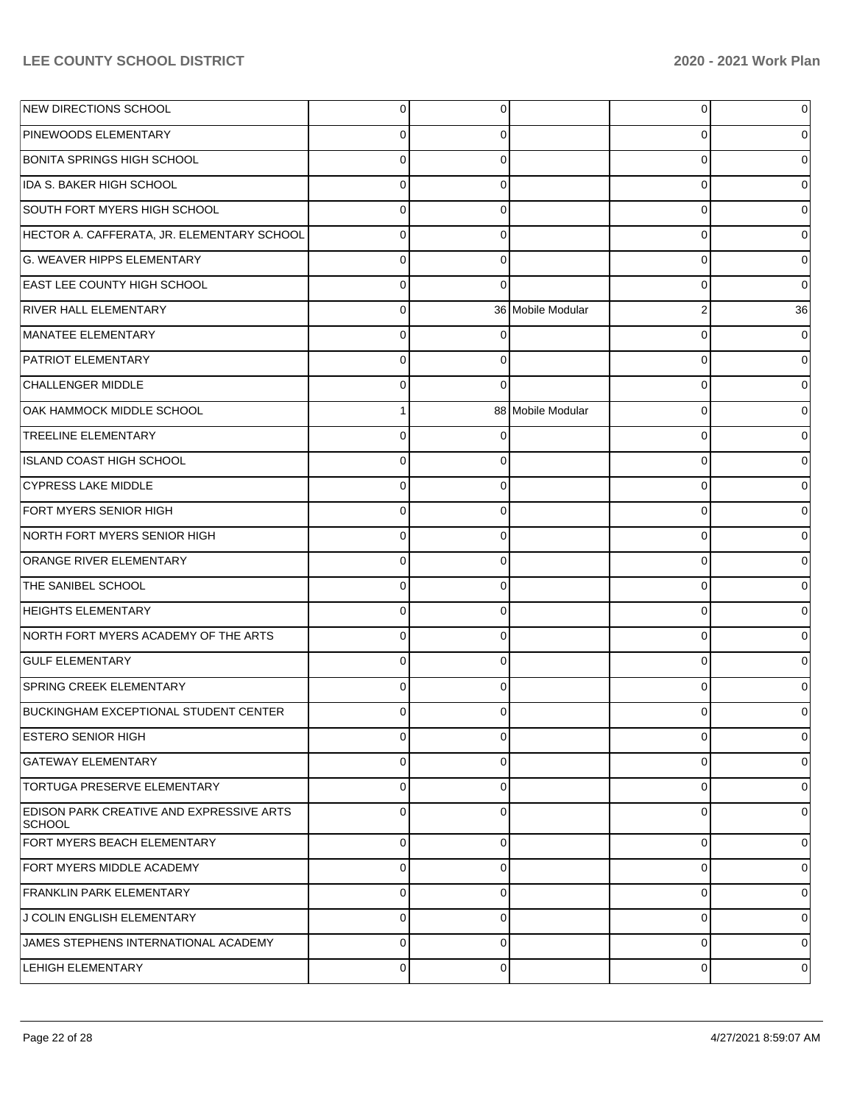| NEW DIRECTIONS SCHOOL                                      | 0        | 0           |                   | 0              | 0              |
|------------------------------------------------------------|----------|-------------|-------------------|----------------|----------------|
| <b>PINEWOODS ELEMENTARY</b>                                | 0        | 0           |                   | 0              | 0              |
| BONITA SPRINGS HIGH SCHOOL                                 | 0        | 0           |                   | 0              | 0              |
| IDA S. BAKER HIGH SCHOOL                                   | 0        | 0           |                   | 0              | 0              |
| SOUTH FORT MYERS HIGH SCHOOL                               | 0        | 0           |                   | 0              | 0              |
| HECTOR A. CAFFERATA, JR. ELEMENTARY SCHOOL                 | 0        | 0           |                   | 0              | 0              |
| G. WEAVER HIPPS ELEMENTARY                                 | 0        | 0           |                   | 0              | 0              |
| <b>EAST LEE COUNTY HIGH SCHOOL</b>                         | 0        | $\Omega$    |                   | 0              | 0              |
| <b>RIVER HALL ELEMENTARY</b>                               | 0        |             | 36 Mobile Modular | $\overline{2}$ | 36             |
| MANATEE ELEMENTARY                                         | 0        | 0           |                   | 0              | 0              |
| <b>PATRIOT ELEMENTARY</b>                                  | 0        | 0           |                   | 0              | 0              |
| <b>CHALLENGER MIDDLE</b>                                   | 0        | 0           |                   | 0              | 0              |
| OAK HAMMOCK MIDDLE SCHOOL                                  | 1        |             | 88 Mobile Modular | $\Omega$       | 0              |
| <b>TREELINE ELEMENTARY</b>                                 | $\Omega$ | 0           |                   | 0              | 0              |
| ISLAND COAST HIGH SCHOOL                                   | 0        | 0           |                   | 0              | 0              |
| <b>CYPRESS LAKE MIDDLE</b>                                 | 0        | 0           |                   | 0              | 0              |
| <b>FORT MYERS SENIOR HIGH</b>                              | 0        | 0           |                   | 0              | 0              |
| NORTH FORT MYERS SENIOR HIGH                               | $\Omega$ | 0           |                   | 0              | 0              |
| <b>ORANGE RIVER ELEMENTARY</b>                             | 0        | 0           |                   | 0              | 0              |
| <b>THE SANIBEL SCHOOL</b>                                  | $\Omega$ | 0           |                   | 0              | 0              |
| <b>HEIGHTS ELEMENTARY</b>                                  | $\Omega$ | 0           |                   | 0              | 0              |
| NORTH FORT MYERS ACADEMY OF THE ARTS                       | 0        | 0           |                   | 0              | 0              |
| <b>GULF ELEMENTARY</b>                                     | $\Omega$ | 0           |                   | $\Omega$       | 0              |
| <b>SPRING CREEK ELEMENTARY</b>                             | 0        | 0           |                   | 0              | 0              |
| BUCKINGHAM EXCEPTIONAL STUDENT CENTER                      |          |             |                   |                | O              |
| <b>ESTERO SENIOR HIGH</b>                                  | 0        | 0           |                   | 0              | 0              |
| GATEWAY ELEMENTARY                                         | 0        | 0           |                   | 0              | 0              |
| <b>TORTUGA PRESERVE ELEMENTARY</b>                         | 0        | $\mathbf 0$ |                   | 0              | 0              |
| <b>EDISON PARK CREATIVE AND EXPRESSIVE ARTS</b><br> SCHOOL | $\Omega$ | 0           |                   | $\Omega$       | $\mathbf 0$    |
| FORT MYERS BEACH ELEMENTARY                                | $\Omega$ | $\Omega$    |                   | $\mathbf 0$    | $\mathbf 0$    |
| FORT MYERS MIDDLE ACADEMY                                  | $\Omega$ | $\Omega$    |                   | 0              | $\overline{0}$ |
| <b>FRANKLIN PARK ELEMENTARY</b>                            | $\Omega$ | $\Omega$    |                   | 0              | $\mathbf 0$    |
| J COLIN ENGLISH ELEMENTARY                                 | $\Omega$ | $\Omega$    |                   | 0              | 0              |
| JAMES STEPHENS INTERNATIONAL ACADEMY                       | $\Omega$ | $\Omega$    |                   | 0              | $\mathbf 0$    |
| <b>LEHIGH ELEMENTARY</b>                                   | 0        | $\mathbf 0$ |                   | 0              | 0l             |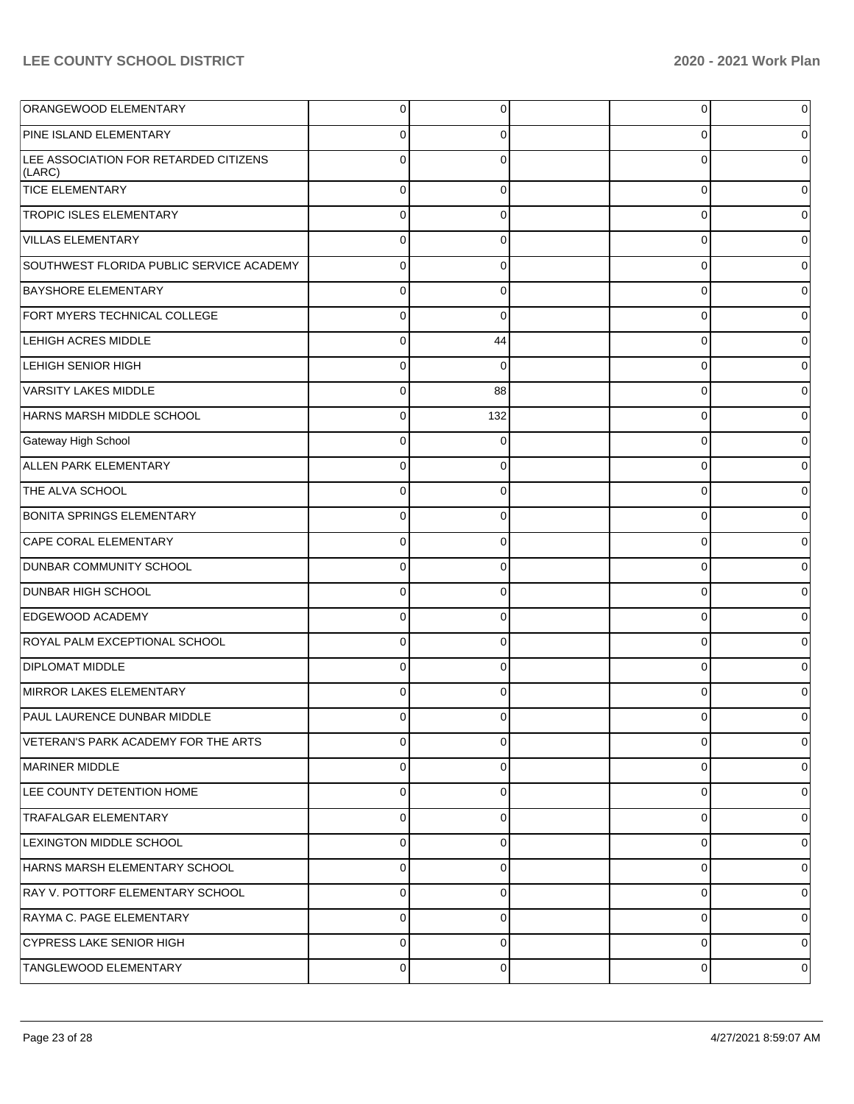| ORANGEWOOD ELEMENTARY                           | $\overline{0}$ | 0        | 0        | $\mathbf 0$    |
|-------------------------------------------------|----------------|----------|----------|----------------|
| PINE ISLAND ELEMENTARY                          | $\Omega$       | 0        | 0        | $\overline{0}$ |
| LEE ASSOCIATION FOR RETARDED CITIZENS<br>(LARC) | $\Omega$       | $\Omega$ | O        | $\mathbf 0$    |
| <b>TICE ELEMENTARY</b>                          | $\Omega$       | $\Omega$ | $\Omega$ | $\overline{0}$ |
| <b>TROPIC ISLES ELEMENTARY</b>                  | $\Omega$       | $\Omega$ | $\Omega$ | $\overline{0}$ |
| <b>VILLAS ELEMENTARY</b>                        | $\mathbf 0$    | $\Omega$ | $\Omega$ | $\overline{0}$ |
| SOUTHWEST FLORIDA PUBLIC SERVICE ACADEMY        | $\Omega$       | $\Omega$ | $\Omega$ | $\overline{0}$ |
| <b>BAYSHORE ELEMENTARY</b>                      | $\Omega$       | $\Omega$ | $\Omega$ | $\overline{0}$ |
| FORT MYERS TECHNICAL COLLEGE                    | $\Omega$       | $\Omega$ | $\Omega$ | $\overline{0}$ |
| <b>LEHIGH ACRES MIDDLE</b>                      | $\mathbf 0$    | 44       | $\Omega$ | $\overline{0}$ |
| <b>LEHIGH SENIOR HIGH</b>                       | $\Omega$       | $\Omega$ | $\Omega$ | $\overline{0}$ |
| <b>VARSITY LAKES MIDDLE</b>                     | $\mathbf 0$    | 88       | $\Omega$ | $\overline{0}$ |
| HARNS MARSH MIDDLE SCHOOL                       | 0              | 132      | $\Omega$ | $\overline{0}$ |
| Gateway High School                             | $\Omega$       | $\Omega$ | $\Omega$ | $\overline{0}$ |
| ALLEN PARK ELEMENTARY                           | $\Omega$       | $\Omega$ | $\Omega$ | $\overline{0}$ |
| THE ALVA SCHOOL                                 | $\Omega$       | $\Omega$ | $\Omega$ | $\overline{0}$ |
| <b>BONITA SPRINGS ELEMENTARY</b>                | $\Omega$       | $\Omega$ | $\Omega$ | $\overline{0}$ |
| CAPE CORAL ELEMENTARY                           | $\mathbf 0$    | $\Omega$ | $\Omega$ | $\overline{0}$ |
| <b>DUNBAR COMMUNITY SCHOOL</b>                  | $\Omega$       | $\Omega$ | $\Omega$ | $\overline{0}$ |
| <b>DUNBAR HIGH SCHOOL</b>                       | $\Omega$       | $\Omega$ | $\Omega$ | $\overline{0}$ |
| <b>EDGEWOOD ACADEMY</b>                         | $\Omega$       | $\Omega$ | $\Omega$ | $\overline{0}$ |
| ROYAL PALM EXCEPTIONAL SCHOOL                   | $\Omega$       | $\Omega$ | $\Omega$ | $\overline{0}$ |
| <b>DIPLOMAT MIDDLE</b>                          | $\Omega$       | $\Omega$ | $\Omega$ | $\overline{0}$ |
| MIRROR LAKES ELEMENTARY                         | $\Omega$       | $\Omega$ | $\Omega$ | $\overline{0}$ |
| PAUL LAURENCE DUNBAR MIDDLE                     | $\Omega$       | 0        | 0        | $\overline{0}$ |
| VETERAN'S PARK ACADEMY FOR THE ARTS             | $\Omega$       | $\Omega$ | $\Omega$ | $\overline{0}$ |
| MARINER MIDDLE                                  | $\mathbf 0$    | $\Omega$ | 0        | $\overline{0}$ |
| LEE COUNTY DETENTION HOME                       | $\mathbf 0$    | $\Omega$ | $\Omega$ | $\overline{0}$ |
| <b>TRAFALGAR ELEMENTARY</b>                     | $\mathbf 0$    | $\Omega$ | 0        | 0              |
| <b>LEXINGTON MIDDLE SCHOOL</b>                  | $\mathbf 0$    | $\Omega$ | 0        | 0              |
| HARNS MARSH ELEMENTARY SCHOOL                   | $\mathbf 0$    | $\Omega$ | 0        | 0              |
| RAY V. POTTORF ELEMENTARY SCHOOL                | $\mathbf 0$    | $\Omega$ | 0        | $\overline{0}$ |
| RAYMA C. PAGE ELEMENTARY                        | $\mathbf 0$    | $\Omega$ | 0        | 0              |
| <b>CYPRESS LAKE SENIOR HIGH</b>                 | $\mathbf 0$    | $\Omega$ | 0        | $\overline{0}$ |
| TANGLEWOOD ELEMENTARY                           | $\mathbf 0$    | 0        | 0        | 0              |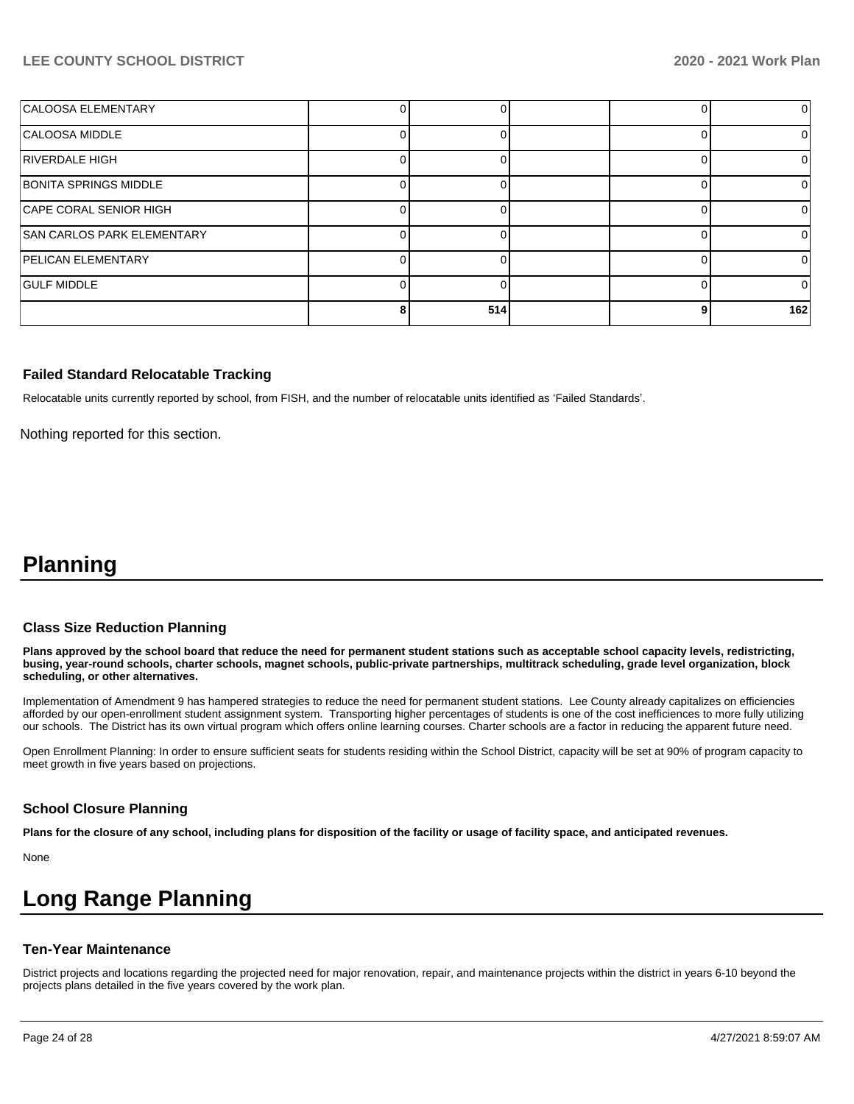| CALOOSA ELEMENTARY                |     |  | $\Omega$ |
|-----------------------------------|-----|--|----------|
| CALOOSA MIDDLE                    |     |  | $\Omega$ |
| RIVERDALE HIGH                    |     |  |          |
| BONITA SPRINGS MIDDLE             |     |  |          |
| CAPE CORAL SENIOR HIGH            |     |  |          |
| <b>SAN CARLOS PARK ELEMENTARY</b> |     |  | $\Omega$ |
| <b>PELICAN ELEMENTARY</b>         |     |  |          |
| <b>GULF MIDDLE</b>                |     |  | 0        |
|                                   | 514 |  | 162      |

#### **Failed Standard Relocatable Tracking**

Relocatable units currently reported by school, from FISH, and the number of relocatable units identified as 'Failed Standards'.

Nothing reported for this section.

# **Planning**

#### **Class Size Reduction Planning**

**Plans approved by the school board that reduce the need for permanent student stations such as acceptable school capacity levels, redistricting, busing, year-round schools, charter schools, magnet schools, public-private partnerships, multitrack scheduling, grade level organization, block scheduling, or other alternatives.**

Implementation of Amendment 9 has hampered strategies to reduce the need for permanent student stations. Lee County already capitalizes on efficiencies afforded by our open-enrollment student assignment system. Transporting higher percentages of students is one of the cost inefficiences to more fully utilizing our schools. The District has its own virtual program which offers online learning courses. Charter schools are a factor in reducing the apparent future need.

Open Enrollment Planning: In order to ensure sufficient seats for students residing within the School District, capacity will be set at 90% of program capacity to meet growth in five years based on projections.

#### **School Closure Planning**

**Plans for the closure of any school, including plans for disposition of the facility or usage of facility space, and anticipated revenues.** 

None

# **Long Range Planning**

#### **Ten-Year Maintenance**

District projects and locations regarding the projected need for major renovation, repair, and maintenance projects within the district in years 6-10 beyond the projects plans detailed in the five years covered by the work plan.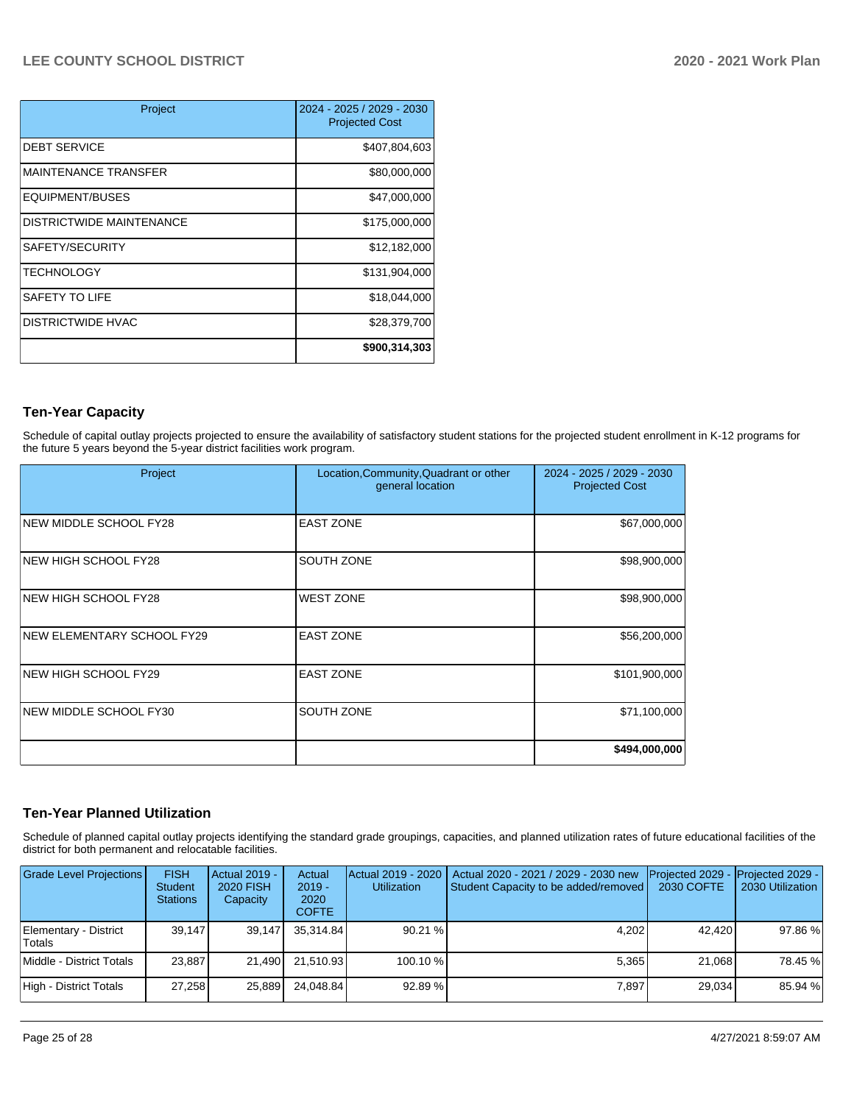| Project                         | 2024 - 2025 / 2029 - 2030<br><b>Projected Cost</b> |
|---------------------------------|----------------------------------------------------|
| <b>DEBT SERVICE</b>             | \$407,804,603                                      |
| <b>MAINTENANCE TRANSFER</b>     | \$80,000,000                                       |
| EQUIPMENT/BUSES                 | \$47,000,000                                       |
| <b>DISTRICTWIDE MAINTENANCE</b> | \$175,000,000                                      |
| SAFETY/SECURITY                 | \$12,182,000                                       |
| <b>TECHNOLOGY</b>               | \$131,904,000                                      |
| SAFETY TO LIFE                  | \$18,044,000                                       |
| <b>DISTRICTWIDE HVAC</b>        | \$28,379,700                                       |
|                                 | \$900,314,303                                      |

# **Ten-Year Capacity**

Schedule of capital outlay projects projected to ensure the availability of satisfactory student stations for the projected student enrollment in K-12 programs for the future 5 years beyond the 5-year district facilities work program.

| Project                      | Location, Community, Quadrant or other<br>general location | 2024 - 2025 / 2029 - 2030<br><b>Projected Cost</b> |
|------------------------------|------------------------------------------------------------|----------------------------------------------------|
| NEW MIDDLE SCHOOL FY28       | <b>EAST ZONE</b>                                           | \$67,000,000                                       |
| NEW HIGH SCHOOL FY28         | SOUTH ZONE                                                 | \$98,900,000                                       |
| NEW HIGH SCHOOL FY28         | <b>WEST ZONE</b>                                           | \$98,900,000                                       |
| NEW ELEMENTARY SCHOOL FY29   | <b>EAST ZONE</b>                                           | \$56,200,000                                       |
| <b>INEW HIGH SCHOOL FY29</b> | <b>EAST ZONE</b>                                           | \$101,900,000                                      |
| NEW MIDDLE SCHOOL FY30       | SOUTH ZONE                                                 | \$71,100,000                                       |
|                              |                                                            | \$494,000,000                                      |

# **Ten-Year Planned Utilization**

Schedule of planned capital outlay projects identifying the standard grade groupings, capacities, and planned utilization rates of future educational facilities of the district for both permanent and relocatable facilities.

| Grade Level Projections         | <b>FISH</b><br><b>Student</b><br><b>Stations</b> | Actual 2019 -<br><b>2020 FISH</b><br>Capacity | Actual<br>$2019 -$<br>2020<br><b>COFTE</b> | Actual 2019 - 2020<br><b>Utilization</b> | Actual 2020 - 2021 / 2029 - 2030 new<br>Student Capacity to be added/removed | Projected 2029 - Projected 2029 -<br>2030 COFTE | 2030 Utilization |
|---------------------------------|--------------------------------------------------|-----------------------------------------------|--------------------------------------------|------------------------------------------|------------------------------------------------------------------------------|-------------------------------------------------|------------------|
| Elementary - District<br>Totals | 39.147                                           | 39,147                                        | 35.314.84                                  | 90.21%                                   | 4,202                                                                        | 42.420                                          | 97.86%           |
| Middle - District Totals        | 23,887                                           | 21.490                                        | 21.510.93                                  | 100.10 %                                 | 5.365                                                                        | 21,068                                          | 78.45 %          |
| High - District Totals          | 27.258                                           | 25,889                                        | 24.048.84                                  | 92.89 %                                  | 7.897                                                                        | 29.034                                          | 85.94 %          |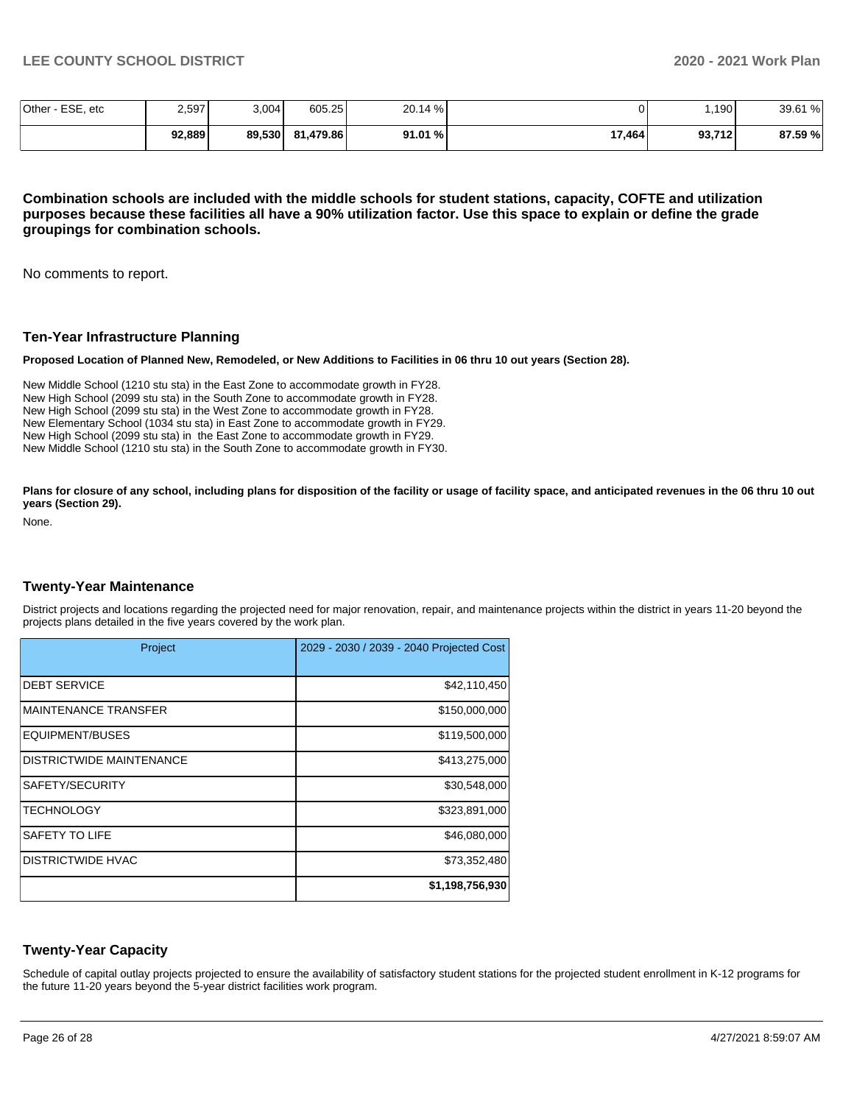| Other -<br>ESE, etc | 2,597  | 3,004  | 605.25    | 20.14 % |        | ,190   | 39.61 % |
|---------------------|--------|--------|-----------|---------|--------|--------|---------|
|                     | 92,889 | 89,530 | 81.479.86 | 91.01 % | 17,464 | 93,712 | 87.59 % |

**Combination schools are included with the middle schools for student stations, capacity, COFTE and utilization purposes because these facilities all have a 90% utilization factor. Use this space to explain or define the grade groupings for combination schools.** 

No comments to report.

#### **Ten-Year Infrastructure Planning**

**Proposed Location of Planned New, Remodeled, or New Additions to Facilities in 06 thru 10 out years (Section 28).**

New Middle School (1210 stu sta) in the East Zone to accommodate growth in FY28. New High School (2099 stu sta) in the South Zone to accommodate growth in FY28. New High School (2099 stu sta) in the West Zone to accommodate growth in FY28. New Elementary School (1034 stu sta) in East Zone to accommodate growth in FY29. New High School (2099 stu sta) in the East Zone to accommodate growth in FY29. New Middle School (1210 stu sta) in the South Zone to accommodate growth in FY30.

Plans for closure of any school, including plans for disposition of the facility or usage of facility space, and anticipated revenues in the 06 thru 10 out **years (Section 29).**

None.

#### **Twenty-Year Maintenance**

District projects and locations regarding the projected need for major renovation, repair, and maintenance projects within the district in years 11-20 beyond the projects plans detailed in the five years covered by the work plan.

| Project                         | 2029 - 2030 / 2039 - 2040 Projected Cost |
|---------------------------------|------------------------------------------|
| <b>DEBT SERVICE</b>             | \$42,110,450                             |
| <b>IMAINTENANCE TRANSFER</b>    | \$150,000,000                            |
| EQUIPMENT/BUSES                 | \$119,500,000                            |
| <b>DISTRICTWIDE MAINTENANCE</b> | \$413,275,000                            |
| <b>SAFETY/SECURITY</b>          | \$30,548,000                             |
| <b>ITECHNOLOGY</b>              | \$323,891,000                            |
| <b>SAFETY TO LIFE</b>           | \$46,080,000                             |
| <b>IDISTRICTWIDE HVAC</b>       | \$73,352,480                             |
|                                 | \$1,198,756,930                          |

#### **Twenty-Year Capacity**

Schedule of capital outlay projects projected to ensure the availability of satisfactory student stations for the projected student enrollment in K-12 programs for the future 11-20 years beyond the 5-year district facilities work program.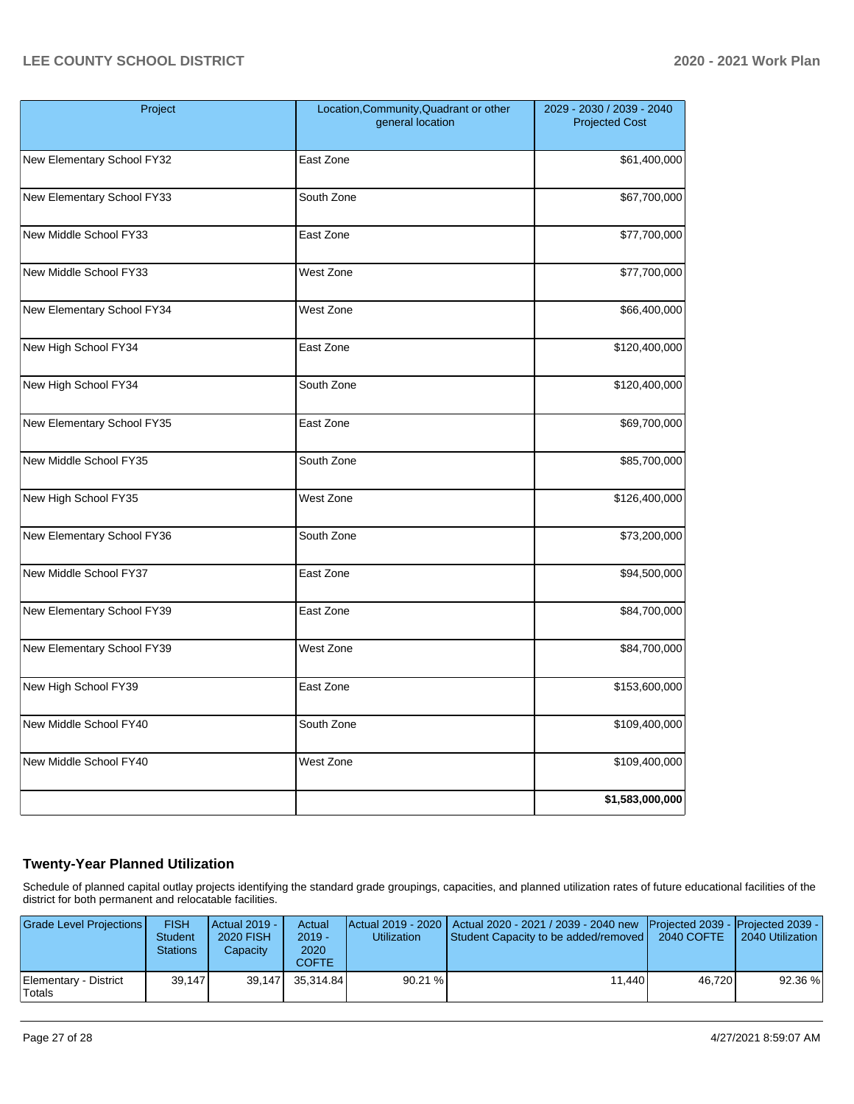| Project                    | Location, Community, Quadrant or other<br>general location | 2029 - 2030 / 2039 - 2040<br><b>Projected Cost</b> |  |  |
|----------------------------|------------------------------------------------------------|----------------------------------------------------|--|--|
| New Elementary School FY32 | East Zone                                                  | \$61,400,000                                       |  |  |
| New Elementary School FY33 | South Zone                                                 | \$67,700,000                                       |  |  |
| New Middle School FY33     | East Zone                                                  | \$77,700,000                                       |  |  |
| New Middle School FY33     | West Zone                                                  | \$77,700,000                                       |  |  |
| New Elementary School FY34 | West Zone                                                  | \$66,400,000                                       |  |  |
| New High School FY34       | East Zone                                                  | \$120,400,000                                      |  |  |
| New High School FY34       | South Zone                                                 | \$120,400,000                                      |  |  |
| New Elementary School FY35 | East Zone                                                  | \$69,700,000                                       |  |  |
| New Middle School FY35     | South Zone                                                 | \$85,700,000                                       |  |  |
| New High School FY35       | West Zone                                                  | \$126,400,000                                      |  |  |
| New Elementary School FY36 | South Zone                                                 | \$73,200,000                                       |  |  |
| New Middle School FY37     | East Zone                                                  | \$94,500,000                                       |  |  |
| New Elementary School FY39 | East Zone                                                  | \$84,700,000                                       |  |  |
| New Elementary School FY39 | West Zone                                                  | \$84,700,000                                       |  |  |
| New High School FY39       | East Zone                                                  | \$153,600,000                                      |  |  |
| New Middle School FY40     | South Zone                                                 | \$109,400,000                                      |  |  |
| New Middle School FY40     | West Zone                                                  | \$109,400,000                                      |  |  |
|                            |                                                            | \$1,583,000,000                                    |  |  |

# **Twenty-Year Planned Utilization**

Schedule of planned capital outlay projects identifying the standard grade groupings, capacities, and planned utilization rates of future educational facilities of the district for both permanent and relocatable facilities.

| Grade Level Projections         | <b>FISH</b><br><b>Student</b><br><b>Stations</b> | <b>Actual 2019 -</b><br>2020 FISH<br>Capacity | Actual<br>$2019 -$<br>2020<br><b>COFTE</b> | <b>Utilization</b> | Actual 2019 - 2020   Actual 2020 - 2021 / 2039 - 2040 new   Projected 2039 -   Projected 2039 -<br>Student Capacity to be added/removed   2040 COFTE |        | 2040 Utilization |
|---------------------------------|--------------------------------------------------|-----------------------------------------------|--------------------------------------------|--------------------|------------------------------------------------------------------------------------------------------------------------------------------------------|--------|------------------|
| Elementary - District<br>Totals | 39.147                                           | 39.147                                        | 35.314.84                                  | 90.21%             | 11.440                                                                                                                                               | 46.720 | 92.36 %          |